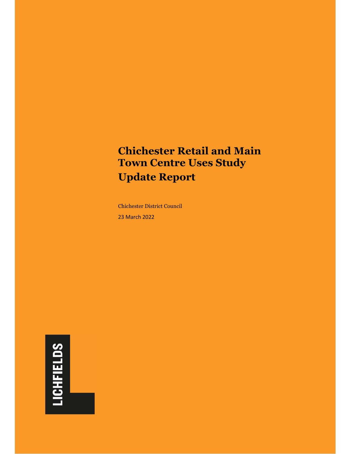## **Chichester Retail and Main Town Centre Uses Study Update Report**

Chichester District Council 23 March 2022

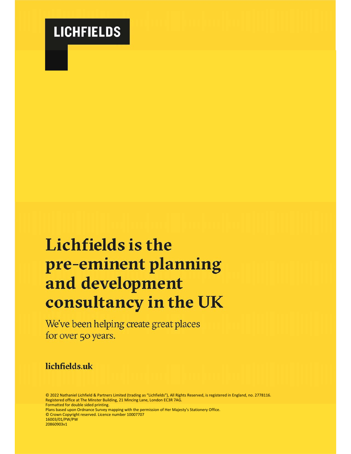# **LICHFIELDS**

# **Lichfields is the** pre-eminent planning and development consultancy in the UK

We've been helping create great places for over 50 years.

## lichfields.uk

© 2022 Nathaniel Lichfield & Partners Limited (trading as "Lichfields"), All Rights Reserved, is registered in England, no. 2778116. Registered office at The Minster Building, 21 Mincing Lane, London EC3R 7AG. Formatted for double sided printing.

Plans based upon Ordnance Survey mapping with the permission of Her Majesty's Stationery Office. © Crown Copyright reserved. Licence number 10007707 16003/01/PW/PW 20860903v1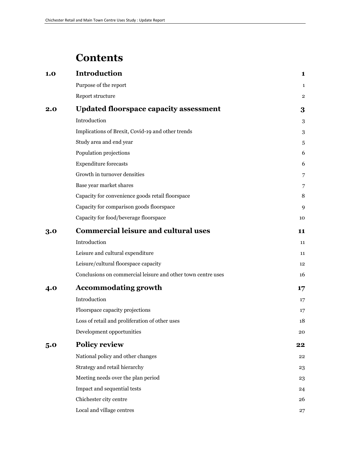## **Contents**

| 1.0 | <b>Introduction</b>                                          | 1              |
|-----|--------------------------------------------------------------|----------------|
|     | Purpose of the report                                        | 1              |
|     | Report structure                                             | $\overline{2}$ |
| 2.0 | <b>Updated floorspace capacity assessment</b>                | 3              |
|     | Introduction                                                 | 3              |
|     | Implications of Brexit, Covid-19 and other trends            | 3              |
|     | Study area and end year                                      | 5              |
|     | Population projections                                       | 6              |
|     | <b>Expenditure forecasts</b>                                 | 6              |
|     | Growth in turnover densities                                 | 7              |
|     | Base year market shares                                      | 7              |
|     | Capacity for convenience goods retail floorspace             | 8              |
|     | Capacity for comparison goods floorspace                     | 9              |
|     | Capacity for food/beverage floorspace                        | 10             |
| 3.0 | <b>Commercial leisure and cultural uses</b>                  | 11             |
|     | Introduction                                                 | 11             |
|     | Leisure and cultural expenditure                             | 11             |
|     | Leisure/cultural floorspace capacity                         | 12             |
|     | Conclusions on commercial leisure and other town centre uses | 16             |
| 4.0 | <b>Accommodating growth</b>                                  | 17             |
|     | Introduction                                                 | 17             |
|     | Floorspace capacity projections                              | 17             |
|     | Loss of retail and proliferation of other uses               | 18             |
|     | Development opportunities                                    | 20             |
| 5.0 | <b>Policy review</b>                                         | 22             |
|     | National policy and other changes                            | 22             |
|     | Strategy and retail hierarchy                                | 23             |
|     | Meeting needs over the plan period                           | 23             |
|     | Impact and sequential tests                                  | 24             |
|     | Chichester city centre                                       | 26             |
|     | Local and village centres                                    | 27             |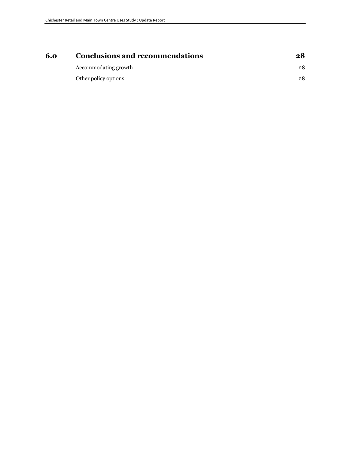| <b>Conclusions and recommendations</b> | 28 |
|----------------------------------------|----|
| Accommodating growth                   | 28 |
| Other policy options                   | 28 |
|                                        |    |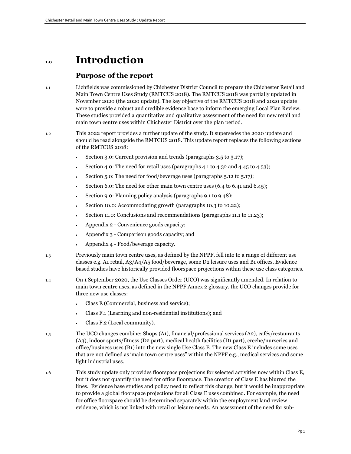## **1.0 Introduction**

#### **Purpose of the report**

- 1.1 Lichfields was commissioned by Chichester District Council to prepare the Chichester Retail and Main Town Centre Uses Study (RMTCUS 2018). The RMTCUS 2018 was partially updated in November 2020 (the 2020 update). The key objective of the RMTCUS 2018 and 2020 update were to provide a robust and credible evidence base to inform the emerging Local Plan Review. These studies provided a quantitative and qualitative assessment of the need for new retail and main town centre uses within Chichester District over the plan period.
- 1.2 This 2022 report provides a further update of the study. It supersedes the 2020 update and should be read alongside the RMTCUS 2018. This update report replaces the following sections of the RMTCUS 2018:
	- Section 3.0: Current provision and trends (paragraphs 3.5 to 3.17);
	- Section 4.0: The need for retail uses (paragraphs 4.1 to 4.32 and 4.45 to 4.53);
	- Section 5.0: The need for food/beverage uses (paragraphs 5.12 to 5.17);
	- Section 6.0: The need for other main town centre uses (6.4 to 6.41 and 6.45);
	- Section 9.0: Planning policy analysis (paragraphs 9.1 to 9.48);
	- Section 10.0: Accommodating growth (paragraphs 10.3 to 10.22);
	- Section 11.0: Conclusions and recommendations (paragraphs 11.1 to 11.23);
	- Appendix 2 Convenience goods capacity;
	- Appendix 3 Comparison goods capacity; and
	- Appendix 4 Food/beverage capacity.
- 1.3 Previously main town centre uses, as defined by the NPPF, fell into to a range of different use classes e.g. A1 retail, A3/A4/A5 food/beverage, some D2 leisure uses and B1 offices. Evidence based studies have historically provided floorspace projections within these use class categories.
- 1.4 On 1 September 2020, the Use Classes Order (UCO) was significantly amended. In relation to main town centre uses, as defined in the NPPF Annex 2 glossary, the UCO changes provide for three new use classes:
	- Class E (Commercial, business and service);
	- Class F.1 (Learning and non-residential institutions); and
	- Class F.2 (Local community).
- 1.5 The UCO changes combine: Shops (A1), financial/professional services (A2), cafés/restaurants (A3), indoor sports/fitness (D2 part), medical health facilities (D1 part), creche/nurseries and office/business uses (B1) into the new single Use Class E. The new Class E includes some uses that are not defined as 'main town centre uses" within the NPPF e.g., medical services and some light industrial uses.
- 1.6 This study update only provides floorspace projections for selected activities now within Class E, but it does not quantify the need for office floorspace. The creation of Class E has blurred the lines. Evidence base studies and policy need to reflect this change, but it would be inappropriate to provide a global floorspace projections for all Class E uses combined. For example, the need for office floorspace should be determined separately within the employment land review evidence, which is not linked with retail or leisure needs. An assessment of the need for sub-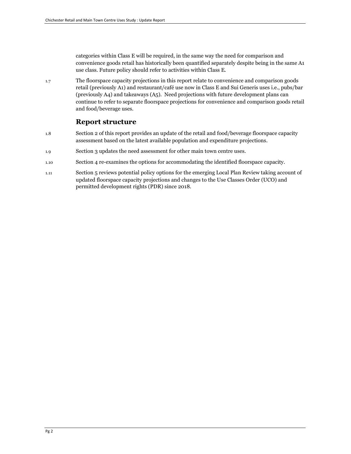categories within Class E will be required, in the same way the need for comparison and convenience goods retail has historically been quantified separately despite being in the same A1 use class. Future policy should refer to activities within Class E.

1.7 The floorspace capacity projections in this report relate to convenience and comparison goods retail (previously A1) and restaurant/café use now in Class E and Sui Generis uses i.e., pubs/bar (previously A4) and takeaways (A5). Need projections with future development plans can continue to refer to separate floorspace projections for convenience and comparison goods retail and food/beverage uses.

### **Report structure**

- 1.8 Section 2 of this report provides an update of the retail and food/beverage floorspace capacity assessment based on the latest available population and expenditure projections.
- 1.9 Section 3 updates the need assessment for other main town centre uses.
- 1.10 Section 4 re-examines the options for accommodating the identified floorspace capacity.
- 1.11 Section 5 reviews potential policy options for the emerging Local Plan Review taking account of updated floorspace capacity projections and changes to the Use Classes Order (UCO) and permitted development rights (PDR) since 2018.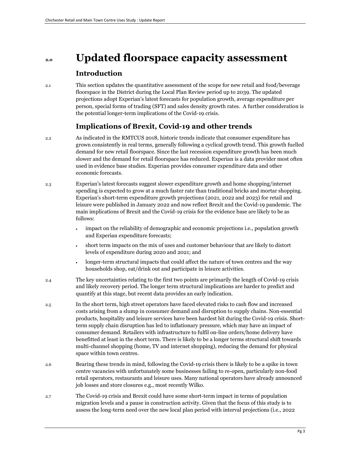## **2.0 Updated floorspace capacity assessment**

## **Introduction**

2.1 This section updates the quantitative assessment of the scope for new retail and food/beverage floorspace in the District during the Local Plan Review period up to 2039. The updated projections adopt Experian's latest forecasts for population growth, average expenditure per person, special forms of trading (SFT) and sales density growth rates. A further consideration is the potential longer-term implications of the Covid-19 crisis.

## **Implications of Brexit, Covid-19 and other trends**

- 2.2 As indicated in the RMTCUS 2018, historic trends indicate that consumer expenditure has grown consistently in real terms, generally following a cyclical growth trend. This growth fuelled demand for new retail floorspace. Since the last recession expenditure growth has been much slower and the demand for retail floorspace has reduced. Experian is a data provider most often used in evidence base studies. Experian provides consumer expenditure data and other economic forecasts.
- 2.3 Experian's latest forecasts suggest slower expenditure growth and home shopping/internet spending is expected to grow at a much faster rate than traditional bricks and mortar shopping. Experian's short-term expenditure growth projections (2021, 2022 and 2023) for retail and leisure were published in January 2022 and now reflect Brexit and the Covid-19 pandemic. The main implications of Brexit and the Covid-19 crisis for the evidence base are likely to be as follows:
	- impact on the reliability of demographic and economic projections i.e., population growth and Experian expenditure forecasts;
	- short term impacts on the mix of uses and customer behaviour that are likely to distort levels of expenditure during 2020 and 2021; and
	- longer-term structural impacts that could affect the nature of town centres and the way households shop, eat/drink out and participate in leisure activities.
- 2.4 The key uncertainties relating to the first two points are primarily the length of Covid-19 crisis and likely recovery period. The longer term structural implications are harder to predict and quantify at this stage, but recent data provides an early indication.
- 2.5 In the short term, high street operators have faced elevated risks to cash flow and increased costs arising from a slump in consumer demand and disruption to supply chains. Non-essential products, hospitality and leisure services have been hardest hit during the Covid-19 crisis. Shortterm supply chain disruption has led to inflationary pressure, which may have an impact of consumer demand. Retailers with infrastructure to fulfil on-line orders/home delivery have benefitted at least in the short term. There is likely to be a longer terms structural shift towards multi-channel shopping (home, TV and internet shopping), reducing the demand for physical space within town centres.
- 2.6 Bearing these trends in mind, following the Covid-19 crisis there is likely to be a spike in town centre vacancies with unfortunately some businesses failing to re-open, particularly non-food retail operators, restaurants and leisure uses. Many national operators have already announced job losses and store closures e.g., most recently Wilko.
- 2.7 The Covid-19 crisis and Brexit could have some short-term impact in terms of population migration levels and a pause in construction activity. Given that the focus of this study is to assess the long-term need over the new local plan period with interval projections (i.e., 2022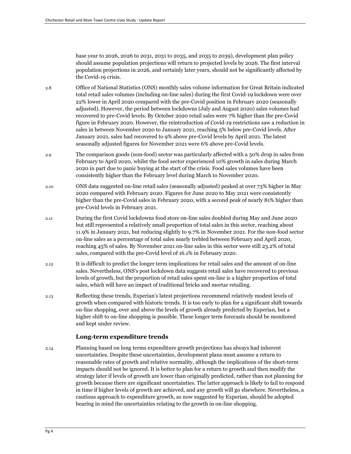base year to 2026, 2026 to 2031, 2031 to 2035, and 2035 to 2039), development plan policy should assume population projections will return to projected levels by 2026. The first interval population projections in 2026, and certainly later years, should not be significantly affected by the Covid-19 crisis.

- 2.8 Office of National Statistics (ONS) monthly sales volume information for Great Britain indicated total retail sales volumes (including on-line sales) during the first Covid-19 lockdown were over 22% lower in April 2020 compared with the pre-Covid position in February 2020 (seasonally adjusted). However, the period between lockdowns (July and August 2020) sales volumes had recovered to pre-Covid levels. By October 2020 retail sales were 7% higher than the pre-Covid figure in February 2020. However, the reintroduction of Covid-19 restrictions saw a reduction in sales in between November 2020 to January 2021, reaching 5% below pre-Covid levels. After January 2021, sales had recovered to 9% above pre-Covid levels by April 2021. The latest seasonally adjusted figures for November 2021 were 6% above pre-Covid levels.
- 2.9 The comparison goods (non-food) sector was particularly affected with a 50% drop in sales from February to April 2020, whilst the food sector experienced 10% growth in sales during March 2020 in part due to panic buying at the start of the crisis. Food sales volumes have been consistently higher than the February level during March to November 2020.
- 2.10 ONS data suggested on-line retail sales (seasonally adjusted) peaked at over 73% higher in May 2020 compared with February 2020. Figures for June 2020 to May 2021 were consistently higher than the pre-Covid sales in February 2020, with a second peak of nearly 81% higher than pre-Covid levels in February 2021.
- 2.11 During the first Covid lockdowns food store on-line sales doubled during May and June 2020 but still represented a relatively small proportion of total sales in this sector, reaching about 11.9% in January 2021, but reducing slightly to 9.7% in November 2021. For the non-food sector on-line sales as a percentage of total sales nearly trebled between February and April 2020, reaching 45% of sales. By November 2021 on-line sales in this sector were still 23.2% of total sales, compared with the pre-Covid level of 16.1% in February 2020.
- 2.12 It is difficult to predict the longer term implications for retail sales and the amount of on-line sales. Nevertheless, ONS's post lockdown data suggests retail sales have recovered to previous levels of growth, but the proportion of retail sales spent on-line is a higher proportion of total sales, which will have an impact of traditional bricks and mortar retailing.
- 2.13 Reflecting these trends, Experian's latest projections recommend relatively modest levels of growth when compared with historic trends. It is too early to plan for a significant shift towards on-line shopping, over and above the levels of growth already predicted by Experian, but a higher shift to on-line shopping is possible. These longer term forecasts should be monitored and kept under review.

#### **Long-term expenditure trends**

2.14 Planning based on long terms expenditure growth projections has always had inherent uncertainties. Despite these uncertainties, development plans must assume a return to reasonable rates of growth and relative normality, although the implications of the short-term impacts should not be ignored. It is better to plan for a return to growth and then modify the strategy later if levels of growth are lower than originally predicted, rather than not planning for growth because there are significant uncertainties. The latter approach is likely to fail to respond in time if higher levels of growth are achieved, and any growth will go elsewhere. Nevertheless, a cautious approach to expenditure growth, as now suggested by Experian, should be adopted bearing in mind the uncertainties relating to the growth in on-line shopping.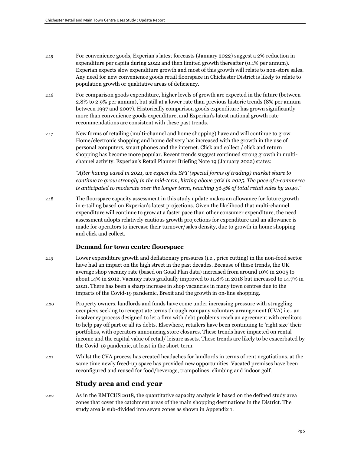- 2.15 For convenience goods, Experian's latest forecasts (January 2022) suggest a 2% reduction in expenditure per capita during 2022 and then limited growth thereafter (0.1% per annum). Experian expects slow expenditure growth and most of this growth will relate to non-store sales. Any need for new convenience goods retail floorspace in Chichester District is likely to relate to population growth or qualitative areas of deficiency.
- 2.16 For comparison goods expenditure, higher levels of growth are expected in the future (between 2.8% to 2.9% per annum), but still at a lower rate than previous historic trends (8% per annum between 1997 and 2007). Historically comparison goods expenditure has grown significantly more than convenience goods expenditure, and Experian's latest national growth rate recommendations are consistent with these past trends.
- 2.17 New forms of retailing (multi-channel and home shopping) have and will continue to grow. Home/electronic shopping and home delivery has increased with the growth in the use of personal computers, smart phones and the internet. Click and collect / click and return shopping has become more popular. Recent trends suggest continued strong growth in multichannel activity. Experian's Retail Planner Briefing Note 19 (January 2022) states:

*"After having eased in 2021, we expect the SFT (special forms of trading) market share to continue to grow strongly in the mid-term, hitting above 30% in 2025. The pace of e-commerce is anticipated to moderate over the longer term, reaching 36.5% of total retail sales by 2040."* 

2.18 The floorspace capacity assessment in this study update makes an allowance for future growth in e-tailing based on Experian's latest projections. Given the likelihood that multi-channel expenditure will continue to grow at a faster pace than other consumer expenditure, the need assessment adopts relatively cautious growth projections for expenditure and an allowance is made for operators to increase their turnover/sales density, due to growth in home shopping and click and collect.

#### **Demand for town centre floorspace**

- 2.19 Lower expenditure growth and deflationary pressures (i.e., price cutting) in the non-food sector have had an impact on the high street in the past decades. Because of these trends, the UK average shop vacancy rate (based on Goad Plan data) increased from around 10% in 2005 to about 14% in 2012. Vacancy rates gradually improved to 11.8% in 2018 but increased to 14.7% in 2021. There has been a sharp increase in shop vacancies in many town centres due to the impacts of the Covid-19 pandemic, Brexit and the growth in on-line shopping.
- 2.20 Property owners, landlords and funds have come under increasing pressure with struggling occupiers seeking to renegotiate terms through company voluntary arrangement (CVA) i.e., an insolvency process designed to let a firm with debt problems reach an agreement with creditors to help pay off part or all its debts. Elsewhere, retailers have been continuing to 'right size' their portfolios, with operators announcing store closures. These trends have impacted on rental income and the capital value of retail/ leisure assets. These trends are likely to be exacerbated by the Covid-19 pandemic, at least in the short-term.
- 2.21 Whilst the CVA process has created headaches for landlords in terms of rent negotiations, at the same time newly freed-up space has provided new opportunities. Vacated premises have been reconfigured and reused for food/beverage, trampolines, climbing and indoor golf.

### **Study area and end year**

2.22 As in the RMTCUS 2018, the quantitative capacity analysis is based on the defined study area zones that cover the catchment areas of the main shopping destinations in the District. The study area is sub-divided into seven zones as shown in Appendix 1.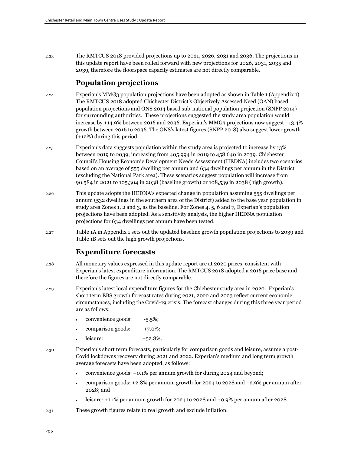2.23 The RMTCUS 2018 provided projections up to 2021, 2026, 2031 and 2036. The projections in this update report have been rolled forward with new projections for 2026, 2031, 2035 and 2039, therefore the floorspace capacity estimates are not directly comparable.

### **Population projections**

- 2.24 Experian's MMG3 population projections have been adopted as shown in Table 1 (Appendix 1). The RMTCUS 2018 adopted Chichester District's Objectively Assessed Need (OAN) based population projections and ONS 2014 based sub-national population projection (SNPP 2014) for surrounding authorities. These projections suggested the study area population would increase by +14.9% between 2016 and 2036. Experian's MMG3 projections now suggest +13.4% growth between 2016 to 2036. The ONS's latest figures (SNPP 2018) also suggest lower growth (+12%) during this period.
- 2.25 Experian's data suggests population within the study area is projected to increase by 13% between 2019 to 2039, increasing from 405,994 in 2019 to 458,640 in 2039. Chichester Council's Housing Economic Development Needs Assessment (HEDNA) includes two scenarios based on an average of 555 dwelling per annum and 634 dwellings per annum in the District (excluding the National Park area). These scenarios suggest population will increase from 90,584 in 2021 to 105,304 in 2038 (baseline growth) or 108,539 in 2038 (high growth).
- 2.26 This update adopts the HEDNA's expected change in population assuming 555 dwellings per annum (532 dwellings in the southern area of the District) added to the base year population in study area Zones 1, 2 and 3, as the baseline. For Zones 4, 5, 6 and 7, Experian's population projections have been adopted. As a sensitivity analysis, the higher HEDNA population projections for 634 dwellings per annum have been tested.
- 2.27 Table 1A in Appendix 1 sets out the updated baseline growth population projections to 2039 and Table 1B sets out the high growth projections.

## **Expenditure forecasts**

- 2.28 All monetary values expressed in this update report are at 2020 prices, consistent with Experian's latest expenditure information. The RMTCUS 2018 adopted a 2016 price base and therefore the figures are not directly comparable.
- 2.29 Experian's latest local expenditure figures for the Chichester study area in 2020. Experian's short term EBS growth forecast rates during 2021, 2022 and 2023 reflect current economic circumstances, including the Covid-19 crisis. The forecast changes during this three year period are as follows:
	- convenience goods: -5.5%;
	- comparison goods:  $+7.0\%$ ;
	- $l$ eisure:  $+52.8\%$ .
- 2.30 Experian's short term forecasts, particularly for comparison goods and leisure, assume a post-Covid lockdowns recovery during 2021 and 2022. Experian's medium and long term growth average forecasts have been adopted, as follows:
	- convenience goods: +0.1% per annum growth for during 2024 and beyond;
	- comparison goods: +2.8% per annum growth for 2024 to 2028 and +2.9% per annum after 2028; and
	- leisure: +1.1% per annum growth for 2024 to 2028 and +0.9% per annum after 2028.
- 2.31 These growth figures relate to real growth and exclude inflation.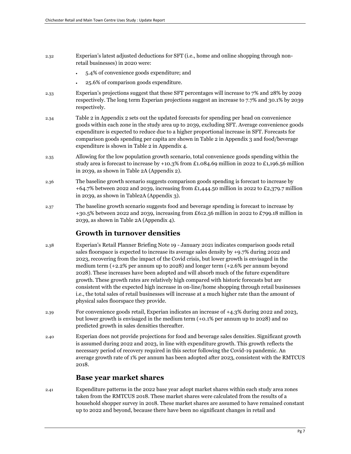- 2.32 Experian's latest adjusted deductions for SFT (i.e., home and online shopping through nonretail businesses) in 2020 were:
	- 5.4% of convenience goods expenditure; and
	- 25.6% of comparison goods expenditure.
- 2.33 Experian's projections suggest that these SFT percentages will increase to 7% and 28% by 2029 respectively. The long term Experian projections suggest an increase to 7.7% and 30.1% by 2039 respectively.
- 2.34 Table 2 in Appendix 2 sets out the updated forecasts for spending per head on convenience goods within each zone in the study area up to 2039, excluding SFT. Average convenience goods expenditure is expected to reduce due to a higher proportional increase in SFT. Forecasts for comparison goods spending per capita are shown in Table 2 in Appendix 3 and food/beverage expenditure is shown in Table 2 in Appendix 4.
- 2.35 Allowing for the low population growth scenario, total convenience goods spending within the study area is forecast to increase by +10.3% from £1.084.69 million in 2022 to £1,196.56 million in 2039, as shown in Table 2A (Appendix 2).
- 2.36 The baseline growth scenario suggests comparison goods spending is forecast to increase by +64.7% between 2022 and 2039, increasing from £1,444.50 million in 2022 to £2,379.7 million in 2039, as shown in Table2A (Appendix 3).
- 2.37 The baseline growth scenario suggests food and beverage spending is forecast to increase by +30.5% between 2022 and 2039, increasing from £612.56 million in 2022 to £799.18 million in 2039, as shown in Table 2A (Appendix 4).

## **Growth in turnover densities**

- 2.38 Experian's Retail Planner Briefing Note 19 January 2021 indicates comparison goods retail sales floorspace is expected to increase its average sales density by +9.7% during 2022 and 2023, recovering from the impact of the Covid crisis, but lower growth is envisaged in the medium term (+2.2% per annum up to 2028) and longer term (+2.6% per annum beyond 2028). These increases have been adopted and will absorb much of the future expenditure growth. These growth rates are relatively high compared with historic forecasts but are consistent with the expected high increase in on-line/home shopping through retail businesses i.e., the total sales of retail businesses will increase at a much higher rate than the amount of physical sales floorspace they provide.
- 2.39 For convenience goods retail, Experian indicates an increase of +4.3% during 2022 and 2023, but lower growth is envisaged in the medium term (+0.1% per annum up to 2028) and no predicted growth in sales densities thereafter.
- 2.40 Experian does not provide projections for food and beverage sales densities. Significant growth is assumed during 2022 and 2023, in line with expenditure growth. This growth reflects the necessary period of recovery required in this sector following the Covid-19 pandemic. An average growth rate of 1% per annum has been adopted after 2023, consistent with the RMTCUS 2018.

## **Base year market shares**

2.41 Expenditure patterns in the 2022 base year adopt market shares within each study area zones taken from the RMTCUS 2018. These market shares were calculated from the results of a household shopper survey in 2018. These market shares are assumed to have remained constant up to 2022 and beyond, because there have been no significant changes in retail and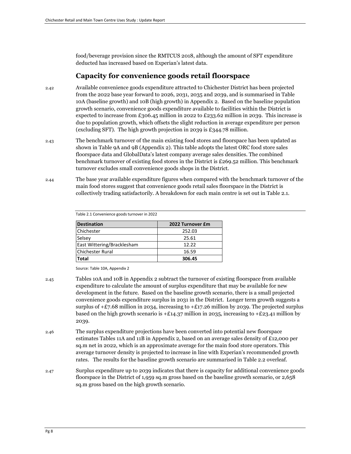food/beverage provision since the RMTCUS 2018, although the amount of SFT expenditure deducted has increased based on Experian's latest data.

### **Capacity for convenience goods retail floorspace**

- 2.42 Available convenience goods expenditure attracted to Chichester District has been projected from the 2022 base year forward to 2026, 2031, 2035 and 2039, and is summarised in Table 10A (baseline growth) and 10B (high growth) in Appendix 2. Based on the baseline population growth scenario, convenience goods expenditure available to facilities within the District is expected to increase from £306.45 million in 2022 to £233.62 million in 2039. This increase is due to population growth, which offsets the slight reduction in average expenditure per person (excluding SFT). The high growth projection in 2039 is £344.78 million.
- 2.43 The benchmark turnover of the main existing food stores and floorspace has been updated as shown in Table 9A and 9B (Appendix 2). This table adopts the latest ORC food store sales floorspace data and GlobalData's latest company average sales densities. The combined benchmark turnover of existing food stores in the District is £269.52 million. This benchmark turnover excludes small convenience goods shops in the District.
- 2.44 The base year available expenditure figures when compared with the benchmark turnover of the main food stores suggest that convenience goods retail sales floorspace in the District is collectively trading satisfactorily. A breakdown for each main centre is set out in Table 2.1.

Table 2.1 Convenience goods turnover in 2022

| <b>Destination</b>         | 2022 Turnover £m |
|----------------------------|------------------|
| Chichester                 | 252.03           |
| Selsey                     | 25.61            |
| East Wittering/Bracklesham | 12.22            |
| <b>Chichester Rural</b>    | 16.59            |
| <b>Total</b>               | 306.45           |

Source: Table 10A, Appendix 2

- 2.45 Tables 10A and 10B in Appendix 2 subtract the turnover of existing floorspace from available expenditure to calculate the amount of surplus expenditure that may be available for new development in the future. Based on the baseline growth scenario, there is a small projected convenience goods expenditure surplus in 2031 in the District. Longer term growth suggests a surplus of  $+E7.68$  million in 2034, increasing to  $+E17.26$  million by 2039. The projected surplus based on the high growth scenario is  $+£14.37$  million in 2035, increasing to  $+£23.41$  million by 2039.
- 2.46 The surplus expenditure projections have been converted into potential new floorspace estimates Tables 11A and 11B in Appendix 2, based on an average sales density of £12,000 per sq.m net in 2022, which is an approximate average for the main food store operators. This average turnover density is projected to increase in line with Experian's recommended growth rates. The results for the baseline growth scenario are summarised in Table 2.2 overleaf.
- 2.47 Surplus expenditure up to 2039 indicates that there is capacity for additional convenience goods floorspace in the District of 1,959 sq.m gross based on the baseline growth scenario, or 2,658 sq.m gross based on the high growth scenario.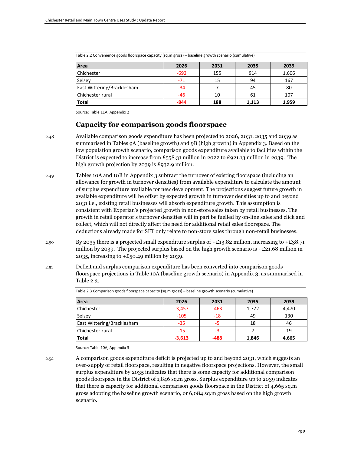| Area                              | 2026   | 2031 | 2035  | 2039  |
|-----------------------------------|--------|------|-------|-------|
| Chichester                        | $-692$ | 155  | 914   | 1,606 |
| Selsey                            | $-71$  | 15   | 94    | 167   |
| <b>East Wittering/Bracklesham</b> | $-34$  |      | 45    | 80    |
| Chichester rural                  | $-46$  | 10   | 61    | 107   |
| <b>Total</b>                      | $-844$ | 188  | 1,113 | 1,959 |

Table 2.2 Convenience goods floorspace capacity (sq.m gross) – baseline growth scenario (cumulative)

Source: Table 11A, Appendix 2

#### **Capacity for comparison goods floorspace**

2.48 Available comparison goods expenditure has been projected to 2026, 2031, 2035 and 2039 as summarised in Tables 9A (baseline growth) and 9B (high growth) in Appendix 3. Based on the low population growth scenario, comparison goods expenditure available to facilities within the District is expected to increase from £558.31 million in 2022 to £921.13 million in 2039. The high growth projection by 2039 is £932.9 million.

- 2.49 Tables 10A and 10B in Appendix 3 subtract the turnover of existing floorspace (including an allowance for growth in turnover densities) from available expenditure to calculate the amount of surplus expenditure available for new development. The projections suggest future growth in available expenditure will be offset by expected growth in turnover densities up to and beyond 2031 i.e., existing retail businesses will absorb expenditure growth. This assumption is consistent with Experian's projected growth in non-store sales taken by retail businesses. The growth in retail operator's turnover densities will in part be fuelled by on-line sales and click and collect, which will not directly affect the need for additional retail sales floorspace. The deductions already made for SFT only relate to non-store sales through non-retail businesses.
- 2.50 By 2035 there is a projected small expenditure surplus of  $\pm$  13.82 million, increasing to  $\pm$  13.71 million by 2039. The projected surplus based on the high growth scenario is  $+E21.68$  million in 2035, increasing to  $\pm$  50.49 million by 2039.
- 2.51 Deficit and surplus comparison expenditure has been converted into comparison goods floorspace projections in Table 10A (baseline growth scenario) in Appendix 3, as summarised in Table 2.3.

| Area                       | 2026     | 2031   | 2035  | 2039  |
|----------------------------|----------|--------|-------|-------|
| Chichester                 | $-3,457$ | $-463$ | 1,772 | 4,470 |
| Selsey                     | $-105$   | $-18$  | 49    | 130   |
| East Wittering/Bracklesham | $-35$    |        | 18    | 46    |
| Chichester rural           | $-15$    | -3     |       | 19    |
| <b>Total</b>               | $-3,613$ | -488   | 1,846 | 4,665 |

Table 2.3 Comparison goods floorspace capacity (sq.m gross) – baseline growth scenario (cumulative)

Source: Table 10A, Appendix 3

2.52 A comparison goods expenditure deficit is projected up to and beyond 2031, which suggests an over-supply of retail floorspace, resulting in negative floorspace projections. However, the small surplus expenditure by 2035 indicates that there is some capacity for additional comparison goods floorspace in the District of 1,846 sq.m gross. Surplus expenditure up to 2039 indicates that there is capacity for additional comparison goods floorspace in the District of 4,665 sq.m gross adopting the baseline growth scenario, or 6,084 sq.m gross based on the high growth scenario.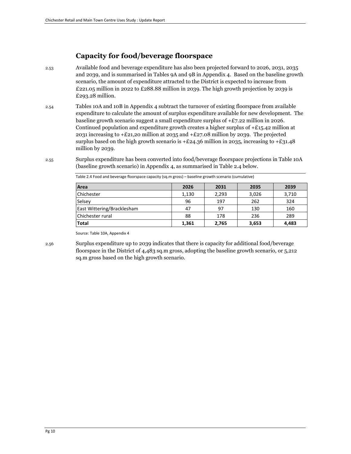## **Capacity for food/beverage floorspace**

- 2.53 Available food and beverage expenditure has also been projected forward to 2026, 2031, 2035 and 2039, and is summarised in Tables 9A and 9B in Appendix 4. Based on the baseline growth scenario, the amount of expenditure attracted to the District is expected to increase from  $£221.05$  million in 2022 to  $£288.88$  million in 2039. The high growth projection by 2039 is £293.28 million.
- 2.54 Tables 10A and 10B in Appendix 4 subtract the turnover of existing floorspace from available expenditure to calculate the amount of surplus expenditure available for new development. The baseline growth scenario suggest a small expenditure surplus of  $+E7.22$  million in 2026. Continued population and expenditure growth creates a higher surplus of  $+E$ 15.42 million at 2031 increasing to  $\pm 21,20$  million at 2035 and  $\pm 27.08$  million by 2039. The projected surplus based on the high growth scenario is  $+E24.36$  million in 2035, increasing to  $+E31.48$ million by 2039.
- 2.55 Surplus expenditure has been converted into food/beverage floorspace projections in Table 10A (baseline growth scenario) in Appendix 4, as summarised in Table 2.4 below.

| Area                              | 2026  | 2031  | 2035  | 2039  |
|-----------------------------------|-------|-------|-------|-------|
| Chichester                        | 1,130 | 2.293 | 3,026 | 3,710 |
| Selsey                            | 96    | 197   | 262   | 324   |
| <b>East Wittering/Bracklesham</b> | 47    | 97    | 130   | 160   |
| Chichester rural                  | 88    | 178   | 236   | 289   |
| <b>Total</b>                      | 1,361 | 2,765 | 3,653 | 4,483 |

Table 2.4 Food and beverage floorspace capacity (sq.m gross) – baseline growth scenario (cumulative)

Source: Table 10A, Appendix 4

sq.m gross based on the high growth scenario.

2.56 Surplus expenditure up to 2039 indicates that there is capacity for additional food/beverage floorspace in the District of 4,483 sq.m gross, adopting the baseline growth scenario, or 5,212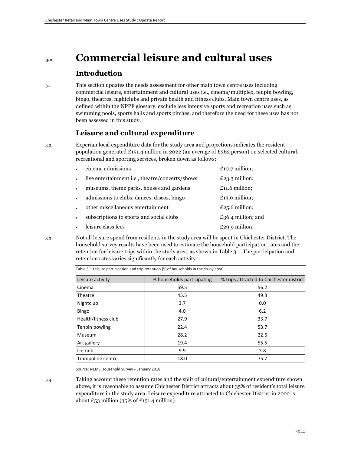## **3.0 Commercial leisure and cultural uses**

### **Introduction**

3.1 This section updates the needs assessment for other main town centre uses including commercial leisure, entertainment and cultural uses i.e., cinema/multiplex, tenpin bowling, bingo, theatres, nightclubs and private health and fitness clubs. Main town centre uses, as defined within the NPPF glossary, exclude less intensive sports and recreation uses such as swimming pools, sports halls and sports pitches, and therefore the need for these uses has not been assessed in this study.

## **Leisure and cultural expenditure**

3.2 Experian local expenditure data for the study area and projections indicates the resident population generated £151.4 million in 2022 (an average of £362 person) on selected cultural, recreational and sporting services, broken down as follows:

|                      | cinema admissions                               | £10.7 million;     |
|----------------------|-------------------------------------------------|--------------------|
| $\bullet$            | live entertainment i.e., theatre/concerts/shows | $£23.3$ million;   |
| $\bullet$            | museums, theme parks, houses and gardens        | $£11.6$ million;   |
| $\bullet$            | admissions to clubs, dances, discos, bingo      | £13.9 million;     |
| $\ddot{\phantom{0}}$ | other miscellaneous entertainment               | £25.6 million;     |
| $\bullet$            | subscriptions to sports and social clubs        | £36.4 million; and |
| $\bullet$            | leisure class fees                              | £29.9 million.     |
|                      |                                                 |                    |

3.3 Not all leisure spend from residents in the study area will be spent in Chichester District. The household survey results have been used to estimate the household participation rates and the retention for leisure trips within the study area, as shown in Table 3.1. The participation and retention rates varies significantly for each activity.

Table 3.1 Leisure participation and trip retention (% of households in the study area)

| Leisure activity    | % households participating | % trips attracted to Chichester district |
|---------------------|----------------------------|------------------------------------------|
| Cinema              | 59.5                       | 56.2                                     |
| Theatre             | 45.5                       | 49.3                                     |
| Nightclub           | 3.7                        | 0.0                                      |
| Bingo               | 4.0                        | 6.2                                      |
| Health/fitness club | 27.9                       | 33.7                                     |
| Tenpin bowling      | 22.4                       | 53.7                                     |
| Museum              | 28.2                       | 22.6                                     |
| Art gallery         | 19.4                       | 55.5                                     |
| Ice rink            | 9.9                        | 3.8                                      |
| Trampoline centre   | 18.0                       | 75.7                                     |

Source: NEMS Household Survey – January 2018

3.4 Taking account these retention rates and the split of cultural/entertainment expenditure shown above, it is reasonable to assume Chichester District attracts about 35% of resident's total leisure expenditure in the study area. Leisure expenditure attracted to Chichester District in 2022 is about £53 million (35% of £151.4 million).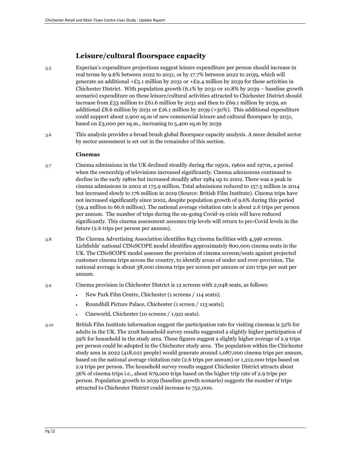## **Leisure/cultural floorspace capacity**

- 3.5 Experian's expenditure projections suggest leisure expenditure per person should increase in real terms by 9.6% between 2022 to 2031, or by 17.7% between 2022 to 2039, which will generate an additional  $+E_5.1$  million by 2031 or  $+E9.4$  million by 2039 for these activities in Chichester District. With population growth (6.1% by 2031 0r 10.8% by 2039 – baseline growth scenario) expenditure on these leisure/cultural activities attracted to Chichester District should increase from £53 million to £61.6 million by 2031 and then to £69.1 million by 2039, an additional £8.6 million by 2031 or £16.1 million by 2039 (+30%). This additional expenditure could support about 2,900 sq.m of new commercial leisure and cultural floorspace by 2031, based on £3,000 per sq.m., increasing to 5,400 sq.m by 2039
- 3.6 This analysis provides a broad brush global floorspace capacity analysis. A more detailed sector by sector assessment is set out in the remainder of this section.

#### **Cinemas**

- 3.7 Cinema admissions in the UK declined steadily during the 1950s, 1960s and 1970s, a period when the ownership of televisions increased significantly. Cinema admissions continued to decline in the early 1980s but increased steadily after 1984 up to 2002. There was a peak in cinema admissions in 2002 at 175.9 million. Total admissions reduced to 157.5 million in 2014 but increased slowly to 176 million in 2019 (Source: British Film Institute). Cinema trips have not increased significantly since 2002, despite population growth of 9.6% during this period (59.4 million to 66.6 million). The national average visitation rate is about 2.6 trips per person per annum. The number of trips during the on-going Covid-19 crisis will have reduced significantly. This cinema assessment assumes trip levels will return to pre-Covid levels in the future (2.6 trips per person per annum).
- 3.8 The Cinema Advertising Association identifies 843 cinema facilities with 4,596 screens. Lichfields' national CINeSCOPE model identifies approximately 800,000 cinema seats in the UK. The CINeSCOPE model assesses the provision of cinema screens/seats against projected customer cinema trips across the country, to identify areas of under and over-provision. The national average is about 38,000 cinema trips per screen per annum or 220 trips per seat per annum.
- 3.9 Cinema provision in Chichester District is 12 screens with 2,048 seats, as follows:
	- New Park Film Centre, Chichester (1 screens / 114 seats);
	- Roundhill Picture Palace, Chichester (1 screen / 113 seats);
	- Cineworld, Chichester (10 screens / 1,921 seats).
- 3.10 British Film Institute information suggest the participation rate for visiting cinemas is 52% for adults in the UK. The 2018 household survey results suggested a slightly higher participation of 59% for household in the study area. These figures suggest a slightly higher average of 2.9 trips per person could be adopted in the Chichester study area. The population within the Chichester study area in 2022 (418,021 people) would generate around 1,087,000 cinema trips per annum, based on the national average visitation rate (2.6 trips per annum) or 1,212,000 trips based on 2.9 trips per person. The household survey results suggest Chichester District attracts about 56% of cinema trips i.e., about 679,000 trips based on the higher trip rate of 2.9 trips per person. Population growth to 2039 (baseline growth scenario) suggests the number of trips attracted to Chichester District could increase to 752,000.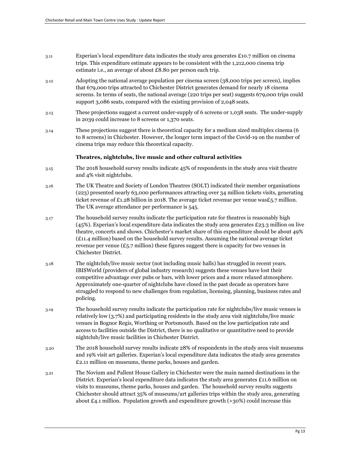- $3.11$  Experian's local expenditure data indicates the study area generates £10.7 million on cinema trips. This expenditure estimate appears to be consistent with the 1,212,000 cinema trip estimate i.e., an average of about £8.80 per person each trip.
- 3.12 Adopting the national average population per cinema screen (38,000 trips per screen), implies that 679,000 trips attracted to Chichester District generates demand for nearly 18 cinema screens. In terms of seats, the national average (220 trips per seat) suggests 679,000 trips could support 3,086 seats, compared with the existing provision of 2,048 seats.
- 3.13 These projections suggest a current under-supply of 6 screens or 1,038 seats. The under-supply in 2039 could increase to 8 screens or 1,370 seats.
- 3.14 These projections suggest there is theoretical capacity for a medium sized multiplex cinema (6 to 8 screens) in Chichester. However, the longer term impact of the Covid-19 on the number of cinema trips may reduce this theoretical capacity.

#### **Theatres, nightclubs, live music and other cultural activities**

- 3.15 The 2018 household survey results indicate 45% of respondents in the study area visit theatre and 4% visit nightclubs.
- 3.16 The UK Theatre and Society of London Theatres (SOLT) indicated their member organisations (223) presented nearly 63,000 performances attracting over 34 million tickets visits, generating ticket revenue of £1.28 billion in 2018. The average ticket revenue per venue was£5.7 million. The UK average attendance per performance is 545.
- 3.17 The household survey results indicate the participation rate for theatres is reasonably high  $(45%)$ . Experian's local expenditure data indicates the study area generates £23.3 million on live theatre, concerts and shows. Chichester's market share of this expenditure should be about 49% (£11.4 million) based on the household survey results. Assuming the national average ticket revenue per venue  $(E_5.7$  million) these figures suggest there is capacity for two venues in Chichester District.
- 3.18 The nightclub/live music sector (not including music halls) has struggled in recent years. IBISWorld (providers of global industry research) suggests these venues have lost their competitive advantage over pubs or bars, with lower prices and a more relaxed atmosphere. Approximately one-quarter of nightclubs have closed in the past decade as operators have struggled to respond to new challenges from regulation, licensing, planning, business rates and policing.
- 3.19 The household survey results indicate the participation rate for nightclubs/live music venues is relatively low (3.7%) and participating residents in the study area visit nightclubs/live music venues in Bognor Regis, Worthing or Portsmouth. Based on the low participation rate and access to facilities outside the District, there is no qualitative or quantitative need to provide nightclub/live music facilities in Chichester District.
- 3.20 The 2018 household survey results indicate 28% of respondents in the study area visit museums and 19% visit art galleries. Experian's local expenditure data indicates the study area generates £2.11 million on museums, theme parks, houses and garden.
- 3.21 The Novium and Pallent House Gallery in Chichester were the main named destinations in the District. Experian's local expenditure data indicates the study area generates  $\pounds$ 11.6 million on visits to museums, theme parks, houses and garden. The household survey results suggests Chichester should attract 35% of museums/art galleries trips within the study area, generating about  $\pounds$ 4.1 million. Population growth and expenditure growth  $(+30%)$  could increase this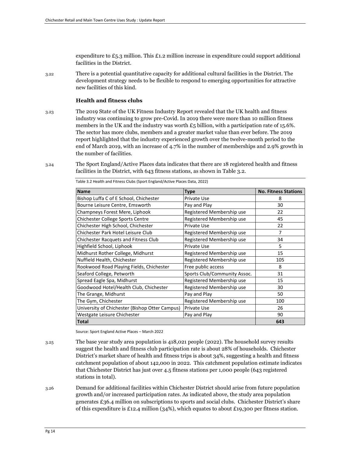expenditure to  $E_5$ .3 million. This  $E_1$ .2 million increase in expenditure could support additional facilities in the District.

3.22 There is a potential quantitative capacity for additional cultural facilities in the District. The development strategy needs to be flexible to respond to emerging opportunities for attractive new facilities of this kind.

#### **Health and fitness clubs**

- 3.23 The 2019 State of the UK Fitness Industry Report revealed that the UK health and fitness industry was continuing to grow pre-Covid. In 2019 there were more than 10 million fitness members in the UK and the industry was worth  $E_5$  billion, with a participation rate of 15.6%. The sector has more clubs, members and a greater market value than ever before. The 2019 report highlighted that the industry experienced growth over the twelve-month period to the end of March 2019, with an increase of 4.7% in the number of memberships and 2.9% growth in the number of facilities.
- 3.24 The Sport England/Active Places data indicates that there are 18 registered health and fitness facilities in the District, with 643 fitness stations, as shown in Table 3.2.

| <b>Name</b>                                    | <b>Type</b>                  | <b>No. Fitness Stations</b> |
|------------------------------------------------|------------------------------|-----------------------------|
| Bishop Luffa C of E School, Chichester         | Private Use                  | 8                           |
| Bourne Leisure Centre, Emsworth                | Pay and Play                 | 30                          |
| Champneys Forest Mere, Liphook                 | Registered Membership use    | 22                          |
| Chichester College Sports Centre               | Registered Membership use    | 45                          |
| Chichester High School, Chichester             | Private Use                  | 22                          |
| Chichester Park Hotel Leisure Club             | Registered Membership use    | $\overline{7}$              |
| <b>Chichester Racquets and Fitness Club</b>    | Registered Membership use    | 34                          |
| Highfield School, Liphook                      | Private Use                  | 5                           |
| Midhurst Rother College, Midhurst              | Registered Membership use    | 15                          |
| Nuffield Health, Chichester                    | Registered Membership use    | 105                         |
| Rookwood Road Playing Fields, Chichester       | Free public access           | 8                           |
| Seaford College, Petworth                      | Sports Club/Community Assoc. | 31                          |
| Spread Eagle Spa, Midhurst                     | Registered Membership use    | 15                          |
| Goodwood Hotel/Health Club, Chichester         | Registered Membership use    | 30                          |
| The Grange, Midhurst                           | Pay and Play                 | 50                          |
| The Gym, Chichester                            | Registered Membership use    | 100                         |
| University of Chichester (Bishop Otter Campus) | Private Use                  | 26                          |
| Westgate Leisure Chichester                    | Pay and Play                 | 90                          |
| <b>Total</b>                                   |                              | 643                         |

Table 3.2 Health and Fitness Clubs (Sport England/Active Places Data, 2022)

Source: Sport England Active Places – March 2022

- 3.25 The base year study area population is 418,021 people (2022). The household survey results suggest the health and fitness club participation rate is about 28% of households. Chichester District's market share of health and fitness trips is about 34%, suggesting a health and fitness catchment population of about 142,000 in 2022. This catchment population estimate indicates that Chichester District has just over 4.5 fitness stations per 1,000 people (643 registered stations in total).
- 3.26 Demand for additional facilities within Chichester District should arise from future population growth and/or increased participation rates. As indicated above, the study area population generates £36.4 million on subscriptions to sports and social clubs. Chichester District's share of this expenditure is £12.4 million (34%), which equates to about £19,300 per fitness station.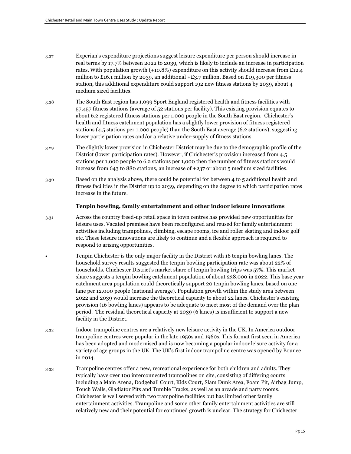- 3.27 Experian's expenditure projections suggest leisure expenditure per person should increase in real terms by 17.7% between 2022 to 2039, which is likely to include an increase in participation rates. With population growth (+10.8%) expenditure on this activity should increase from £12.4 million to £16.1 million by 2039, an additional  $+E3.7$  million. Based on £19,300 per fitness station, this additional expenditure could support 192 new fitness stations by 2039, about 4 medium sized facilities.
- 3.28 The South East region has 1,099 Sport England registered health and fitness facilities with 57,457 fitness stations (average of 52 stations per facility). This existing provision equates to about 6.2 registered fitness stations per 1,000 people in the South East region. Chichester's health and fitness catchment population has a slightly lower provision of fitness registered stations (4.5 stations per 1,000 people) than the South East average (6.2 stations), suggesting lower participation rates and/or a relative under-supply of fitness stations.
- 3.29 The slightly lower provision in Chichester District may be due to the demographic profile of the District (lower participation rates). However, if Chichester's provision increased from 4.5 stations per 1,000 people to 6.2 stations per 1,000 then the number of fitness stations would increase from 643 to 880 stations, an increase of +237 or about 5 medium sized facilities.
- 3.30 Based on the analysis above, there could be potential for between 4 to 5 additional health and fitness facilities in the District up to 2039, depending on the degree to which participation rates increase in the future.

#### **Tenpin bowling, family entertainment and other indoor leisure innovations**

- 3.31 Across the country freed-up retail space in town centres has provided new opportunities for leisure uses. Vacated premises have been reconfigured and reused for family entertainment activities including trampolines, climbing, escape rooms, ice and roller skating and indoor golf etc. These leisure innovations are likely to continue and a flexible approach is required to respond to arising opportunities.
	- Tenpin Chichester is the only major facility in the District with 16 tenpin bowling lanes. The household survey results suggested the tenpin bowling participation rate was about 22% of households. Chichester District's market share of tenpin bowling trips was 57%. This market share suggests a tenpin bowling catchment population of about 238,000 in 2022. This base year catchment area population could theoretically support 20 tenpin bowling lanes, based on one lane per 12,000 people (national average). Population growth within the study area between 2022 and 2039 would increase the theoretical capacity to about 22 lanes. Chichester's existing provision (16 bowling lanes) appears to be adequate to meet most of the demand over the plan period. The residual theoretical capacity at 2039 (6 lanes) is insufficient to support a new facility in the District.
- 3.32 Indoor trampoline centres are a relatively new leisure activity in the UK. In America outdoor trampoline centres were popular in the late 1950s and 1960s. This format first seen in America has been adopted and modernised and is now becoming a popular indoor leisure activity for a variety of age groups in the UK. The UK's first indoor trampoline centre was opened by Bounce in 2014.
- 3.33 Trampoline centres offer a new, recreational experience for both children and adults. They typically have over 100 interconnected trampolines on site, consisting of differing courts including a Main Arena, Dodgeball Court, Kids Court, Slam Dunk Area, Foam Pit, Airbag Jump, Touch Walls, Gladiator Pits and Tumble Tracks, as well as an arcade and party rooms. Chichester is well served with two trampoline facilities but has limited other family entertainment activities. Trampoline and some other family entertainment activities are still relatively new and their potential for continued growth is unclear. The strategy for Chichester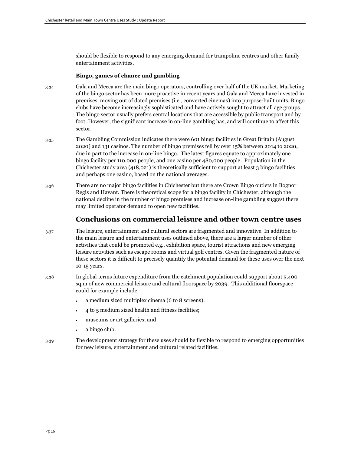should be flexible to respond to any emerging demand for trampoline centres and other family entertainment activities.

#### **Bingo, games of chance and gambling**

- 3.34 Gala and Mecca are the main bingo operators, controlling over half of the UK market. Marketing of the bingo sector has been more proactive in recent years and Gala and Mecca have invested in premises, moving out of dated premises (i.e., converted cinemas) into purpose-built units. Bingo clubs have become increasingly sophisticated and have actively sought to attract all age groups. The bingo sector usually prefers central locations that are accessible by public transport and by foot. However, the significant increase in on-line gambling has, and will continue to affect this sector.
- 3.35 The Gambling Commission indicates there were 601 bingo facilities in Great Britain (August 2020) and 131 casinos. The number of bingo premises fell by over 15% between 2014 to 2020, due in part to the increase in on-line bingo. The latest figures equate to approximately one bingo facility per 110,000 people, and one casino per 480,000 people. Population in the Chichester study area (418,021) is theoretically sufficient to support at least 3 bingo facilities and perhaps one casino, based on the national averages.
- 3.36 There are no major bingo facilities in Chichester but there are Crown Bingo outlets in Bognor Regis and Havant. There is theoretical scope for a bingo facility in Chichester, although the national decline in the number of bingo premises and increase on-line gambling suggest there may limited operator demand to open new facilities.

#### **Conclusions on commercial leisure and other town centre uses**

- 3.37 The leisure, entertainment and cultural sectors are fragmented and innovative. In addition to the main leisure and entertainment uses outlined above, there are a larger number of other activities that could be promoted e.g., exhibition space, tourist attractions and new emerging leisure activities such as escape rooms and virtual golf centres. Given the fragmented nature of these sectors it is difficult to precisely quantify the potential demand for these uses over the next 10-15 years.
- 3.38 In global terms future expenditure from the catchment population could support about 5,400 sq.m of new commercial leisure and cultural floorspace by 2039. This additional floorspace could for example include:
	- a medium sized multiplex cinema (6 to 8 screens);
	- 4 to 5 medium sized health and fitness facilities;
	- museums or art galleries; and
	- a bingo club.
- 3.39 The development strategy for these uses should be flexible to respond to emerging opportunities for new leisure, entertainment and cultural related facilities.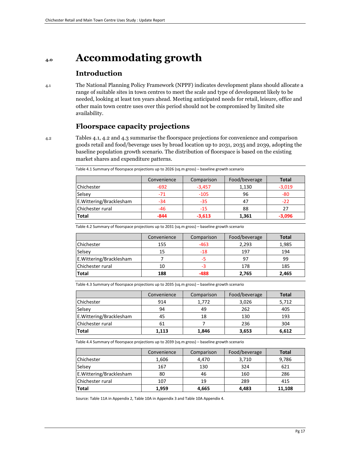## **4.0 Accommodating growth**

## **Introduction**

4.1 The National Planning Policy Framework (NPPF) indicates development plans should allocate a range of suitable sites in town centres to meet the scale and type of development likely to be needed, looking at least ten years ahead. Meeting anticipated needs for retail, leisure, office and other main town centre uses over this period should not be compromised by limited site availability.

## **Floorspace capacity projections**

4.2 Tables 4.1, 4.2 and 4.3 summarise the floorspace projections for convenience and comparison goods retail and food/beverage uses by broad location up to 2031, 2035 and 2039, adopting the baseline population growth scenario. The distribution of floorspace is based on the existing market shares and expenditure patterns.

|                          | Convenience | Comparison | Food/beverage | <b>Total</b> |
|--------------------------|-------------|------------|---------------|--------------|
| <b>Chichester</b>        | $-692$      | $-3,457$   | 1,130         | $-3,019$     |
| Selsey                   | $-71$       | $-105$     | 96            | -80          |
| E. Wittering/Bracklesham | -34         | $-35$      |               | $-22$        |
| Chichester rural         | $-46$       | $-15$      | 88            | 27           |
| <b>Total</b>             | $-844$      | $-3,613$   | 1,361         | $-3,096$     |

Table 4.1 Summary of floorspace projections up to 2026 (sq.m gross) – baseline growth scenario

Table 4.2 Summary of floorspace projections up to 2031 (sq.m gross) – baseline growth scenario

|                          | Convenience | Comparison | Food/beverage | <b>Total</b> |
|--------------------------|-------------|------------|---------------|--------------|
| <b>Chichester</b>        | 155         | -463       | 2,293         | 1,985        |
| Selsey                   | 15          | $-18$      | 197           | 194          |
| E. Wittering/Bracklesham |             | -5         | 97            | 99           |
| Chichester rural         | 10          | -3         | 178           | 185          |
| <b>Total</b>             | 188         | -488       | 2.765         | 2.465        |

Table 4.3 Summary of floorspace projections up to 2035 (sq.m gross) – baseline growth scenario

|                          | Convenience | Comparison | Food/beverage | <b>Total</b> |
|--------------------------|-------------|------------|---------------|--------------|
| Chichester               | 914         | 1,772      | 3,026         | 5,712        |
| Selsey                   | 94          | 49         | 262           | 405          |
| E. Wittering/Bracklesham | 45          | 18         | 130           | 193          |
| Chichester rural         | 61          |            | 236           | 304          |
| <b>Total</b>             | 1,113       | 1,846      | 3,653         | 6,612        |

Table 4.4 Summary of floorspace projections up to 2039 (sq.m gross) – baseline growth scenario

|                          | Convenience | Comparison | Food/beverage | <b>Total</b> |
|--------------------------|-------------|------------|---------------|--------------|
| <b>Chichester</b>        | 1,606       | 4,470      | 3,710         | 9,786        |
| Selsey                   | 167         | 130        | 324           | 621          |
| E. Wittering/Bracklesham | 80          | 46         | 160           | 286          |
| Chichester rural         | 107         | 19         | 289           | 415          |
| <b>Total</b>             | 1,959       | 4,665      | 4,483         | 11,108       |

Source: Table 11A in Appendix 2, Table 10A in Appendix 3 and Table 10A Appendix 4.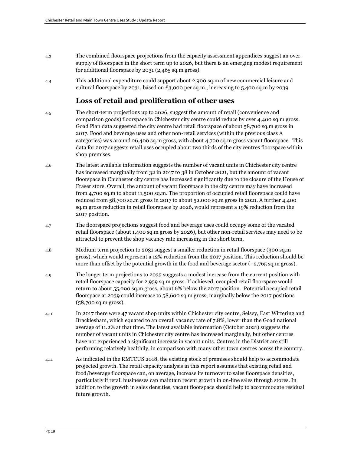- 4.3 The combined floorspace projections from the capacity assessment appendices suggest an oversupply of floorspace in the short term up to 2026, but there is an emerging modest requirement for additional floorspace by 2031 (2,465 sq.m gross).
- 4.4 This additional expenditure could support about 2,900 sq.m of new commercial leisure and cultural floorspace by 2031, based on £3,000 per sq.m., increasing to 5,400 sq.m by 2039

## **Loss of retail and proliferation of other uses**

- 4.5 The short-term projections up to 2026, suggest the amount of retail (convenience and comparison goods) floorspace in Chichester city centre could reduce by over 4,400 sq.m gross. Goad Plan data suggested the city centre had retail floorspace of about 58,700 sq.m gross in 2017. Food and beverage uses and other non-retail services (within the previous class A categories) was around 26,400 sq.m gross, with about 4,700 sq.m gross vacant floorspace. This data for 2017 suggests retail uses occupied about two thirds of the city centres floorspace within shop premises.
- 4.6 The latest available information suggests the number of vacant units in Chichester city centre has increased marginally from 32 in 2017 to 38 in October 2021, but the amount of vacant floorspace in Chichester city centre has increased significantly due to the closure of the House of Fraser store. Overall, the amount of vacant floorspace in the city centre may have increased from 4,700 sq.m to about 11,500 sq.m. The proportion of occupied retail floorspace could have reduced from 58,700 sq.m gross in 2017 to about 52,000 sq.m gross in 2021. A further 4,400 sq.m gross reduction in retail floorspace by 2026, would represent a 19% reduction from the 2017 position.
- 4.7 The floorspace projections suggest food and beverage uses could occupy some of the vacated retail floorspace (about 1,400 sq.m gross by 2026), but other non-retail services may need to be attracted to prevent the shop vacancy rate increasing in the short term.
- 4.8 Medium term projection to 2031 suggest a smaller reduction in retail floorspace (300 sq.m gross), which would represent a 12% reduction from the 2017 position. This reduction should be more than offset by the potential growth in the food and beverage sector (+2,765 sq.m gross).
- 4.9 The longer term projections to 2035 suggests a modest increase from the current position with retail floorspace capacity for 2,959 sq.m gross. If achieved, occupied retail floorspace would return to about 55,000 sq.m gross, about 6% below the 2017 position. Potential occupied retail floorspace at 2039 could increase to 58,600 sq.m gross, marginally below the 2017 positions (58,700 sq.m gross).
- 4.10 In 2017 there were 47 vacant shop units within Chichester city centre, Selsey, East Wittering and Bracklesham, which equated to an overall vacancy rate of 7.8%, lower than the Goad national average of 11.2% at that time. The latest available information (October 2021) suggests the number of vacant units in Chichester city centre has increased marginally, but other centres have not experienced a significant increase in vacant units. Centres in the District are still performing relatively healthily, in comparison with many other town centres across the country.
- 4.11 As indicated in the RMTCUS 2018, the existing stock of premises should help to accommodate projected growth. The retail capacity analysis in this report assumes that existing retail and food/beverage floorspace can, on average, increase its turnover to sales floorspace densities, particularly if retail businesses can maintain recent growth in on-line sales through stores. In addition to the growth in sales densities, vacant floorspace should help to accommodate residual future growth.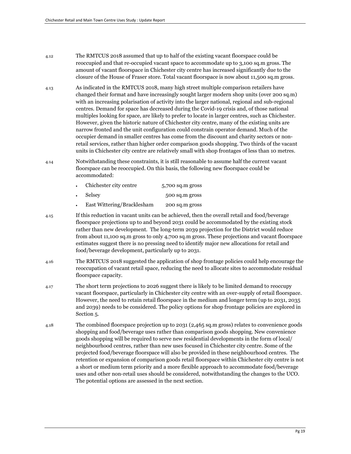- 4.12 The RMTCUS 2018 assumed that up to half of the existing vacant floorspace could be reoccupied and that re-occupied vacant space to accommodate up to 3,100 sq.m gross. The amount of vacant floorspace in Chichester city centre has increased significantly due to the closure of the House of Fraser store. Total vacant floorspace is now about 11,500 sq.m gross.
- 4.13 As indicated in the RMTCUS 2018, many high street multiple comparison retailers have changed their format and have increasingly sought larger modern shop units (over 200 sq.m) with an increasing polarisation of activity into the larger national, regional and sub-regional centres. Demand for space has decreased during the Covid-19 crisis and, of those national multiples looking for space, are likely to prefer to locate in larger centres, such as Chichester. However, given the historic nature of Chichester city centre, many of the existing units are narrow fronted and the unit configuration could constrain operator demand. Much of the occupier demand in smaller centres has come from the discount and charity sectors or nonretail services, rather than higher order comparison goods shopping. Two thirds of the vacant units in Chichester city centre are relatively small with shop frontages of less than 10 metres.
- 4.14 Notwithstanding these constraints, it is still reasonable to assume half the current vacant floorspace can be reoccupied. On this basis, the following new floorspace could be accommodated:
	- Chichester city centre 5,700 sq.m gross
	- Selsey 500 sq.m gross
	- East Wittering/Bracklesham 200 sq.m gross
- 4.15 If this reduction in vacant units can be achieved, then the overall retail and food/beverage floorspace projections up to and beyond 2031 could be accommodated by the existing stock rather than new development. The long-term 2039 projection for the District would reduce from about 11,100 sq.m gross to only 4,700 sq.m gross. These projections and vacant floorspace estimates suggest there is no pressing need to identify major new allocations for retail and food/beverage development, particularly up to 2031.
- 4.16 The RMTCUS 2018 suggested the application of shop frontage policies could help encourage the reoccupation of vacant retail space, reducing the need to allocate sites to accommodate residual floorspace capacity.
- 4.17 The short term projections to 2026 suggest there is likely to be limited demand to reoccupy vacant floorspace, particularly in Chichester city centre with an over-supply of retail floorspace. However, the need to retain retail floorspace in the medium and longer term (up to 2031, 2035 and 2039) needs to be considered. The policy options for shop frontage policies are explored in Section 5.
- 4.18 The combined floorspace projection up to 2031 (2,465 sq.m gross) relates to convenience goods shopping and food/beverage uses rather than comparison goods shopping. New convenience goods shopping will be required to serve new residential developments in the form of local/ neighbourhood centres, rather than new uses focused in Chichester city centre. Some of the projected food/beverage floorspace will also be provided in these neighbourhood centres. The retention or expansion of comparison goods retail floorspace within Chichester city centre is not a short or medium term priority and a more flexible approach to accommodate food/beverage uses and other non-retail uses should be considered, notwithstanding the changes to the UCO. The potential options are assessed in the next section.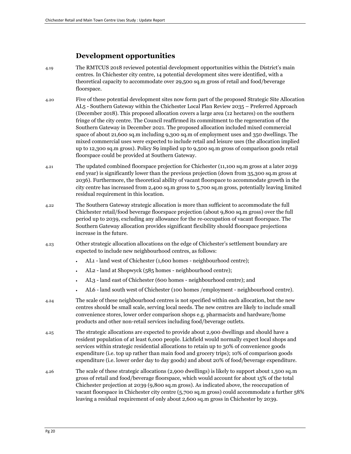## **Development opportunities**

- 4.19 The RMTCUS 2018 reviewed potential development opportunities within the District's main centres. In Chichester city centre, 14 potential development sites were identified, with a theoretical capacity to accommodate over 29,500 sq.m gross of retail and food/beverage floorspace.
- 4.20 Five of these potential development sites now form part of the proposed Strategic Site Allocation AL5 - Southern Gateway within the Chichester Local Plan Review 2035 – Preferred Approach (December 2018). This proposed allocation covers a large area (12 hectares) on the southern fringe of the city centre. The Council reaffirmed its commitment to the regeneration of the Southern Gateway in December 2021. The proposed allocation included mixed commercial space of about 21,600 sq.m including 9,300 sq.m of employment uses and 350 dwellings. The mixed commercial uses were expected to include retail and leisure uses (the allocation implied up to 12,300 sq.m gross). Policy S9 implied up to 9,500 sq.m gross of comparison goods retail floorspace could be provided at Southern Gateway.
- 4.21 The updated combined floorspace projection for Chichester (11,100 sq.m gross at a later 2039 end year) is significantly lower than the previous projection (down from 35,300 sq.m gross at 2036). Furthermore, the theoretical ability of vacant floorspace to accommodate growth in the city centre has increased from 2,400 sq.m gross to 5,700 sq.m gross, potentially leaving limited residual requirement in this location.
- 4.22 The Southern Gateway strategic allocation is more than sufficient to accommodate the full Chichester retail/food beverage floorspace projection (about 9,800 sq.m gross) over the full period up to 2039, excluding any allowance for the re-occupation of vacant floorspace. The Southern Gateway allocation provides significant flexibility should floorspace projections increase in the future.
- 4.23 Other strategic allocation allocations on the edge of Chichester's settlement boundary are expected to include new neighbourhood centres, as follows:
	- AL1 land west of Chichester (1,600 homes neighbourhood centre);
	- AL2 land at Shopwyck (585 homes neighbourhood centre);
	- AL3 land east of Chichester (600 homes neighbourhood centre); and
	- AL6 land south west of Chichester (100 homes /employment neighbourhood centre).
- 4.24 The scale of these neighbourhood centres is not specified within each allocation, but the new centres should be small scale, serving local needs. The new centres are likely to include small convenience stores, lower order comparison shops e.g. pharmacists and hardware/home products and other non-retail services including food/beverage outlets.
- 4.25 The strategic allocations are expected to provide about 2,900 dwellings and should have a resident population of at least 6,000 people. Lichfield would normally expect local shops and services within strategic residential allocations to retain up to 30% of convenience goods expenditure (i.e. top up rather than main food and grocery trips); 10% of comparison goods expenditure (i.e. lower order day to day goods) and about 20% of food/beverage expenditure.
- 4.26 The scale of these strategic allocations (2,900 dwellings) is likely to support about 1,500 sq.m gross of retail and food/beverage floorspace, which would account for about 15% of the total Chichester projection at 2039 (9,800 sq.m gross). As indicated above, the reoccupation of vacant floorspace in Chichester city centre (5,700 sq.m gross) could accommodate a further 58% leaving a residual requirement of only about 2,600 sq.m gross in Chichester by 2039.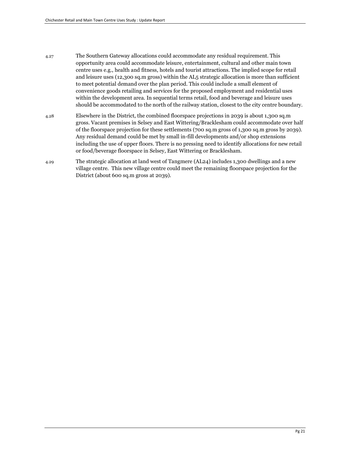- 4.27 The Southern Gateway allocations could accommodate any residual requirement. This opportunity area could accommodate leisure, entertainment, cultural and other main town centre uses e.g., health and fitness, hotels and tourist attractions. The implied scope for retail and leisure uses (12,300 sq.m gross) within the AL5 strategic allocation is more than sufficient to meet potential demand over the plan period. This could include a small element of convenience goods retailing and services for the proposed employment and residential uses within the development area. In sequential terms retail, food and beverage and leisure uses should be accommodated to the north of the railway station, closest to the city centre boundary.
- 4.28 Elsewhere in the District, the combined floorspace projections in 2039 is about 1,300 sq.m gross. Vacant premises in Selsey and East Wittering/Bracklesham could accommodate over half of the floorspace projection for these settlements (700 sq.m gross of 1,300 sq.m gross by 2039). Any residual demand could be met by small in-fill developments and/or shop extensions including the use of upper floors. There is no pressing need to identify allocations for new retail or food/beverage floorspace in Selsey, East Wittering or Bracklesham.
- 4.29 The strategic allocation at land west of Tangmere (AL24) includes 1,300 dwellings and a new village centre. This new village centre could meet the remaining floorspace projection for the District (about 600 sq.m gross at 2039).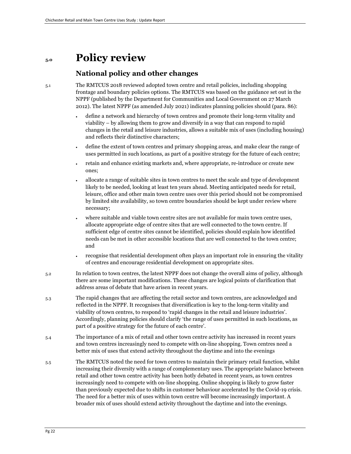## **5.0 Policy review**

## **National policy and other changes**

5.1 The RMTCUS 2018 reviewed adopted town centre and retail policies, including shopping frontage and boundary policies options. The RMTCUS was based on the guidance set out in the NPPF (published by the Department for Communities and Local Government on 27 March 2012). The latest NPPF (as amended July 2021) indicates planning policies should (para. 86):

- define a network and hierarchy of town centres and promote their long-term vitality and viability – by allowing them to grow and diversify in a way that can respond to rapid changes in the retail and leisure industries, allows a suitable mix of uses (including housing) and reflects their distinctive characters;
- define the extent of town centres and primary shopping areas, and make clear the range of uses permitted in such locations, as part of a positive strategy for the future of each centre;
- retain and enhance existing markets and, where appropriate, re-introduce or create new ones;
- allocate a range of suitable sites in town centres to meet the scale and type of development likely to be needed, looking at least ten years ahead. Meeting anticipated needs for retail, leisure, office and other main town centre uses over this period should not be compromised by limited site availability, so town centre boundaries should be kept under review where necessary;
- where suitable and viable town centre sites are not available for main town centre uses, allocate appropriate edge of centre sites that are well connected to the town centre. If sufficient edge of centre sites cannot be identified, policies should explain how identified needs can be met in other accessible locations that are well connected to the town centre; and
- recognise that residential development often plays an important role in ensuring the vitality of centres and encourage residential development on appropriate sites.
- 5.2 In relation to town centres, the latest NPPF does not change the overall aims of policy, although there are some important modifications. These changes are logical points of clarification that address areas of debate that have arisen in recent years.
- 5.3 The rapid changes that are affecting the retail sector and town centres, are acknowledged and reflected in the NPPF. It recognises that diversification is key to the long-term vitality and viability of town centres, to respond to 'rapid changes in the retail and leisure industries'. Accordingly, planning policies should clarify 'the range of uses permitted in such locations, as part of a positive strategy for the future of each centre'.
- 5.4 The importance of a mix of retail and other town centre activity has increased in recent years and town centres increasingly need to compete with on-line shopping. Town centres need a better mix of uses that extend activity throughout the daytime and into the evenings
- 5.5 The RMTCUS noted the need for town centres to maintain their primary retail function, whilst increasing their diversity with a range of complementary uses. The appropriate balance between retail and other town centre activity has been hotly debated in recent years, as town centres increasingly need to compete with on-line shopping. Online shopping is likely to grow faster than previously expected due to shifts in customer behaviour accelerated by the Covid-19 crisis. The need for a better mix of uses within town centre will become increasingly important. A broader mix of uses should extend activity throughout the daytime and into the evenings.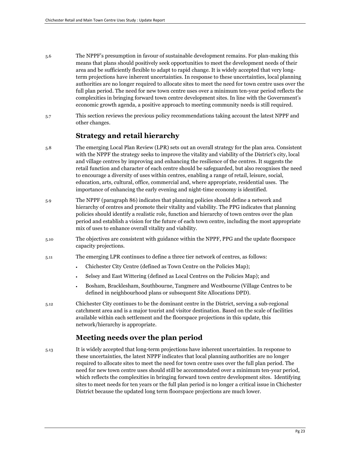- 5.6 The NPPF's presumption in favour of sustainable development remains. For plan-making this means that plans should positively seek opportunities to meet the development needs of their area and be sufficiently flexible to adapt to rapid change. It is widely accepted that very longterm projections have inherent uncertainties. In response to these uncertainties, local planning authorities are no longer required to allocate sites to meet the need for town centre uses over the full plan period. The need for new town centre uses over a minimum ten-year period reflects the complexities in bringing forward town centre development sites. In line with the Government's economic growth agenda, a positive approach to meeting community needs is still required.
- 5.7 This section reviews the previous policy recommendations taking account the latest NPPF and other changes.

### **Strategy and retail hierarchy**

- 5.8 The emerging Local Plan Review (LPR) sets out an overall strategy for the plan area. Consistent with the NPPF the strategy seeks to improve the vitality and viability of the District's city, local and village centres by improving and enhancing the resilience of the centres. It suggests the retail function and character of each centre should be safeguarded, but also recognises the need to encourage a diversity of uses within centres, enabling a range of retail, leisure, social, education, arts, cultural, office, commercial and, where appropriate, residential uses. The importance of enhancing the early evening and night-time economy is identified.
- 5.9 The NPPF (paragraph 86) indicates that planning policies should define a network and hierarchy of centres and promote their vitality and viability. The PPG indicates that planning policies should identify a realistic role, function and hierarchy of town centres over the plan period and establish a vision for the future of each town centre, including the most appropriate mix of uses to enhance overall vitality and viability.
- 5.10 The objectives are consistent with guidance within the NPPF, PPG and the update floorspace capacity projections.
- 5.11 The emerging LPR continues to define a three tier network of centres, as follows:
	- Chichester City Centre (defined as Town Centre on the Policies Map);
	- Selsey and East Wittering (defined as Local Centres on the Policies Map); and
	- Bosham, Bracklesham, Southbourne, Tangmere and Westbourne (Village Centres to be defined in neighbourhood plans or subsequent Site Allocations DPD).
- 5.12 Chichester City continues to be the dominant centre in the District, serving a sub-regional catchment area and is a major tourist and visitor destination. Based on the scale of facilities available within each settlement and the floorspace projections in this update, this network/hierarchy is appropriate.

### **Meeting needs over the plan period**

5.13 It is widely accepted that long-term projections have inherent uncertainties. In response to these uncertainties, the latest NPPF indicates that local planning authorities are no longer required to allocate sites to meet the need for town centre uses over the full plan period. The need for new town centre uses should still be accommodated over a minimum ten-year period, which reflects the complexities in bringing forward town centre development sites. Identifying sites to meet needs for ten years or the full plan period is no longer a critical issue in Chichester District because the updated long term floorspace projections are much lower.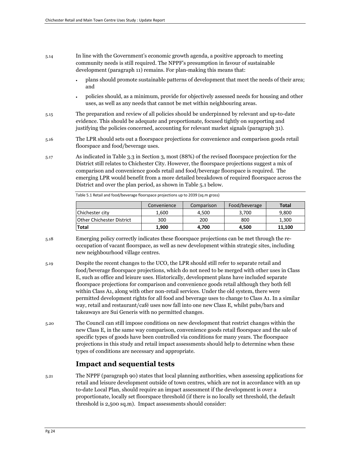- 5.14 In line with the Government's economic growth agenda, a positive approach to meeting community needs is still required. The NPPF's presumption in favour of sustainable development (paragraph 11) remains. For plan-making this means that:
	- plans should promote sustainable patterns of development that meet the needs of their area; and
	- policies should, as a minimum, provide for objectively assessed needs for housing and other uses, as well as any needs that cannot be met within neighbouring areas.
- 5.15 The preparation and review of all policies should be underpinned by relevant and up-to-date evidence. This should be adequate and proportionate, focused tightly on supporting and justifying the policies concerned, accounting for relevant market signals (paragraph 31).
- 5.16 The LPR should sets out a floorspace projections for convenience and comparison goods retail floorspace and food/beverage uses.
- 5.17 As indicated in Table 3.3 in Section 3, most (88%) of the revised floorspace projection for the District still relates to Chichester City. However, the floorspace projections suggest a mix of comparison and convenience goods retail and food/beverage floorspace is required. The emerging LPR would benefit from a more detailed breakdown of required floorspace across the District and over the plan period, as shown in Table 5.1 below.

|                                  | Convenience | Comparison | Food/beverage | Total  |
|----------------------------------|-------------|------------|---------------|--------|
| Chichester city                  | 1,600       | 4.500      | 3.700         | 9,800  |
| <b>Other Chichester District</b> | 300         | 200        | 800           | 1.300  |
| <b>Total</b>                     | 1.900       | 4.700      | 4.500         | 11.100 |

Table 5.1 Retail and food/beverage floorspace projections up to 2039 (sq.m gross)

- 5.18 Emerging policy correctly indicates these floorspace projections can be met through the reoccupation of vacant floorspace, as well as new development within strategic sites, including new neighbourhood village centres.
- 5.19 Despite the recent changes to the UCO, the LPR should still refer to separate retail and food/beverage floorspace projections, which do not need to be merged with other uses in Class E, such as office and leisure uses. Historically, development plans have included separate floorspace projections for comparison and convenience goods retail although they both fell within Class A1, along with other non-retail services. Under the old system, there were permitted development rights for all food and beverage uses to change to Class A1. In a similar way, retail and restaurant/café uses now fall into one new Class E, whilst pubs/bars and takeaways are Sui Generis with no permitted changes.
- 5.20 The Council can still impose conditions on new development that restrict changes within the new Class E, in the same way comparison, convenience goods retail floorspace and the sale of specific types of goods have been controlled via conditions for many years. The floorspace projections in this study and retail impact assessments should help to determine when these types of conditions are necessary and appropriate.

## **Impact and sequential tests**

5.21 The NPPF (paragraph 90) states that local planning authorities, when assessing applications for retail and leisure development outside of town centres, which are not in accordance with an up to-date Local Plan, should require an impact assessment if the development is over a proportionate, locally set floorspace threshold (if there is no locally set threshold, the default threshold is 2,500 sq.m). Impact assessments should consider: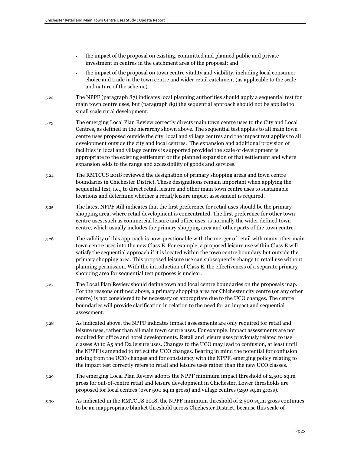- the impact of the proposal on existing, committed and planned public and private investment in centres in the catchment area of the proposal; and
- the impact of the proposal on town centre vitality and viability, including local consumer choice and trade in the town centre and wider retail catchment (as applicable to the scale and nature of the scheme).
- 5.22 The NPPF (paragraph 87) indicates local planning authorities should apply a sequential test for main town centre uses, but (paragraph 89) the sequential approach should not be applied to small scale rural development.
- 5.23 The emerging Local Plan Review correctly directs main town centre uses to the City and Local Centres, as defined in the hierarchy shown above. The sequential test applies to all main town centre uses proposed outside the city, local and village centres and the impact test applies to all development outside the city and local centres. The expansion and additional provision of facilities in local and village centres is supported provided the scale of development is appropriate to the existing settlement or the planned expansion of that settlement and where expansion adds to the range and accessibility of goods and services.
- 5.24 The RMTCUS 2018 reviewed the designation of primary shopping areas and town centre boundaries in Chichester District. These designations remain important when applying the sequential test, i.e., to direct retail, leisure and other main town centre uses to sustainable locations and determine whether a retail/leisure impact assessment is required.
- 5.25 The latest NPPF still indicates that the first preference for retail uses should be the primary shopping area, where retail development is concentrated. The first preference for other town centre uses, such as commercial leisure and office uses, is normally the wider defined town centre, which usually includes the primary shopping area and other parts of the town centre.
- 5.26 The validity of this approach is now questionable with the merger of retail with many other main town centre uses into the new Class E. For example, a proposed leisure use within Class E will satisfy the sequential approach if it is located within the town centre boundary but outside the primary shopping area. This proposed leisure use can subsequently change to retail use without planning permission. With the introduction of Class E, the effectiveness of a separate primary shopping area for sequential test purposes is unclear.
- 5.27 The Local Plan Review should define town and local centre boundaries on the proposals map. For the reasons outlined above, a primary shopping area for Chichester city centre (or any other centre) is not considered to be necessary or appropriate due to the UCO changes. The centre boundaries will provide clarification in relation to the need for an impact and sequential assessment.
- 5.28 As indicated above, the NPPF indicates impact assessments are only required for retail and leisure uses, rather than all main town centre uses. For example, impact assessments are not required for office and hotel developments. Retail and leisure uses previously related to use classes A1 to A5 and D2 leisure uses. Changes to the UCO may lead to confusion, at least until the NPPF is amended to reflect the UCO changes. Bearing in mind the potential for confusion arising from the UCO changes and for consistency with the NPPF, emerging policy relating to the impact test correctly refers to retail and leisure uses rather than the new UCO classes.
- 5.29 The emerging Local Plan Review adopts the NPPF minimum impact threshold of 2,500 sq.m gross for out-of-centre retail and leisure development in Chichester. Lower thresholds are proposed for local centres (over 500 sq.m gross) and village centres (250 sq.m gross).
- 5.30 As indicated in the RMTCUS 2018, the NPPF minimum threshold of 2,500 sq.m gross continues to be an inappropriate blanket threshold across Chichester District, because this scale of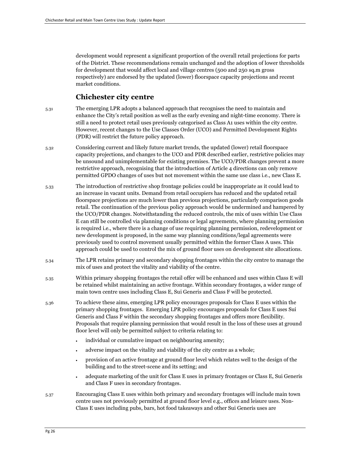development would represent a significant proportion of the overall retail projections for parts of the District. These recommendations remain unchanged and the adoption of lower thresholds for development that would affect local and village centres (500 and 250 sq.m gross respectively) are endorsed by the updated (lower) floorspace capacity projections and recent market conditions.

### **Chichester city centre**

- 5.31 The emerging LPR adopts a balanced approach that recognises the need to maintain and enhance the City's retail position as well as the early evening and night-time economy. There is still a need to protect retail uses previously categorised as Class A1 uses within the city centre. However, recent changes to the Use Classes Order (UCO) and Permitted Development Rights (PDR) will restrict the future policy approach.
- 5.32 Considering current and likely future market trends, the updated (lower) retail floorspace capacity projections, and changes to the UCO and PDR described earlier, restrictive policies may be unsound and unimplementable for existing premises. The UCO/PDR changes prevent a more restrictive approach, recognising that the introduction of Article 4 directions can only remove permitted GPDO changes of uses but not movement within the same use class i.e., new Class E.
- 5.33 The introduction of restrictive shop frontage policies could be inappropriate as it could lead to an increase in vacant units. Demand from retail occupiers has reduced and the updated retail floorspace projections are much lower than previous projections, particularly comparison goods retail. The continuation of the previous policy approach would be undermined and hampered by the UCO/PDR changes. Notwithstanding the reduced controls, the mix of uses within Use Class E can still be controlled via planning conditions or legal agreements, where planning permission is required i.e., where there is a change of use requiring planning permission, redevelopment or new development is proposed, in the same way planning conditions/legal agreements were previously used to control movement usually permitted within the former Class A uses. This approach could be used to control the mix of ground floor uses on development site allocations.
- 5.34 The LPR retains primary and secondary shopping frontages within the city centre to manage the mix of uses and protect the vitality and viability of the centre.
- 5.35 Within primary shopping frontages the retail offer will be enhanced and uses within Class E will be retained whilst maintaining an active frontage. Within secondary frontages, a wider range of main town centre uses including Class E, Sui Generis and Class F will be protected.
- 5.36 To achieve these aims, emerging LPR policy encourages proposals for Class E uses within the primary shopping frontages. Emerging LPR policy encourages proposals for Class E uses Sui Generis and Class F within the secondary shopping frontages and offers more flexibility. Proposals that require planning permission that would result in the loss of these uses at ground floor level will only be permitted subject to criteria relating to:
	- individual or cumulative impact on neighbouring amenity;
	- adverse impact on the vitality and viability of the city centre as a whole;
	- provision of an active frontage at ground floor level which relates well to the design of the building and to the street-scene and its setting; and
	- adequate marketing of the unit for Class E uses in primary frontages or Class E, Sui Generis and Class F uses in secondary frontages.
- 5.37 Encouraging Class E uses within both primary and secondary frontages will include main town centre uses not previously permitted at ground floor level e.g., offices and leisure uses. Non-Class E uses including pubs, bars, hot food takeaways and other Sui Generis uses are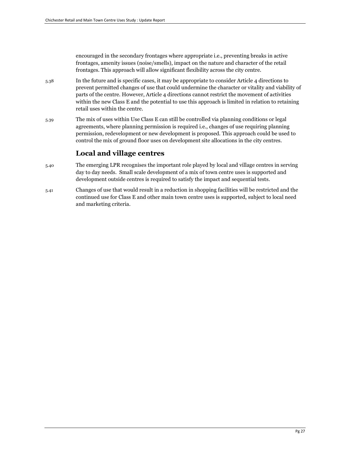encouraged in the secondary frontages where appropriate i.e., preventing breaks in active frontages, amenity issues (noise/smells), impact on the nature and character of the retail frontages. This approach will allow significant flexibility across the city centre.

- 5.38 In the future and is specific cases, it may be appropriate to consider Article 4 directions to prevent permitted changes of use that could undermine the character or vitality and viability of parts of the centre. However, Article 4 directions cannot restrict the movement of activities within the new Class E and the potential to use this approach is limited in relation to retaining retail uses within the centre.
- 5.39 The mix of uses within Use Class E can still be controlled via planning conditions or legal agreements, where planning permission is required i.e., changes of use requiring planning permission, redevelopment or new development is proposed. This approach could be used to control the mix of ground floor uses on development site allocations in the city centres.

## **Local and village centres**

- 5.40 The emerging LPR recognises the important role played by local and village centres in serving day to day needs. Small scale development of a mix of town centre uses is supported and development outside centres is required to satisfy the impact and sequential tests.
- 5.41 Changes of use that would result in a reduction in shopping facilities will be restricted and the continued use for Class E and other main town centre uses is supported, subject to local need and marketing criteria.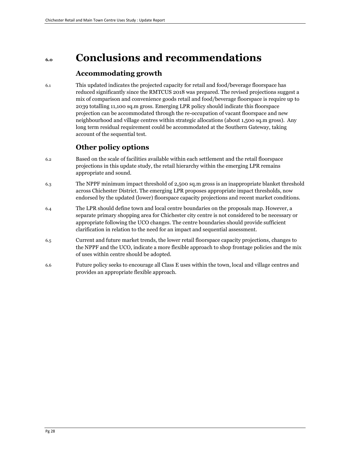## **6.0 Conclusions and recommendations**

## **Accommodating growth**

6.1 This updated indicates the projected capacity for retail and food/beverage floorspace has reduced significantly since the RMTCUS 2018 was prepared. The revised projections suggest a mix of comparison and convenience goods retail and food/beverage floorspace is require up to 2039 totalling 11,100 sq.m gross. Emerging LPR policy should indicate this floorspace projection can be accommodated through the re-occupation of vacant floorspace and new neighbourhood and village centres within strategic allocations (about 1,500 sq.m gross). Any long term residual requirement could be accommodated at the Southern Gateway, taking account of the sequential test.

## **Other policy options**

- 6.2 Based on the scale of facilities available within each settlement and the retail floorspace projections in this update study, the retail hierarchy within the emerging LPR remains appropriate and sound.
- 6.3 The NPPF minimum impact threshold of 2,500 sq.m gross is an inappropriate blanket threshold across Chichester District. The emerging LPR proposes appropriate impact thresholds, now endorsed by the updated (lower) floorspace capacity projections and recent market conditions.
- 6.4 The LPR should define town and local centre boundaries on the proposals map. However, a separate primary shopping area for Chichester city centre is not considered to be necessary or appropriate following the UCO changes. The centre boundaries should provide sufficient clarification in relation to the need for an impact and sequential assessment.
- 6.5 Current and future market trends, the lower retail floorspace capacity projections, changes to the NPPF and the UCO, indicate a more flexible approach to shop frontage policies and the mix of uses within centre should be adopted.
- 6.6 Future policy seeks to encourage all Class E uses within the town, local and village centres and provides an appropriate flexible approach.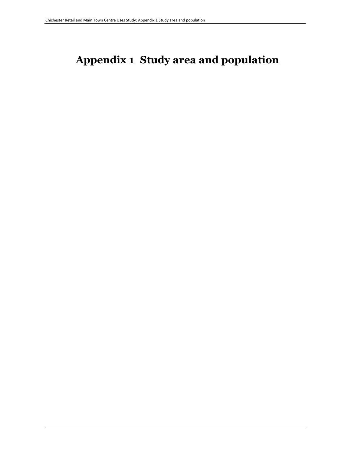## **Appendix 1 Study area and population**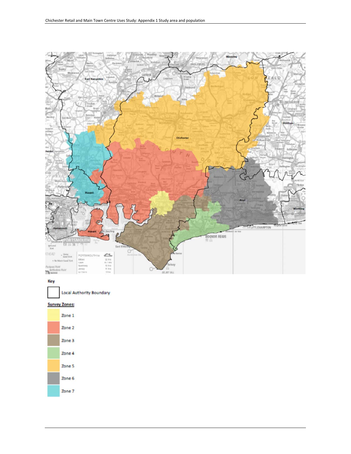

#### Key

Local Authority Boundary

#### **Survey Zones:**

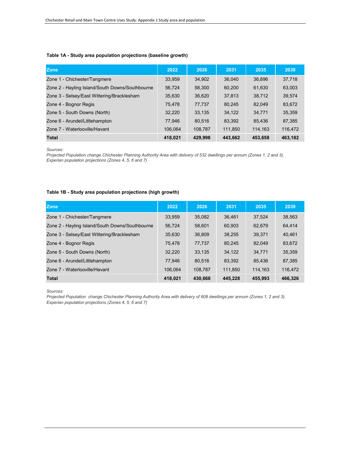#### **Table 1A - Study area population projections (baseline growth)**

| Zone                                            | 2022    | 2026    | 2031    | 2035    | 2039    |
|-------------------------------------------------|---------|---------|---------|---------|---------|
| Zone 1 - Chichester/Tangmere                    | 33,959  | 34,902  | 36.040  | 36.896  | 37,718  |
| Zone 2 - Hayling Island/South Downs/Southbourne | 56.724  | 58,300  | 60,200  | 61,630  | 63,003  |
| Zone 3 - Selsey/East Wittering/Bracklesham      | 35,630  | 36,620  | 37,813  | 38.712  | 39,574  |
| Zone 4 - Bognor Regis                           | 75.478  | 77,737  | 80,245  | 82.049  | 83,672  |
| Zone 5 - South Downs (North)                    | 32,220  | 33,135  | 34,122  | 34,771  | 35,359  |
| Zone 6 - Arundel/Littlehampton                  | 77.946  | 80.516  | 83.392  | 85.436  | 87,385  |
| Zone 7 - Waterlooville/Havant                   | 106.064 | 108,787 | 111,850 | 114,163 | 116,472 |
| <b>Total</b>                                    | 418,021 | 429.998 | 443,662 | 453,658 | 463,182 |

*Sources:* 

*Projected Population change Chichester Planning Authority Area with delivery of 532 dwellings per annum (Zones 1, 2 and 3). Experian population projections (Zones 4, 5, 6 and 7)*

#### **Table 1B - Study area population projections (high growth)**

| <b>Zone</b>                                     | 2022    | 2026    | 2031    | 2035    | 2039    |
|-------------------------------------------------|---------|---------|---------|---------|---------|
| Zone 1 - Chichester/Tangmere                    | 33.959  | 35.082  | 36.461  | 37.524  | 38.563  |
| Zone 2 - Hayling Island/South Downs/Southbourne | 56.724  | 58.601  | 60.903  | 62.679  | 64.414  |
| Zone 3 - Selsey/East Wittering/Bracklesham      | 35.630  | 36.809  | 38.255  | 39.371  | 40.461  |
| Zone 4 - Bognor Regis                           | 75.478  | 77.737  | 80,245  | 82.049  | 83,672  |
| Zone 5 - South Downs (North)                    | 32.220  | 33.135  | 34.122  | 34.771  | 35,359  |
| Zone 6 - Arundel/Littlehampton                  | 77.946  | 80.516  | 83.392  | 85.436  | 87,385  |
| Zone 7 - Waterlooville/Havant                   | 106.064 | 108,787 | 111.850 | 114.163 | 116.472 |
| <b>Total</b>                                    | 418.021 | 430.668 | 445.228 | 455.993 | 466.326 |

*Sources:* 

*Projected Population change Chichester Planning Authority Area with delivery of 608 dwellings per annum (Zones 1, 2 and 3). Experian population projections (Zones 4, 5, 6 and 7)*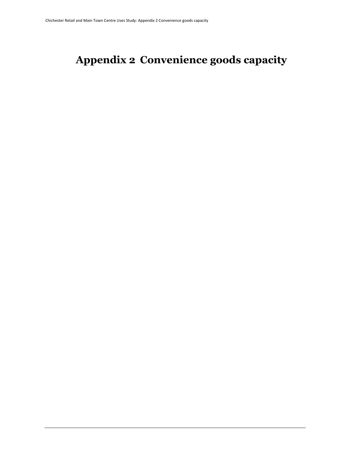# **Appendix 2 Convenience goods capacity**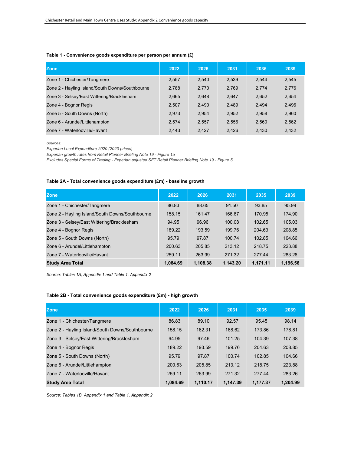#### **Table 1 - Convenience goods expenditure per person per annum (£)**

| <b>Zone</b>                                     | 2022  | 2026  | 2031  | 2035  | 2039  |
|-------------------------------------------------|-------|-------|-------|-------|-------|
| Zone 1 - Chichester/Tangmere                    | 2,557 | 2,540 | 2,539 | 2.544 | 2,545 |
| Zone 2 - Hayling Island/South Downs/Southbourne | 2.788 | 2.770 | 2,769 | 2.774 | 2,776 |
| Zone 3 - Selsey/East Wittering/Bracklesham      | 2,665 | 2,648 | 2.647 | 2.652 | 2,654 |
| Zone 4 - Bognor Regis                           | 2,507 | 2.490 | 2,489 | 2.494 | 2,496 |
| Zone 5 - South Downs (North)                    | 2.973 | 2.954 | 2,952 | 2,958 | 2,960 |
| Zone 6 - Arundel/Littlehampton                  | 2.574 | 2.557 | 2,556 | 2.560 | 2,562 |
| Zone 7 - Waterlooville/Havant                   | 2.443 | 2.427 | 2.426 | 2.430 | 2.432 |

*Sources:* 

*Experian Local Expenditure 2020 (2020 prices)*

*Experian growth rates from Retail Planner Briefing Note 19 - Figure 1a*

*Excludes Special Forms of Trading - Experian adjusted SFT Retail Planner Briefing Note 19 - Figure 5*

#### **Table 2A - Total convenience goods expenditure (£m) - baseline growth**

| <b>Zone</b>                                     | 2022     | 2026     | 2031     | 2035     | 2039     |
|-------------------------------------------------|----------|----------|----------|----------|----------|
| Zone 1 - Chichester/Tangmere                    | 86.83    | 88.65    | 91.50    | 93.85    | 95.99    |
| Zone 2 - Hayling Island/South Downs/Southbourne | 158.15   | 161.47   | 166.67   | 170.95   | 174.90   |
| Zone 3 - Selsey/East Wittering/Bracklesham      | 94.95    | 96.96    | 100.08   | 102.65   | 105.03   |
| Zone 4 - Bognor Regis                           | 189.22   | 193.59   | 199.76   | 204.63   | 208.85   |
| Zone 5 - South Downs (North)                    | 95.79    | 97.87    | 100.74   | 102.85   | 104.66   |
| Zone 6 - Arundel/Littlehampton                  | 200.63   | 205.85   | 213.12   | 218.75   | 223.88   |
| Zone 7 - Waterlooville/Havant                   | 259.11   | 263.99   | 271.32   | 277.44   | 283.26   |
| <b>Study Area Total</b>                         | 1,084.69 | 1,108.38 | 1,143.20 | 1,171.11 | 1.196.56 |

*Source: Tables 1A, Appendix 1 and Table 1, Appendix 2*

#### **Table 2B - Total convenience goods expenditure (£m) - high growth**

| <b>Zone</b>                                     | 2022     | 2026     | 2031     | 2035     | 2039     |
|-------------------------------------------------|----------|----------|----------|----------|----------|
| Zone 1 - Chichester/Tangmere                    | 86.83    | 89.10    | 92.57    | 95.45    | 98.14    |
| Zone 2 - Hayling Island/South Downs/Southbourne | 158.15   | 162.31   | 168.62   | 173.86   | 178.81   |
| Zone 3 - Selsey/East Wittering/Bracklesham      | 94.95    | 97.46    | 101.25   | 104.39   | 107.38   |
| Zone 4 - Bognor Regis                           | 189.22   | 193.59   | 199.76   | 204.63   | 208.85   |
| Zone 5 - South Downs (North)                    | 95.79    | 97.87    | 100.74   | 102.85   | 104.66   |
| Zone 6 - Arundel/Littlehampton                  | 200.63   | 205.85   | 213.12   | 218.75   | 223.88   |
| Zone 7 - Waterlooville/Havant                   | 259.11   | 263.99   | 271.32   | 277.44   | 283.26   |
| <b>Study Area Total</b>                         | 1.084.69 | 1.110.17 | 1.147.39 | 1.177.37 | 1.204.99 |

*Source: Tables 1B, Appendix 1 and Table 1, Appendix 2*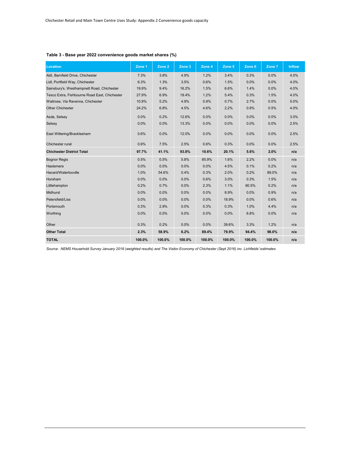## **Table 3 - Base year 2022 convenience goods market shares (%)**

| <b>Location</b>                               | Zone 1 | Zone 2 | Zone 3 | Zone 4 | Zone 5 | Zone 6 | Zone 7 | <b>Inflow</b> |
|-----------------------------------------------|--------|--------|--------|--------|--------|--------|--------|---------------|
| Aldi, Barnfield Drive, Chichester             | 7.3%   | 3.8%   | 4.9%   | 1.2%   | 3.4%   | 0.3%   | 0.0%   | 4.0%          |
| Lidl, Portfield Way, Chichester               | 6.3%   | 1.3%   | 3.5%   | 0.6%   | 1.5%   | 0.0%   | 0.0%   | 4.0%          |
| Sainsbury's, Westhampnett Road, Chichester    | 19.9%  | 9.4%   | 16.2%  | 1.5%   | 6.6%   | 1.4%   | 0.0%   | 4.0%          |
| Tesco Extra, Fishbourne Road East, Chichester | 27.9%  | 6.9%   | 19.4%  | 1.2%   | 5.4%   | 0.3%   | 1.5%   | 4.0%          |
| Waitrose, Via Ravenna, Chichester             | 10.9%  | 5.2%   | 4.9%   | 0.9%   | 0.7%   | 2.7%   | 0.0%   | 5.0%          |
| <b>Other Chichester</b>                       | 24.2%  | 6.8%   | 4.5%   | 4.6%   | 2.2%   | 0.9%   | 0.5%   | 4.0%          |
| Asda, Selsey                                  | 0.0%   | 0.2%   | 12.6%  | 0.0%   | 0.0%   | 0.0%   | 0.0%   | 3.0%          |
| Selsey                                        | 0.0%   | 0.0%   | 13.3%  | 0.0%   | 0.0%   | 0.0%   | 0.0%   | 2.5%          |
| East Wittering/Bracklesham                    | 0.6%   | 0.0%   | 12.0%  | 0.0%   | 0.0%   | 0.0%   | 0.0%   | 2.5%          |
| Chichester rural                              | 0.6%   | 7.5%   | 2.5%   | 0.6%   | 0.3%   | 0.0%   | 0.0%   | 2.5%          |
| <b>Chichester District Total</b>              | 97.7%  | 41.1%  | 93.8%  | 10.6%  | 20.1%  | 5.6%   | 2.0%   | n/a           |
| <b>Bognor Regis</b>                           | 0.5%   | 0.5%   | 5.8%   | 85.9%  | 1.6%   | 2.2%   | 0.0%   | n/a           |
| Haslemere                                     | 0.0%   | 0.0%   | 0.0%   | 0.0%   | 4.5%   | 0.1%   | 0.2%   | n/a           |
| Havant/Waterlooville                          | 1.0%   | 54.6%  | 0.4%   | 0.3%   | 2.0%   | 0.2%   | 89.0%  | n/a           |
| Horsham                                       | 0.0%   | 0.0%   | 0.0%   | 0.6%   | 3.0%   | 0.3%   | 1.5%   | n/a           |
| Littlehampton                                 | 0.2%   | 0.7%   | 0.0%   | 2.3%   | 1.1%   | 80.5%  | 0.2%   | n/a           |
| Midhurst                                      | 0.0%   | 0.0%   | 0.0%   | 0.0%   | 8.9%   | 0.0%   | 0.9%   | n/a           |
| Petersfield/Liss                              | 0.0%   | 0.0%   | 0.0%   | 0.0%   | 18.9%  | 0.0%   | 0.6%   | n/a           |
| Portsmouth                                    | 0.3%   | 2.9%   | 0.0%   | 0.3%   | 0.3%   | 1.0%   | 4.4%   | n/a           |
| Worthing                                      | 0.0%   | 0.0%   | 0.0%   | 0.0%   | 0.0%   | 6.8%   | 0.0%   | n/a           |
| Other                                         | 0.3%   | 0.2%   | 0.0%   | 0.0%   | 39.6%  | 3.3%   | 1.2%   | n/a           |
| <b>Other Total</b>                            | 2.3%   | 58.9%  | 6.2%   | 89.4%  | 79.9%  | 94.4%  | 98.0%  | n/a           |
| <b>TOTAL</b>                                  | 100.0% | 100.0% | 100.0% | 100.0% | 100.0% | 100.0% | 100.0% | n/a           |

*Source: NEMS Household Survey January 2018 (weighted results) and The Visitor Economy of Chichester (Sept 2016) inc. Lichfields' estimates*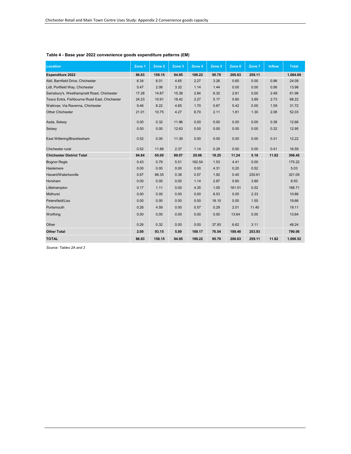| Location                                      | Zone 1 | Zone 2 | Zone $3$ | Zone 4 | Zone 5 | Zone 6 | Zone 7 | <b>Inflow</b> | <b>Total</b> |
|-----------------------------------------------|--------|--------|----------|--------|--------|--------|--------|---------------|--------------|
| <b>Expenditure 2022</b>                       | 86.83  | 158.15 | 94.95    | 189.22 | 95.79  | 200.63 | 259.11 |               | 1,084.69     |
| Aldi, Barnfield Drive, Chichester             | 6.34   | 6.01   | 4.65     | 2.27   | 3.26   | 0.60   | 0.00   | 0.96          | 24.09        |
| Lidl, Portfield Way, Chichester               | 5.47   | 2.06   | 3.32     | 1.14   | 1.44   | 0.00   | 0.00   | 0.56          | 13.98        |
| Sainsbury's, Westhampnett Road, Chichester    | 17.28  | 14.87  | 15.38    | 2.84   | 6.32   | 2.81   | 0.00   | 2.48          | 61.98        |
| Tesco Extra, Fishbourne Road East, Chichester | 24.23  | 10.91  | 18.42    | 2.27   | 5.17   | 0.60   | 3.89   | 2.73          | 68.22        |
| Waitrose, Via Ravenna, Chichester             | 9.46   | 8.22   | 4.65     | 1.70   | 0.67   | 5.42   | 0.00   | 1.59          | 31.72        |
| <b>Other Chichester</b>                       | 21.01  | 10.75  | 4.27     | 8.70   | 2.11   | 1.81   | 1.30   | 2.08          | 52.03        |
| Asda, Selsey                                  | 0.00   | 0.32   | 11.96    | 0.00   | 0.00   | 0.00   | 0.00   | 0.38          | 12.66        |
| Selsey                                        | 0.00   | 0.00   | 12.63    | 0.00   | 0.00   | 0.00   | 0.00   | 0.32          | 12.95        |
| East Wittering/Bracklesham                    | 0.52   | 0.00   | 11.39    | 0.00   | 0.00   | 0.00   | 0.00   | 0.31          | 12.22        |
| Chichester rural                              | 0.52   | 11.86  | 2.37     | 1.14   | 0.29   | 0.00   | 0.00   | 0.41          | 16.59        |
| <b>Chichester District Total</b>              | 84.84  | 65.00  | 89.07    | 20.06  | 19.25  | 11.24  | 5.18   | 11.82         | 306.45       |
| <b>Bognor Regis</b>                           | 0.43   | 0.79   | 5.51     | 162.54 | 1.53   | 4.41   | 0.00   |               | 175.22       |
| Haslemere                                     | 0.00   | 0.00   | 0.00     | 0.00   | 4.31   | 0.20   | 0.52   |               | 5.03         |
| Havant/Waterlooville                          | 0.87   | 86.35  | 0.38     | 0.57   | 1.92   | 0.40   | 230.61 |               | 321.09       |
| Horsham                                       | 0.00   | 0.00   | 0.00     | 1.14   | 2.87   | 0.60   | 3.89   |               | 8.50         |
| Littlehampton                                 | 0.17   | 1.11   | 0.00     | 4.35   | 1.05   | 161.51 | 0.52   |               | 168.71       |
| Midhurst                                      | 0.00   | 0.00   | 0.00     | 0.00   | 8.53   | 0.00   | 2.33   |               | 10.86        |
| Petersfield/Liss                              | 0.00   | 0.00   | 0.00     | 0.00   | 18.10  | 0.00   | 1.55   |               | 19.66        |
| Portsmouth                                    | 0.26   | 4.59   | 0.00     | 0.57   | 0.29   | 2.01   | 11.40  |               | 19.11        |
| Worthing                                      | 0.00   | 0.00   | 0.00     | 0.00   | 0.00   | 13.64  | 0.00   |               | 13.64        |
| Other                                         | 0.26   | 0.32   | 0.00     | 0.00   | 37.93  | 6.62   | 3.11   |               | 48.24        |
| <b>Other Total</b>                            | 2.00   | 93.15  | 5.89     | 169.17 | 76.54  | 189.40 | 253.93 |               | 790.06       |
| <b>TOTAL</b>                                  | 86.83  | 158.15 | 94.95    | 189.22 | 95.79  | 200.63 | 259.11 | 11.82         | 1,096.52     |

#### **Table 4 - Base year 2022 convenience goods expenditure patterns (£M)**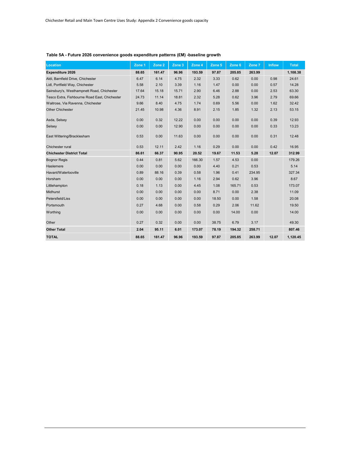| <b>Location</b>                               | Zone 1 | Zone 2 | Zone 3 | Zone 4 | Zone 5 | Zone 6 | Zone 7 | <b>Inflow</b> | <b>Total</b> |
|-----------------------------------------------|--------|--------|--------|--------|--------|--------|--------|---------------|--------------|
| Expenditure 2026                              | 88.65  | 161.47 | 96.96  | 193.59 | 97.87  | 205.85 | 263.99 |               | 1,108.38     |
| Aldi, Barnfield Drive, Chichester             | 6.47   | 6.14   | 4.75   | 2.32   | 3.33   | 0.62   | 0.00   | 0.98          | 24.61        |
| Lidl, Portfield Way, Chichester               | 5.58   | 2.10   | 3.39   | 1.16   | 1.47   | 0.00   | 0.00   | 0.57          | 14.28        |
| Sainsbury's, Westhampnett Road, Chichester    | 17.64  | 15.18  | 15.71  | 2.90   | 6.46   | 2.88   | 0.00   | 2.53          | 63.30        |
| Tesco Extra, Fishbourne Road East, Chichester | 24.73  | 11.14  | 18.81  | 2.32   | 5.28   | 0.62   | 3.96   | 2.79          | 69.66        |
| Waitrose, Via Ravenna, Chichester             | 9.66   | 8.40   | 4.75   | 1.74   | 0.69   | 5.56   | 0.00   | 1.62          | 32.42        |
| <b>Other Chichester</b>                       | 21.45  | 10.98  | 4.36   | 8.91   | 2.15   | 1.85   | 1.32   | 2.13          | 53.15        |
| Asda, Selsey                                  | 0.00   | 0.32   | 12.22  | 0.00   | 0.00   | 0.00   | 0.00   | 0.39          | 12.93        |
| Selsey                                        | 0.00   | 0.00   | 12.90  | 0.00   | 0.00   | 0.00   | 0.00   | 0.33          | 13.23        |
| East Wittering/Bracklesham                    | 0.53   | 0.00   | 11.63  | 0.00   | 0.00   | 0.00   | 0.00   | 0.31          | 12.48        |
| Chichester rural                              | 0.53   | 12.11  | 2.42   | 1.16   | 0.29   | 0.00   | 0.00   | 0.42          | 16.95        |
| <b>Chichester District Total</b>              | 86.61  | 66.37  | 90.95  | 20.52  | 19.67  | 11.53  | 5.28   | 12.07         | 312.99       |
| <b>Bognor Regis</b>                           | 0.44   | 0.81   | 5.62   | 166.30 | 1.57   | 4.53   | 0.00   |               | 179.26       |
| Haslemere                                     | 0.00   | 0.00   | 0.00   | 0.00   | 4.40   | 0.21   | 0.53   |               | 5.14         |
| Havant/Waterlooville                          | 0.89   | 88.16  | 0.39   | 0.58   | 1.96   | 0.41   | 234.95 |               | 327.34       |
| Horsham                                       | 0.00   | 0.00   | 0.00   | 1.16   | 2.94   | 0.62   | 3.96   |               | 8.67         |
| Littlehampton                                 | 0.18   | 1.13   | 0.00   | 4.45   | 1.08   | 165.71 | 0.53   |               | 173.07       |
| <b>Midhurst</b>                               | 0.00   | 0.00   | 0.00   | 0.00   | 8.71   | 0.00   | 2.38   |               | 11.09        |
| Petersfield/Liss                              | 0.00   | 0.00   | 0.00   | 0.00   | 18.50  | 0.00   | 1.58   |               | 20.08        |
| Portsmouth                                    | 0.27   | 4.68   | 0.00   | 0.58   | 0.29   | 2.06   | 11.62  |               | 19.50        |
| Worthing                                      | 0.00   | 0.00   | 0.00   | 0.00   | 0.00   | 14.00  | 0.00   |               | 14.00        |
| Other                                         | 0.27   | 0.32   | 0.00   | 0.00   | 38.75  | 6.79   | 3.17   |               | 49.30        |
| <b>Other Total</b>                            | 2.04   | 95.11  | 6.01   | 173.07 | 78.19  | 194.32 | 258.71 |               | 807.46       |
| <b>TOTAL</b>                                  | 88.65  | 161.47 | 96.96  | 193.59 | 97.87  | 205.85 | 263.99 | 12.07         | 1,120.45     |

## **Table 5A - Future 2026 convenience goods expenditure patterns (£M) -baseline growth**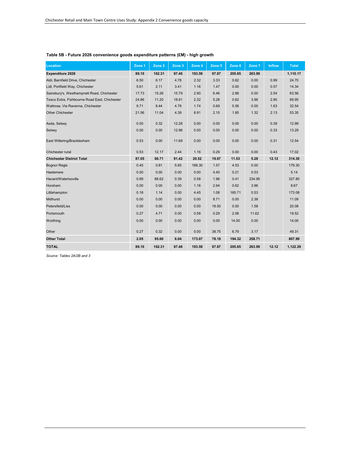| <b>Location</b>                               | Zone 1 | Zone 2 | Zone 3 | Zone 4 | Zone 5 | Zone 6 | Zone 7 | <b>Inflow</b> | <b>Total</b> |
|-----------------------------------------------|--------|--------|--------|--------|--------|--------|--------|---------------|--------------|
| Expenditure 2026                              | 89.10  | 162.31 | 97.46  | 193.59 | 97.87  | 205.85 | 263.99 |               | 1,110.17     |
| Aldi, Barnfield Drive, Chichester             | 6.50   | 6.17   | 4.78   | 2.32   | 3.33   | 0.62   | 0.00   | 0.99          | 24.70        |
| Lidl, Portfield Way, Chichester               | 5.61   | 2.11   | 3.41   | 1.16   | 1.47   | 0.00   | 0.00   | 0.57          | 14.34        |
| Sainsbury's, Westhampnett Road, Chichester    | 17.73  | 15.26  | 15.79  | 2.90   | 6.46   | 2.88   | 0.00   | 2.54          | 63.56        |
| Tesco Extra, Fishbourne Road East, Chichester | 24.86  | 11.20  | 18.91  | 2.32   | 5.28   | 0.62   | 3.96   | 2.80          | 69.95        |
| Waitrose, Via Ravenna, Chichester             | 9.71   | 8.44   | 4.78   | 1.74   | 0.69   | 5.56   | 0.00   | 1.63          | 32.54        |
| <b>Other Chichester</b>                       | 21.56  | 11.04  | 4.39   | 8.91   | 2.15   | 1.85   | 1.32   | 2.13          | 53.35        |
| Asda, Selsey                                  | 0.00   | 0.32   | 12.28  | 0.00   | 0.00   | 0.00   | 0.00   | 0.39          | 12.99        |
| Selsey                                        | 0.00   | 0.00   | 12.96  | 0.00   | 0.00   | 0.00   | 0.00   | 0.33          | 13.29        |
| East Wittering/Bracklesham                    | 0.53   | 0.00   | 11.69  | 0.00   | 0.00   | 0.00   | 0.00   | 0.31          | 12.54        |
| Chichester rural                              | 0.53   | 12.17  | 2.44   | 1.16   | 0.29   | 0.00   | 0.00   | 0.43          | 17.02        |
| <b>Chichester District Total</b>              | 87.05  | 66.71  | 91.42  | 20.52  | 19.67  | 11.53  | 5.28   | 12.12         | 314.30       |
| <b>Bognor Regis</b>                           | 0.45   | 0.81   | 5.65   | 166.30 | 1.57   | 4.53   | 0.00   |               | 179.30       |
| Haslemere                                     | 0.00   | 0.00   | 0.00   | 0.00   | 4.40   | 0.21   | 0.53   |               | 5.14         |
| Havant/Waterlooville                          | 0.89   | 88.62  | 0.39   | 0.58   | 1.96   | 0.41   | 234.95 |               | 327.80       |
| Horsham                                       | 0.00   | 0.00   | 0.00   | 1.16   | 2.94   | 0.62   | 3.96   |               | 8.67         |
| Littlehampton                                 | 0.18   | 1.14   | 0.00   | 4.45   | 1.08   | 165.71 | 0.53   |               | 173.08       |
| <b>Midhurst</b>                               | 0.00   | 0.00   | 0.00   | 0.00   | 8.71   | 0.00   | 2.38   |               | 11.09        |
| Petersfield/Liss                              | 0.00   | 0.00   | 0.00   | 0.00   | 18.50  | 0.00   | 1.58   |               | 20.08        |
| Portsmouth                                    | 0.27   | 4.71   | 0.00   | 0.58   | 0.29   | 2.06   | 11.62  |               | 19.52        |
| Worthing                                      | 0.00   | 0.00   | 0.00   | 0.00   | 0.00   | 14.00  | 0.00   |               | 14.00        |
| Other                                         | 0.27   | 0.32   | 0.00   | 0.00   | 38.75  | 6.79   | 3.17   |               | 49.31        |
| <b>Other Total</b>                            | 2.05   | 95.60  | 6.04   | 173.07 | 78.19  | 194.32 | 258.71 |               | 807.99       |
| <b>TOTAL</b>                                  | 89.10  | 162.31 | 97.46  | 193.59 | 97.87  | 205.85 | 263.99 | 12.12         | 1,122.29     |

## **Table 5B - Future 2026 convenience goods expenditure patterns (£M) - high growth**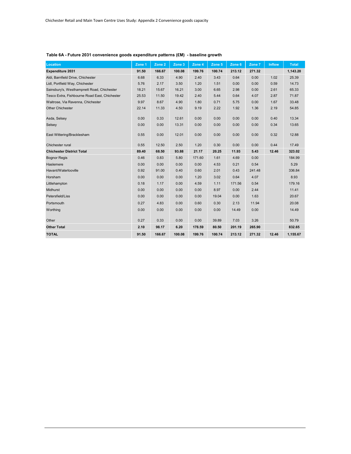| Location                                      | Zone 1 | Zone <sub>2</sub> | Zone 3 | Zone 4 | Zone 5 | Zone 6 | Zone 7 | <b>Inflow</b> | <b>Total</b> |
|-----------------------------------------------|--------|-------------------|--------|--------|--------|--------|--------|---------------|--------------|
| Expenditure 2031                              | 91.50  | 166.67            | 100.08 | 199.76 | 100.74 | 213.12 | 271.32 |               | 1,143.20     |
| Aldi, Barnfield Drive, Chichester             | 6.68   | 6.33              | 4.90   | 2.40   | 3.43   | 0.64   | 0.00   | 1.02          | 25.39        |
| Lidl, Portfield Way, Chichester               | 5.76   | 2.17              | 3.50   | 1.20   | 1.51   | 0.00   | 0.00   | 0.59          | 14.73        |
| Sainsbury's, Westhampnett Road, Chichester    | 18.21  | 15.67             | 16.21  | 3.00   | 6.65   | 2.98   | 0.00   | 2.61          | 65.33        |
| Tesco Extra, Fishbourne Road East, Chichester | 25.53  | 11.50             | 19.42  | 2.40   | 5.44   | 0.64   | 4.07   | 2.87          | 71.87        |
| Waitrose, Via Ravenna, Chichester             | 9.97   | 8.67              | 4.90   | 1.80   | 0.71   | 5.75   | 0.00   | 1.67          | 33.48        |
| <b>Other Chichester</b>                       | 22.14  | 11.33             | 4.50   | 9.19   | 2.22   | 1.92   | 1.36   | 2.19          | 54.85        |
| Asda, Selsey                                  | 0.00   | 0.33              | 12.61  | 0.00   | 0.00   | 0.00   | 0.00   | 0.40          | 13.34        |
| Selsey                                        | 0.00   | 0.00              | 13.31  | 0.00   | 0.00   | 0.00   | 0.00   | 0.34          | 13.65        |
| East Wittering/Bracklesham                    | 0.55   | 0.00              | 12.01  | 0.00   | 0.00   | 0.00   | 0.00   | 0.32          | 12.88        |
| Chichester rural                              | 0.55   | 12.50             | 2.50   | 1.20   | 0.30   | 0.00   | 0.00   | 0.44          | 17.49        |
| <b>Chichester District Total</b>              | 89.40  | 68.50             | 93.88  | 21.17  | 20.25  | 11.93  | 5.43   | 12.46         | 323.02       |
| <b>Bognor Regis</b>                           | 0.46   | 0.83              | 5.80   | 171.60 | 1.61   | 4.69   | 0.00   |               | 184.99       |
| Haslemere                                     | 0.00   | 0.00              | 0.00   | 0.00   | 4.53   | 0.21   | 0.54   |               | 5.29         |
| Havant/Waterlooville                          | 0.92   | 91.00             | 0.40   | 0.60   | 2.01   | 0.43   | 241.48 |               | 336.84       |
| Horsham                                       | 0.00   | 0.00              | 0.00   | 1.20   | 3.02   | 0.64   | 4.07   |               | 8.93         |
| Littlehampton                                 | 0.18   | 1.17              | 0.00   | 4.59   | 1.11   | 171.56 | 0.54   |               | 179.16       |
| <b>Midhurst</b>                               | 0.00   | 0.00              | 0.00   | 0.00   | 8.97   | 0.00   | 2.44   |               | 11.41        |
| Petersfield/Liss                              | 0.00   | 0.00              | 0.00   | 0.00   | 19.04  | 0.00   | 1.63   |               | 20.67        |
| Portsmouth                                    | 0.27   | 4.83              | 0.00   | 0.60   | 0.30   | 2.13   | 11.94  |               | 20.08        |
| Worthing                                      | 0.00   | 0.00              | 0.00   | 0.00   | 0.00   | 14.49  | 0.00   |               | 14.49        |
| Other                                         | 0.27   | 0.33              | 0.00   | 0.00   | 39.89  | 7.03   | 3.26   |               | 50.79        |
| <b>Other Total</b>                            | 2.10   | 98.17             | 6.20   | 178.59 | 80.50  | 201.19 | 265.90 |               | 832.65       |
| <b>TOTAL</b>                                  | 91.50  | 166.67            | 100.08 | 199.76 | 100.74 | 213.12 | 271.32 | 12.46         | 1,155.67     |

## **Table 6A - Future 2031 convenience goods expenditure patterns (£M) - baseline growth**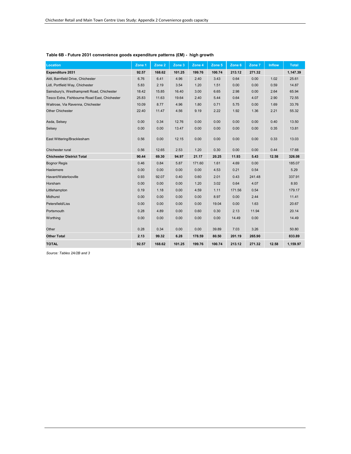| <b>Location</b>                               | Zone 1 | Zone 2 | Zone $3$ | Zone 4 | Zone 5 | Zone 6 | Zone 7 | <b>Inflow</b> | <b>Total</b> |
|-----------------------------------------------|--------|--------|----------|--------|--------|--------|--------|---------------|--------------|
| Expenditure 2031                              | 92.57  | 168.62 | 101.25   | 199.76 | 100.74 | 213.12 | 271.32 |               | 1,147.39     |
| Aldi, Barnfield Drive, Chichester             | 6.76   | 6.41   | 4.96     | 2.40   | 3.43   | 0.64   | 0.00   | 1.02          | 25.61        |
| Lidl, Portfield Way, Chichester               | 5.83   | 2.19   | 3.54     | 1.20   | 1.51   | 0.00   | 0.00   | 0.59          | 14.87        |
| Sainsbury's, Westhampnett Road, Chichester    | 18.42  | 15.85  | 16.40    | 3.00   | 6.65   | 2.98   | 0.00   | 2.64          | 65.94        |
| Tesco Extra, Fishbourne Road East, Chichester | 25.83  | 11.63  | 19.64    | 2.40   | 5.44   | 0.64   | 4.07   | 2.90          | 72.55        |
| Waitrose, Via Ravenna, Chichester             | 10.09  | 8.77   | 4.96     | 1.80   | 0.71   | 5.75   | 0.00   | 1.69          | 33.76        |
| <b>Other Chichester</b>                       | 22.40  | 11.47  | 4.56     | 9.19   | 2.22   | 1.92   | 1.36   | 2.21          | 55.32        |
| Asda, Selsey                                  | 0.00   | 0.34   | 12.76    | 0.00   | 0.00   | 0.00   | 0.00   | 0.40          | 13.50        |
| Selsey                                        | 0.00   | 0.00   | 13.47    | 0.00   | 0.00   | 0.00   | 0.00   | 0.35          | 13.81        |
| East Wittering/Bracklesham                    | 0.56   | 0.00   | 12.15    | 0.00   | 0.00   | 0.00   | 0.00   | 0.33          | 13.03        |
| Chichester rural                              | 0.56   | 12.65  | 2.53     | 1.20   | 0.30   | 0.00   | 0.00   | 0.44          | 17.68        |
| <b>Chichester District Total</b>              | 90.44  | 69.30  | 94.97    | 21.17  | 20.25  | 11.93  | 5.43   | 12.58         | 326.08       |
| <b>Bognor Regis</b>                           | 0.46   | 0.84   | 5.87     | 171.60 | 1.61   | 4.69   | 0.00   |               | 185.07       |
| Haslemere                                     | 0.00   | 0.00   | 0.00     | 0.00   | 4.53   | 0.21   | 0.54   |               | 5.29         |
| Havant/Waterlooville                          | 0.93   | 92.07  | 0.40     | 0.60   | 2.01   | 0.43   | 241.48 |               | 337.91       |
| Horsham                                       | 0.00   | 0.00   | 0.00     | 1.20   | 3.02   | 0.64   | 4.07   |               | 8.93         |
| Littlehampton                                 | 0.19   | 1.18   | 0.00     | 4.59   | 1.11   | 171.56 | 0.54   |               | 179.17       |
| <b>Midhurst</b>                               | 0.00   | 0.00   | 0.00     | 0.00   | 8.97   | 0.00   | 2.44   |               | 11.41        |
| Petersfield/Liss                              | 0.00   | 0.00   | 0.00     | 0.00   | 19.04  | 0.00   | 1.63   |               | 20.67        |
| Portsmouth                                    | 0.28   | 4.89   | 0.00     | 0.60   | 0.30   | 2.13   | 11.94  |               | 20.14        |
| Worthing                                      | 0.00   | 0.00   | 0.00     | 0.00   | 0.00   | 14.49  | 0.00   |               | 14.49        |
| Other                                         | 0.28   | 0.34   | 0.00     | 0.00   | 39.89  | 7.03   | 3.26   |               | 50.80        |
| <b>Other Total</b>                            | 2.13   | 99.32  | 6.28     | 178.59 | 80.50  | 201.19 | 265.90 |               | 833.89       |
| <b>TOTAL</b>                                  | 92.57  | 168.62 | 101.25   | 199.76 | 100.74 | 213.12 | 271.32 | 12.58         | 1,159.97     |

## **Table 6B - Future 2031 convenience goods expenditure patterns (£M) - high growth**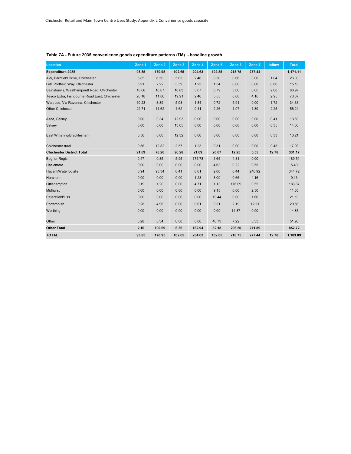| <b>Location</b>                               | Zone 1 | Zone 2 | Zone 3 | Zone 4 | Zone 5 | Zone 6 | Zone 7 | <b>Inflow</b> | <b>Total</b> |
|-----------------------------------------------|--------|--------|--------|--------|--------|--------|--------|---------------|--------------|
| Expenditure 2035                              | 93.85  | 170.95 | 102.65 | 204.63 | 102.85 | 218.75 | 277.44 |               | 1,171.11     |
| Aldi, Barnfield Drive, Chichester             | 6.85   | 6.50   | 5.03   | 2.46   | 3.50   | 0.66   | 0.00   | 1.04          | 26.03        |
| Lidl, Portfield Way, Chichester               | 5.91   | 2.22   | 3.59   | 1.23   | 1.54   | 0.00   | 0.00   | 0.60          | 15.10        |
| Sainsbury's, Westhampnett Road, Chichester    | 18.68  | 16.07  | 16.63  | 3.07   | 6.79   | 3.06   | 0.00   | 2.68          | 66.97        |
| Tesco Extra, Fishbourne Road East, Chichester | 26.18  | 11.80  | 19.91  | 2.46   | 5.55   | 0.66   | 4.16   | 2.95          | 73.67        |
| Waitrose, Via Ravenna, Chichester             | 10.23  | 8.89   | 5.03   | 1.84   | 0.72   | 5.91   | 0.00   | 1.72          | 34.33        |
| <b>Other Chichester</b>                       | 22.71  | 11.62  | 4.62   | 9.41   | 2.26   | 1.97   | 1.39   | 2.25          | 56.24        |
| Asda, Selsey                                  | 0.00   | 0.34   | 12.93  | 0.00   | 0.00   | 0.00   | 0.00   | 0.41          | 13.69        |
| Selsey                                        | 0.00   | 0.00   | 13.65  | 0.00   | 0.00   | 0.00   | 0.00   | 0.35          | 14.00        |
| East Wittering/Bracklesham                    | 0.56   | 0.00   | 12.32  | 0.00   | 0.00   | 0.00   | 0.00   | 0.33          | 13.21        |
| Chichester rural                              | 0.56   | 12.82  | 2.57   | 1.23   | 0.31   | 0.00   | 0.00   | 0.45          | 17.93        |
| <b>Chichester District Total</b>              | 91.69  | 70.26  | 96.28  | 21.69  | 20.67  | 12.25  | 5.55   | 12.78         | 331.17       |
| <b>Bognor Regis</b>                           | 0.47   | 0.85   | 5.95   | 175.78 | 1.65   | 4.81   | 0.00   |               | 189.51       |
| Haslemere                                     | 0.00   | 0.00   | 0.00   | 0.00   | 4.63   | 0.22   | 0.55   |               | 5.40         |
| Havant/Waterlooville                          | 0.94   | 93.34  | 0.41   | 0.61   | 2.06   | 0.44   | 246.92 |               | 344.72       |
| Horsham                                       | 0.00   | 0.00   | 0.00   | 1.23   | 3.09   | 0.66   | 4.16   |               | 9.13         |
| Littlehampton                                 | 0.19   | 1.20   | 0.00   | 4.71   | 1.13   | 176.09 | 0.55   |               | 183.87       |
| Midhurst                                      | 0.00   | 0.00   | 0.00   | 0.00   | 9.15   | 0.00   | 2.50   |               | 11.65        |
| Petersfield/Liss                              | 0.00   | 0.00   | 0.00   | 0.00   | 19.44  | 0.00   | 1.66   |               | 21.10        |
| Portsmouth                                    | 0.28   | 4.96   | 0.00   | 0.61   | 0.31   | 2.19   | 12.21  |               | 20.56        |
| Worthing                                      | 0.00   | 0.00   | 0.00   | 0.00   | 0.00   | 14.87  | 0.00   |               | 14.87        |
| Other                                         | 0.28   | 0.34   | 0.00   | 0.00   | 40.73  | 7.22   | 3.33   |               | 51.90        |
| <b>Other Total</b>                            | 2.16   | 100.69 | 6.36   | 182.94 | 82.18  | 206.50 | 271.89 |               | 852.72       |
| <b>TOTAL</b>                                  | 93.85  | 170.95 | 102.65 | 204.63 | 102.85 | 218.75 | 277.44 | 12.78         | 1,183.89     |

## **Table 7A - Future 2035 convenience goods expenditure patterns (£M) - baseline growth**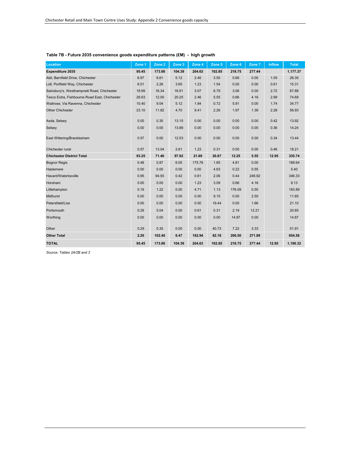| <b>Location</b>                               | Zone 1 | Zone 2 | Zone 3 | Zone 4 | Zone 5 | Zone 6 | Zone 7 | <b>Inflow</b> | <b>Total</b> |
|-----------------------------------------------|--------|--------|--------|--------|--------|--------|--------|---------------|--------------|
| Expenditure 2035                              | 95.45  | 173.86 | 104.39 | 204.63 | 102.85 | 218.75 | 277.44 |               | 1,177.37     |
| Aldi, Barnfield Drive, Chichester             | 6.97   | 6.61   | 5.12   | 2.46   | 3.50   | 0.66   | 0.00   | 1.05          | 26.35        |
| Lidl, Portfield Way, Chichester               | 6.01   | 2.26   | 3.65   | 1.23   | 1.54   | 0.00   | 0.00   | 0.61          | 15.31        |
| Sainsbury's, Westhampnett Road, Chichester    | 18.99  | 16.34  | 16.91  | 3.07   | 6.79   | 3.06   | 0.00   | 2.72          | 67.88        |
| Tesco Extra, Fishbourne Road East, Chichester | 26.63  | 12.00  | 20.25  | 2.46   | 5.55   | 0.66   | 4.16   | 2.99          | 74.69        |
| Waitrose, Via Ravenna, Chichester             | 10.40  | 9.04   | 5.12   | 1.84   | 0.72   | 5.91   | 0.00   | 1.74          | 34.77        |
| <b>Other Chichester</b>                       | 23.10  | 11.82  | 4.70   | 9.41   | 2.26   | 1.97   | 1.39   | 2.28          | 56.93        |
| Asda, Selsey                                  | 0.00   | 0.35   | 13.15  | 0.00   | 0.00   | 0.00   | 0.00   | 0.42          | 13.92        |
| Selsey                                        | 0.00   | 0.00   | 13.88  | 0.00   | 0.00   | 0.00   | 0.00   | 0.36          | 14.24        |
| East Wittering/Bracklesham                    | 0.57   | 0.00   | 12.53  | 0.00   | 0.00   | 0.00   | 0.00   | 0.34          | 13.44        |
| Chichester rural                              | 0.57   | 13.04  | 2.61   | 1.23   | 0.31   | 0.00   | 0.00   | 0.46          | 18.21        |
| <b>Chichester District Total</b>              | 93.25  | 71.46  | 97.92  | 21.69  | 20.67  | 12.25  | 5.55   | 12.95         | 335.74       |
| <b>Bognor Regis</b>                           | 0.48   | 0.87   | 6.05   | 175.78 | 1.65   | 4.81   | 0.00   |               | 189.64       |
| Haslemere                                     | 0.00   | 0.00   | 0.00   | 0.00   | 4.63   | 0.22   | 0.55   |               | 5.40         |
| Havant/Waterlooville                          | 0.95   | 94.93  | 0.42   | 0.61   | 2.06   | 0.44   | 246.92 |               | 346.33       |
| Horsham                                       | 0.00   | 0.00   | 0.00   | 1.23   | 3.09   | 0.66   | 4.16   |               | 9.13         |
| Littlehampton                                 | 0.19   | 1.22   | 0.00   | 4.71   | 1.13   | 176.09 | 0.55   |               | 183.89       |
| <b>Midhurst</b>                               | 0.00   | 0.00   | 0.00   | 0.00   | 9.15   | 0.00   | 2.50   |               | 11.65        |
| Petersfield/Liss                              | 0.00   | 0.00   | 0.00   | 0.00   | 19.44  | 0.00   | 1.66   |               | 21.10        |
| Portsmouth                                    | 0.29   | 5.04   | 0.00   | 0.61   | 0.31   | 2.19   | 12.21  |               | 20.65        |
| Worthing                                      | 0.00   | 0.00   | 0.00   | 0.00   | 0.00   | 14.87  | 0.00   |               | 14.87        |
| Other                                         | 0.29   | 0.35   | 0.00   | 0.00   | 40.73  | 7.22   | 3.33   |               | 51.91        |
| <b>Other Total</b>                            | 2.20   | 102.40 | 6.47   | 182.94 | 82.18  | 206.50 | 271.89 |               | 854.58       |
| <b>TOTAL</b>                                  | 95.45  | 173.86 | 104.39 | 204.63 | 102.85 | 218.75 | 277.44 | 12.95         | 1,190.32     |

## **Table 7B - Future 2035 convenience goods expenditure patterns (£M) - high growth**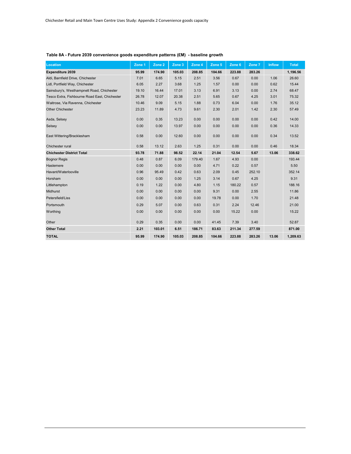| <b>Location</b>                               | Zone <sub>1</sub> | Zone 2 | Zone 3 | Zone 4 | Zone 5 | Zone 6 | Zone 7 | <b>Inflow</b> | <b>Total</b> |
|-----------------------------------------------|-------------------|--------|--------|--------|--------|--------|--------|---------------|--------------|
| <b>Expenditure 2039</b>                       | 95.99             | 174.90 | 105.03 | 208.85 | 104.66 | 223.88 | 283.26 |               | 1,196.56     |
| Aldi, Barnfield Drive, Chichester             | 7.01              | 6.65   | 5.15   | 2.51   | 3.56   | 0.67   | 0.00   | 1.06          | 26.60        |
| Lidl, Portfield Way, Chichester               | 6.05              | 2.27   | 3.68   | 1.25   | 1.57   | 0.00   | 0.00   | 0.62          | 15.44        |
| Sainsbury's, Westhampnett Road, Chichester    | 19.10             | 16.44  | 17.01  | 3.13   | 6.91   | 3.13   | 0.00   | 2.74          | 68.47        |
| Tesco Extra, Fishbourne Road East, Chichester | 26.78             | 12.07  | 20.38  | 2.51   | 5.65   | 0.67   | 4.25   | 3.01          | 75.32        |
| Waitrose, Via Ravenna, Chichester             | 10.46             | 9.09   | 5.15   | 1.88   | 0.73   | 6.04   | 0.00   | 1.76          | 35.12        |
| <b>Other Chichester</b>                       | 23.23             | 11.89  | 4.73   | 9.61   | 2.30   | 2.01   | 1.42   | 2.30          | 57.49        |
| Asda, Selsey                                  | 0.00              | 0.35   | 13.23  | 0.00   | 0.00   | 0.00   | 0.00   | 0.42          | 14.00        |
| Selsey                                        | 0.00              | 0.00   | 13.97  | 0.00   | 0.00   | 0.00   | 0.00   | 0.36          | 14.33        |
| East Wittering/Bracklesham                    | 0.58              | 0.00   | 12.60  | 0.00   | 0.00   | 0.00   | 0.00   | 0.34          | 13.52        |
| Chichester rural                              | 0.58              | 13.12  | 2.63   | 1.25   | 0.31   | 0.00   | 0.00   | 0.46          | 18.34        |
| <b>Chichester District Total</b>              | 93.78             | 71.88  | 98.52  | 22.14  | 21.04  | 12.54  | 5.67   | 13.06         | 338.62       |
| <b>Bognor Regis</b>                           | 0.48              | 0.87   | 6.09   | 179.40 | 1.67   | 4.93   | 0.00   |               | 193.44       |
| Haslemere                                     | 0.00              | 0.00   | 0.00   | 0.00   | 4.71   | 0.22   | 0.57   |               | 5.50         |
| Havant/Waterlooville                          | 0.96              | 95.49  | 0.42   | 0.63   | 2.09   | 0.45   | 252.10 |               | 352.14       |
| Horsham                                       | 0.00              | 0.00   | 0.00   | 1.25   | 3.14   | 0.67   | 4.25   |               | 9.31         |
| Littlehampton                                 | 0.19              | 1.22   | 0.00   | 4.80   | 1.15   | 180.22 | 0.57   |               | 188.16       |
| Midhurst                                      | 0.00              | 0.00   | 0.00   | 0.00   | 9.31   | 0.00   | 2.55   |               | 11.86        |
| Petersfield/Liss                              | 0.00              | 0.00   | 0.00   | 0.00   | 19.78  | 0.00   | 1.70   |               | 21.48        |
| Portsmouth                                    | 0.29              | 5.07   | 0.00   | 0.63   | 0.31   | 2.24   | 12.46  |               | 21.00        |
| Worthing                                      | 0.00              | 0.00   | 0.00   | 0.00   | 0.00   | 15.22  | 0.00   |               | 15.22        |
| Other                                         | 0.29              | 0.35   | 0.00   | 0.00   | 41.45  | 7.39   | 3.40   |               | 52.87        |
| <b>Other Total</b>                            | 2.21              | 103.01 | 6.51   | 186.71 | 83.63  | 211.34 | 277.59 |               | 871.00       |
| <b>TOTAL</b>                                  | 95.99             | 174.90 | 105.03 | 208.85 | 104.66 | 223.88 | 283.26 | 13.06         | 1,209.63     |

## **Table 8A - Future 2039 convenience goods expenditure patterns (£M) - baseline growth**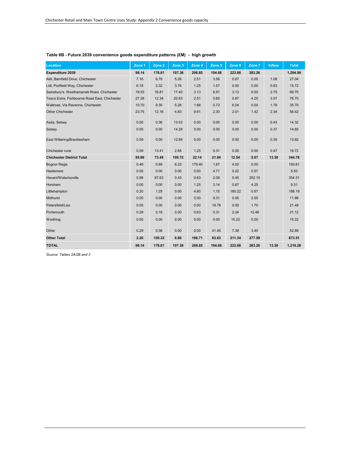| <b>Location</b>                               | Zone 1 | Zone 2 | Zone 3 | Zone 4 | Zone 5 | Zone 6 | Zone 7 | <b>Inflow</b> | <b>Total</b> |
|-----------------------------------------------|--------|--------|--------|--------|--------|--------|--------|---------------|--------------|
| Expenditure 2039                              | 98.14  | 178.81 | 107.38 | 208.85 | 104.66 | 223.88 | 283.26 |               | 1,204.99     |
| Aldi, Barnfield Drive, Chichester             | 7.16   | 6.79   | 5.26   | 2.51   | 3.56   | 0.67   | 0.00   | 1.08          | 27.04        |
| Lidl, Portfield Way, Chichester               | 6.18   | 2.32   | 3.76   | 1.25   | 1.57   | 0.00   | 0.00   | 0.63          | 15.72        |
| Sainsbury's, Westhampnett Road, Chichester    | 19.53  | 16.81  | 17.40  | 3.13   | 6.91   | 3.13   | 0.00   | 2.79          | 69.70        |
| Tesco Extra, Fishbourne Road East, Chichester | 27.38  | 12.34  | 20.83  | 2.51   | 5.65   | 0.67   | 4.25   | 3.07          | 76.70        |
| Waitrose, Via Ravenna, Chichester             | 10.70  | 9.30   | 5.26   | 1.88   | 0.73   | 6.04   | 0.00   | 1.78          | 35.70        |
| <b>Other Chichester</b>                       | 23.75  | 12.16  | 4.83   | 9.61   | 2.30   | 2.01   | 1.42   | 2.34          | 58.42        |
| Asda, Selsey                                  | 0.00   | 0.36   | 13.53  | 0.00   | 0.00   | 0.00   | 0.00   | 0.43          | 14.32        |
| Selsey                                        | 0.00   | 0.00   | 14.28  | 0.00   | 0.00   | 0.00   | 0.00   | 0.37          | 14.65        |
| East Wittering/Bracklesham                    | 0.59   | 0.00   | 12.89  | 0.00   | 0.00   | 0.00   | 0.00   | 0.35          | 13.82        |
| Chichester rural                              | 0.59   | 13.41  | 2.68   | 1.25   | 0.31   | 0.00   | 0.00   | 0.47          | 18.72        |
| <b>Chichester District Total</b>              | 95.89  | 73.49  | 100.72 | 22.14  | 21.04  | 12.54  | 5.67   | 13.30         | 344.78       |
| <b>Bognor Regis</b>                           | 0.49   | 0.89   | 6.23   | 179.40 | 1.67   | 4.93   | 0.00   |               | 193.61       |
| Haslemere                                     | 0.00   | 0.00   | 0.00   | 0.00   | 4.71   | 0.22   | 0.57   |               | 5.50         |
| Havant/Waterlooville                          | 0.98   | 97.63  | 0.43   | 0.63   | 2.09   | 0.45   | 252.10 |               | 354.31       |
| Horsham                                       | 0.00   | 0.00   | 0.00   | 1.25   | 3.14   | 0.67   | 4.25   |               | 9.31         |
| Littlehampton                                 | 0.20   | 1.25   | 0.00   | 4.80   | 1.15   | 180.22 | 0.57   |               | 188.19       |
| Midhurst                                      | 0.00   | 0.00   | 0.00   | 0.00   | 9.31   | 0.00   | 2.55   |               | 11.86        |
| Petersfield/Liss                              | 0.00   | 0.00   | 0.00   | 0.00   | 19.78  | 0.00   | 1.70   |               | 21.48        |
| Portsmouth                                    | 0.29   | 5.19   | 0.00   | 0.63   | 0.31   | 2.24   | 12.46  |               | 21.12        |
| Worthing                                      | 0.00   | 0.00   | 0.00   | 0.00   | 0.00   | 15.22  | 0.00   |               | 15.22        |
| Other                                         | 0.29   | 0.36   | 0.00   | 0.00   | 41.45  | 7.39   | 3.40   |               | 52.89        |
| <b>Other Total</b>                            | 2.26   | 105.32 | 6.66   | 186.71 | 83.63  | 211.34 | 277.59 |               | 873.51       |
| <b>TOTAL</b>                                  | 98.14  | 178.81 | 107.38 | 208.85 | 104.66 | 223.88 | 283.26 | 13.30         | 1,218.28     |

## **Table 8B - Future 2039 convenience goods expenditure patterns (£M) - high growth**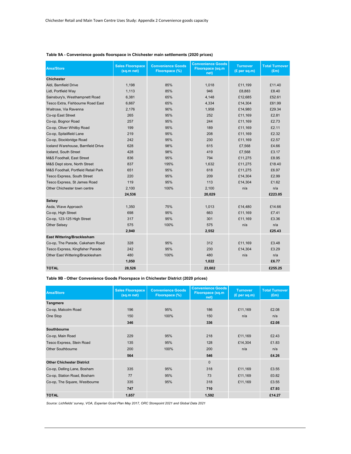| <b>Area/Store</b>                   | <b>Sales Floorspace</b><br>(sq.m net) | <b>Convenience Goods</b><br>Floorspace (%) | <b>Convenience Goods</b><br><b>Floorspace (sq.m</b><br>net) | <b>Turnover</b><br>(E per sq.m) | <b>Total Turnover</b><br>(Em) |
|-------------------------------------|---------------------------------------|--------------------------------------------|-------------------------------------------------------------|---------------------------------|-------------------------------|
| <b>Chichester</b>                   |                                       |                                            |                                                             |                                 |                               |
| Aldi. Barnfield Drive               | 1.198                                 | 85%                                        | 1.018                                                       | £11.199                         | £11.40                        |
| Lidl, Portfield Way                 | 1.113                                 | 85%                                        | 946                                                         | £8,883                          | £8.40                         |
| Sainsbury's, Westhampnett Road      | 6,381                                 | 65%                                        | 4,148                                                       | £12,685                         | £52.61                        |
| Tesco Extra, Fishbourne Road East   | 6,667                                 | 65%                                        | 4,334                                                       | £14,304                         | £61.99                        |
| Waitrose, Via Ravenna               | 2,176                                 | 90%                                        | 1,958                                                       | £14,980                         | £29.34                        |
| Co-op East Street                   | 265                                   | 95%                                        | 252                                                         | £11,169                         | £2.81                         |
| Co-op, Bognor Road                  | 257                                   | 95%                                        | 244                                                         | £11.169                         | £2.73                         |
| Co-op, Oliver Whitby Road           | 199                                   | 95%                                        | 189                                                         | £11,169                         | £2.11                         |
| Co-op, Spitalifield Lane            | 219                                   | 95%                                        | 208                                                         | £11,169                         | £2.32                         |
| Co-op, Stockbridge Road             | 242                                   | 95%                                        | 230                                                         | £11,169                         | £2.57                         |
| Iceland Warehouse, Barnfield Drive  | 628                                   | 98%                                        | 615                                                         | £7,568                          | £4.66                         |
| Iceland, South Street               | 428                                   | 98%                                        | 419                                                         | £7,568                          | £3.17                         |
| M&S Foodhall, East Street           | 836                                   | 95%                                        | 794                                                         | £11,275                         | £8.95                         |
| M&S Dept store, North Street        | 837                                   | 195%                                       | 1,632                                                       | £11,275                         | £18.40                        |
| M&S Foodhall, Portfield Retail Park | 651                                   | 95%                                        | 618                                                         | £11,275                         | £6.97                         |
| <b>Tesco Express, South Street</b>  | 220                                   | 95%                                        | 209                                                         | £14,304                         | £2.99                         |
| Tesco Express, St James Road        | 119                                   | 95%                                        | 113                                                         | £14,304                         | £1.62                         |
| Other Chichester town centre        | 2,100                                 | 100%                                       | 2,100                                                       | n/a                             | n/a                           |
|                                     | 24,536                                |                                            | 20,029                                                      |                                 | £223.05                       |
| Selsey                              |                                       |                                            |                                                             |                                 |                               |
| Asda, Wave Approach                 | 1,350                                 | 75%                                        | 1,013                                                       | £14,480                         | £14.66                        |
| Co-op, High Street                  | 698                                   | 95%                                        | 663                                                         | £11.169                         | £7.41                         |
| Co-op, 123-125 High Street          | 317                                   | 95%                                        | 301                                                         | £11,169                         | £3.36                         |
| <b>Other Selsey</b>                 | 575                                   | 100%                                       | 575                                                         | n/a                             | n/a                           |
|                                     | 2,940                                 |                                            | 2,552                                                       |                                 | £25.43                        |
| East Wittering/Bracklesham          |                                       |                                            |                                                             |                                 |                               |
| Co-op, The Parade, Cakeham Road     | 328                                   | 95%                                        | 312                                                         | £11,169                         | £3.48                         |
| Tesco Express, Kingfisher Parade    | 242                                   | 95%                                        | 230                                                         | £14,304                         | £3.29                         |
| Other East Wittering/Bracklesham    | 480                                   | 100%                                       | 480                                                         | n/a                             | n/a                           |
|                                     | 1,050                                 |                                            | 1,022                                                       |                                 | £6.77                         |
| <b>TOTAL</b>                        | 28,526                                |                                            | 23,602                                                      |                                 | £255.25                       |

#### **Table 9A - Convenience goods floorspace in Chichester main settlements (2020 prices)**

**Table 9B - Other Convenience Goods Floorspace in Chichester District (2020 prices)**

| <b>Area/Store</b>                | <b>Sales Floorspace</b><br>(sq.m net) | <b>Convenience Goods</b><br>Floorspace (%) | <b>Convenience Goods</b><br>Floorspace (sq.m<br>net) | <b>Turnover</b><br>(E per sq.m) | <b>Total Turnover</b><br>(Em) |
|----------------------------------|---------------------------------------|--------------------------------------------|------------------------------------------------------|---------------------------------|-------------------------------|
| Tangmere                         |                                       |                                            |                                                      |                                 |                               |
| Co-op, Malcolm Road              | 196                                   | 95%                                        | 186                                                  | £11,169                         | £2.08                         |
| One Stop                         | 150                                   | 100%                                       | 150                                                  | n/a                             | n/a                           |
|                                  | 346                                   |                                            | 336                                                  |                                 | £2.08                         |
| Southbourne                      |                                       |                                            |                                                      |                                 |                               |
| Co-op, Main Road                 | 229                                   | 95%                                        | 218                                                  | £11,169                         | £2.43                         |
| Tesco Express, Stein Road        | 135                                   | 95%                                        | 128                                                  | £14,304                         | £1.83                         |
| <b>Other Southbourne</b>         | 200                                   | 100%                                       | 200                                                  | n/a                             | n/a                           |
|                                  | 564                                   |                                            | 546                                                  |                                 | £4.26                         |
| <b>Other Chichester District</b> |                                       |                                            | $\mathbf{0}$                                         |                                 |                               |
| Co-op, Delling Lane, Bosham      | 335                                   | 95%                                        | 318                                                  | £11,169                         | £3.55                         |
| Co-op, Station Road, Bosham      | 77                                    | 95%                                        | 73                                                   | £11,169                         | £0.82                         |
| Co-op, The Square, Westbourne    | 335                                   | 95%                                        | 318                                                  | £11,169                         | £3.55                         |
|                                  | 747                                   |                                            | 710                                                  |                                 | £7.93                         |
| <b>TOTAL</b>                     | 1,657                                 |                                            | 1,592                                                |                                 | £14.27                        |

*Source: Lichfields' survey, VOA, Experian Goad Plan May 2017, ORC Storepoint 2021 and Global Data 2021*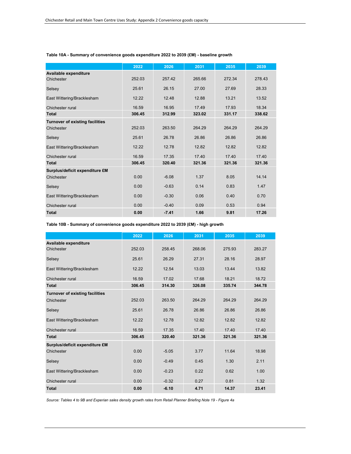|                                        | 2022   | 2026    | 2031   | 2035   | 2039   |
|----------------------------------------|--------|---------|--------|--------|--------|
| Available expenditure                  |        |         |        |        |        |
| Chichester                             | 252.03 | 257.42  | 265.66 | 272.34 | 278.43 |
| Selsey                                 | 25.61  | 26.15   | 27.00  | 27.69  | 28.33  |
| East Wittering/Bracklesham             | 12.22  | 12.48   | 12.88  | 13.21  | 13.52  |
| Chichester rural                       | 16.59  | 16.95   | 17.49  | 17.93  | 18.34  |
| <b>Total</b>                           | 306.45 | 312.99  | 323.02 | 331.17 | 338.62 |
| <b>Turnover of existing facilities</b> |        |         |        |        |        |
| Chichester                             | 252.03 | 263.50  | 264.29 | 264.29 | 264.29 |
| Selsey                                 | 25.61  | 26.78   | 26.86  | 26.86  | 26.86  |
| East Wittering/Bracklesham             | 12.22  | 12.78   | 12.82  | 12.82  | 12.82  |
| Chichester rural                       | 16.59  | 17.35   | 17.40  | 17.40  | 17.40  |
| <b>Total</b>                           | 306.45 | 320,40  | 321.36 | 321.36 | 321.36 |
| Surplus/deficit expenditure £M         |        |         |        |        |        |
| Chichester                             | 0.00   | $-6.08$ | 1.37   | 8.05   | 14.14  |
| Selsey                                 | 0.00   | $-0.63$ | 0.14   | 0.83   | 1.47   |
| East Wittering/Bracklesham             | 0.00   | $-0.30$ | 0.06   | 0.40   | 0.70   |
| Chichester rural                       | 0.00   | $-0.40$ | 0.09   | 0.53   | 0.94   |
| <b>Total</b>                           | 0.00   | $-7.41$ | 1.66   | 9.81   | 17.26  |

#### **Table 10A - Summary of convenience goods expenditure 2022 to 2039 (£M) - baseline growth**

**Table 10B - Summary of convenience goods expenditure 2022 to 2039 (£M) - high growth**

|                                        | 2022   | 2026    | 2031   | 2035   | 2039   |
|----------------------------------------|--------|---------|--------|--------|--------|
| Available expenditure                  |        |         |        |        |        |
| Chichester                             | 252.03 | 258.45  | 268.06 | 275.93 | 283.27 |
| Selsey                                 | 25.61  | 26.29   | 27.31  | 28.16  | 28.97  |
| East Wittering/Bracklesham             | 12.22  | 12.54   | 13.03  | 13.44  | 13.82  |
| Chichester rural                       | 16.59  | 17.02   | 17.68  | 18.21  | 18.72  |
| <b>Total</b>                           | 306.45 | 314.30  | 326.08 | 335.74 | 344.78 |
| <b>Turnover of existing facilities</b> |        |         |        |        |        |
| Chichester                             | 252.03 | 263.50  | 264.29 | 264.29 | 264.29 |
| Selsey                                 | 25.61  | 26.78   | 26.86  | 26.86  | 26.86  |
| East Wittering/Bracklesham             | 12.22  | 12.78   | 12.82  | 12.82  | 12.82  |
| Chichester rural                       | 16.59  | 17.35   | 17.40  | 17.40  | 17.40  |
| <b>Total</b>                           | 306.45 | 320.40  | 321.36 | 321.36 | 321.36 |
| Surplus/deficit expenditure £M         |        |         |        |        |        |
| Chichester                             | 0.00   | $-5.05$ | 3.77   | 11.64  | 18.98  |
| Selsey                                 | 0.00   | $-0.49$ | 0.45   | 1.30   | 2.11   |
| East Wittering/Bracklesham             | 0.00   | $-0.23$ | 0.22   | 0.62   | 1.00   |
| Chichester rural                       | 0.00   | $-0.32$ | 0.27   | 0.81   | 1.32   |
| <b>Total</b>                           | 0.00   | $-6.10$ | 4.71   | 14.37  | 23.41  |

*Source: Tables 4 to 9B and Experian sales density growth rates from Retail Planner Briefing Note 19 - Figure 4a*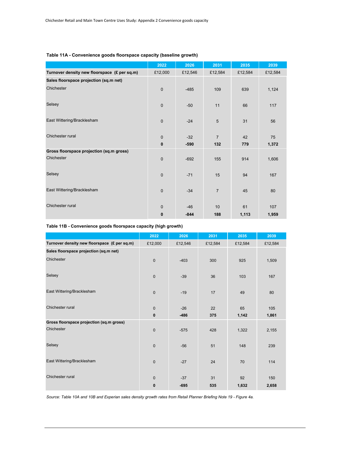|                                              | 2022             | 2026            | 2031                  | 2035      | 2039        |
|----------------------------------------------|------------------|-----------------|-----------------------|-----------|-------------|
| Turnover density new floorspace (£ per sq.m) | £12,000          | £12,546         | £12,584               | £12,584   | £12,584     |
| Sales floorspace projection (sq.m net)       |                  |                 |                       |           |             |
| Chichester                                   | $\mathbf 0$      | $-485$          | 109                   | 639       | 1,124       |
| Selsey                                       | $\mathbf 0$      | $-50$           | 11                    | 66        | 117         |
| East Wittering/Bracklesham                   | $\mathbf{0}$     | $-24$           | 5                     | 31        | 56          |
| Chichester rural                             | $\mathbf 0$<br>0 | $-32$<br>$-590$ | $\overline{7}$<br>132 | 42<br>779 | 75<br>1,372 |
| Gross floorspace projection (sq.m gross)     |                  |                 |                       |           |             |
| Chichester                                   | $\mathbf 0$      | $-692$          | 155                   | 914       | 1,606       |
| Selsey                                       | $\mathbf 0$      | $-71$           | 15                    | 94        | 167         |
| East Wittering/Bracklesham                   | $\mathbf 0$      | $-34$           | $\overline{7}$        | 45        | 80          |
| Chichester rural                             | $\mathbf 0$      | $-46$           | 10 <sup>1</sup>       | 61        | 107         |
|                                              | $\mathbf 0$      | $-844$          | 188                   | 1,113     | 1,959       |

## **Table 11A - Convenience goods floorspace capacity (baseline growth)**

**Table 11B - Convenience goods floorspace capacity (high growth)**

|                                              | 2022                        | 2026            | 2031      | 2035        | 2039         |
|----------------------------------------------|-----------------------------|-----------------|-----------|-------------|--------------|
| Turnover density new floorspace (£ per sq.m) | £12,000                     | £12,546         | £12,584   | £12,584     | £12,584      |
| Sales floorspace projection (sq.m net)       |                             |                 |           |             |              |
| Chichester                                   | $\mathbf{0}$                | $-403$          | 300       | 925         | 1,509        |
| Selsey                                       | $\mathsf{O}\xspace$         | $-39$           | 36        | 103         | 167          |
| East Wittering/Bracklesham                   | $\mathbf{0}$                | $-19$           | 17        | 49          | 80           |
| Chichester rural                             | $\mathbf 0$<br>$\mathbf{0}$ | $-26$<br>$-486$ | 22<br>375 | 65<br>1,142 | 105<br>1,861 |
| Gross floorspace projection (sq.m gross)     |                             |                 |           |             |              |
| Chichester                                   | $\mathsf{O}\xspace$         | $-575$          | 428       | 1,322       | 2,155        |
| Selsey                                       | $\mathbf{0}$                | $-56$           | 51        | 148         | 239          |
| East Wittering/Bracklesham                   | $\mathbf{0}$                | $-27$           | 24        | 70          | 114          |
| Chichester rural                             | $\mathbf 0$                 | $-37$           | 31        | 92          | 150          |
|                                              | $\bf{0}$                    | $-695$          | 535       | 1,632       | 2,658        |

*Source: Table 10A and 10B and Experian sales density growth rates from Retail Planner Briefing Note 19 - Figure 4a.*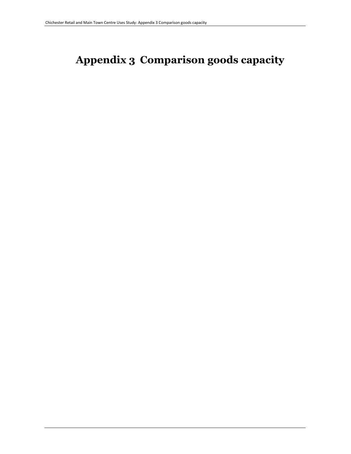# **Appendix 3 Comparison goods capacity**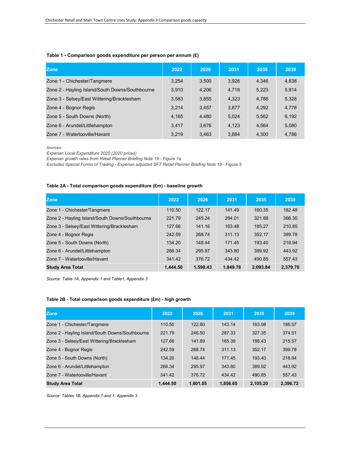#### **Table 1 - Comparison goods expenditure per person per annum (£)**

| <b>Zone</b>                                     | 2022  | 2026  | 2031  | 2035  | 2039  |
|-------------------------------------------------|-------|-------|-------|-------|-------|
| Zone 1 - Chichester/Tangmere                    | 3,254 | 3.500 | 3.926 | 4,346 | 4,838 |
| Zone 2 - Hayling Island/South Downs/Southbourne | 3.910 | 4.206 | 4.718 | 5.223 | 5,814 |
| Zone 3 - Selsey/East Wittering/Bracklesham      | 3,583 | 3.855 | 4.323 | 4.786 | 5,328 |
| Zone 4 - Bognor Regis                           | 3.214 | 3,457 | 3.877 | 4.292 | 4,778 |
| Zone 5 - South Downs (North)                    | 4,165 | 4,480 | 5.024 | 5.562 | 6,192 |
| Zone 6 - Arundel/Littlehampton                  | 3.417 | 3.676 | 4.123 | 4.564 | 5,080 |
| Zone 7 - Waterlooville/Havant                   | 3.219 | 3.463 | 3.884 | 4.300 | 4.786 |

*Sources:* 

*Experian Local Expenditure 2020 (2020 prices)*

*Experian growth rates from Retail Planner Briefing Note 19 - Figure 1a* 

*Excludes Special Forms of Trading - Experian adjusted SFT Retail Planner Briefing Note 19 - Figure 5*

## **Table 2A - Total comparison goods expenditure (£m) - baseline growth**

| Zone                                            | 2022     | 2026     | 2031     | 2035     | 2039     |
|-------------------------------------------------|----------|----------|----------|----------|----------|
| Zone 1 - Chichester/Tangmere                    | 110.50   | 122.17   | 141.49   | 160.35   | 182.48   |
| Zone 2 - Hayling Island/South Downs/Southbourne | 221.79   | 245.24   | 284.01   | 321.88   | 366.30   |
| Zone 3 - Selsey/East Wittering/Bracklesham      | 127.66   | 141.16   | 163.48   | 185.27   | 210.85   |
| Zone 4 - Bognor Regis                           | 242.59   | 268.74   | 311.13   | 352.17   | 399.78   |
| Zone 5 - South Downs (North)                    | 134.20   | 148.44   | 171.45   | 193.40   | 218.94   |
| Zone 6 - Arundel/Littlehampton                  | 266.34   | 295.97   | 343.80   | 389.92   | 443.92   |
| Zone 7 - Waterlooville/Havant                   | 341.42   | 376.72   | 434.42   | 490.85   | 557.43   |
| <b>Study Area Total</b>                         | 1,444.50 | 1,598.43 | 1,849.78 | 2,093.84 | 2,379.70 |

*Source: Table 1A, Appendix 1 and Table1, Appendix 3*

## **Table 2B - Total comparison goods expenditure (£m) - high growth**

| <b>Zone</b>                                     | 2022     | 2026     | 2031     | 2035     | 2039     |
|-------------------------------------------------|----------|----------|----------|----------|----------|
| Zone 1 - Chichester/Tangmere                    | 110.50   | 122.80   | 143.14   | 163.08   | 186.57   |
| Zone 2 - Hayling Island/South Downs/Southbourne | 221.79   | 246.50   | 287.33   | 327.35   | 374.51   |
| Zone 3 - Selsey/East Wittering/Bracklesham      | 127.66   | 141.89   | 165.39   | 188.43   | 215.57   |
| Zone 4 - Bognor Regis                           | 242.59   | 268.74   | 311.13   | 352.17   | 399.78   |
| Zone 5 - South Downs (North)                    | 134.20   | 148.44   | 171.45   | 193.40   | 218.94   |
| Zone 6 - Arundel/Littlehampton                  | 266.34   | 295.97   | 343.80   | 389.92   | 443.92   |
| Zone 7 - Waterlooville/Havant                   | 341.42   | 376.72   | 434.42   | 490.85   | 557.43   |
| <b>Study Area Total</b>                         | 1.444.50 | 1.601.05 | 1.856.65 | 2.105.20 | 2.396.72 |

*Source: Tables 1B, Appendix 1 and 1, Appendix 3*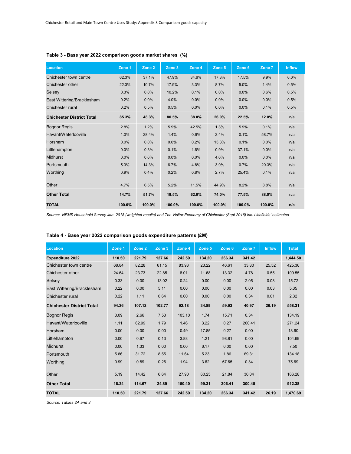| <b>Location</b>                  | Zone 1 | Zone 2 | Zone 3 | Zone 4 | Zone 5 | Zone 6 | Zone 7 | <b>Inflow</b> |
|----------------------------------|--------|--------|--------|--------|--------|--------|--------|---------------|
| Chichester town centre           | 62.3%  | 37.1%  | 47.9%  | 34.6%  | 17.3%  | 17.5%  | 9.9%   | 6.0%          |
| Chichester other                 | 22.3%  | 10.7%  | 17.9%  | 3.3%   | 8.7%   | 5.0%   | 1.4%   | 0.5%          |
| Selsey                           | 0.3%   | 0.0%   | 10.2%  | 0.1%   | 0.0%   | 0.0%   | 0.6%   | 0.5%          |
| East Wittering/Bracklesham       | 0.2%   | 0.0%   | 4.0%   | 0.0%   | 0.0%   | 0.0%   | 0.0%   | 0.5%          |
| Chichester rural                 | 0.2%   | 0.5%   | 0.5%   | 0.0%   | 0.0%   | 0.0%   | 0.1%   | 0.5%          |
| <b>Chichester District Total</b> | 85.3%  | 48.3%  | 80.5%  | 38.0%  | 26.0%  | 22.5%  | 12.0%  | n/a           |
| <b>Bognor Regis</b>              | 2.8%   | 1.2%   | 5.9%   | 42.5%  | 1.3%   | 5.9%   | 0.1%   | n/a           |
| Havant/Waterlooville             | 1.0%   | 28.4%  | 1.4%   | 0.6%   | 2.4%   | 0.1%   | 58.7%  | n/a           |
| Horsham                          | 0.0%   | 0.0%   | 0.0%   | 0.2%   | 13.3%  | 0.1%   | 0.0%   | n/a           |
| Littlehampton                    | 0.0%   | 0.3%   | 0.1%   | 1.6%   | 0.9%   | 37.1%  | 0.0%   | n/a           |
| <b>Midhurst</b>                  | 0.0%   | 0.6%   | 0.0%   | 0.0%   | 4.6%   | 0.0%   | 0.0%   | n/a           |
| Portsmouth                       | 5.3%   | 14.3%  | 6.7%   | 4.8%   | 3.9%   | 0.7%   | 20.3%  | n/a           |
| Worthing                         | 0.9%   | 0.4%   | 0.2%   | 0.8%   | 2.7%   | 25.4%  | 0.1%   | n/a           |
| Other                            | 4.7%   | 6.5%   | 5.2%   | 11.5%  | 44.9%  | 8.2%   | 8.8%   | n/a           |
| <b>Other Total</b>               | 14.7%  | 51.7%  | 19.5%  | 62.0%  | 74.0%  | 77.5%  | 88.0%  | n/a           |
| <b>TOTAL</b>                     | 100.0% | 100.0% | 100.0% | 100.0% | 100.0% | 100.0% | 100.0% | n/a           |

## **Table 3 - Base year 2022 comparison goods market shares (%)**

*Source: NEMS Household Survey Jan. 2018 (weighted results) and The Visitor Economy of Chichester (Sept 2016) inc. Lichfields' estimates*

| Table 4 - Base year 2022 comparison goods expenditure patterns (£M) |  |  |  |
|---------------------------------------------------------------------|--|--|--|
|---------------------------------------------------------------------|--|--|--|

| <b>Location</b>                  | Zone 1 | Zone 2 | Zone 3 | Zone 4 | Zone 5 | Zone 6 | Zone 7 | <b>Inflow</b> | <b>Total</b> |
|----------------------------------|--------|--------|--------|--------|--------|--------|--------|---------------|--------------|
| <b>Expenditure 2022</b>          | 110.50 | 221.79 | 127.66 | 242.59 | 134.20 | 266.34 | 341.42 |               | 1.444.50     |
| Chichester town centre           | 68.84  | 82.28  | 61.15  | 83.93  | 23.22  | 46.61  | 33.80  | 25.52         | 425.36       |
| Chichester other                 | 24.64  | 23.73  | 22.85  | 8.01   | 11.68  | 13.32  | 4.78   | 0.55          | 109.55       |
| Selsey                           | 0.33   | 0.00   | 13.02  | 0.24   | 0.00   | 0.00   | 2.05   | 0.08          | 15.72        |
| East Wittering/Bracklesham       | 0.22   | 0.00   | 5.11   | 0.00   | 0.00   | 0.00   | 0.00   | 0.03          | 5.35         |
| Chichester rural                 | 0.22   | 1.11   | 0.64   | 0.00   | 0.00   | 0.00   | 0.34   | 0.01          | 2.32         |
| <b>Chichester District Total</b> | 94.26  | 107.12 | 102.77 | 92.18  | 34.89  | 59.93  | 40.97  | 26.19         | 558.31       |
| <b>Bognor Regis</b>              | 3.09   | 2.66   | 7.53   | 103.10 | 1.74   | 15.71  | 0.34   |               | 134.19       |
| Havant/Waterlooville             | 1.11   | 62.99  | 1.79   | 1.46   | 3.22   | 0.27   | 200.41 |               | 271.24       |
| Horsham                          | 0.00   | 0.00   | 0.00   | 0.49   | 17.85  | 0.27   | 0.00   |               | 18.60        |
| Littlehampton                    | 0.00   | 0.67   | 0.13   | 3.88   | 1.21   | 98.81  | 0.00   |               | 104.69       |
| <b>Midhurst</b>                  | 0.00   | 1.33   | 0.00   | 0.00   | 6.17   | 0.00   | 0.00   |               | 7.50         |
| Portsmouth                       | 5.86   | 31.72  | 8.55   | 11.64  | 5.23   | 1.86   | 69.31  |               | 134.18       |
| Worthing                         | 0.99   | 0.89   | 0.26   | 1.94   | 3.62   | 67.65  | 0.34   |               | 75.69        |
| Other                            | 5.19   | 14.42  | 6.64   | 27.90  | 60.25  | 21.84  | 30.04  |               | 166.28       |
| <b>Other Total</b>               | 16.24  | 114.67 | 24.89  | 150.40 | 99.31  | 206.41 | 300.45 |               | 912.38       |
| <b>TOTAL</b>                     | 110.50 | 221.79 | 127.66 | 242.59 | 134.20 | 266.34 | 341.42 | 26.19         | 1,470.69     |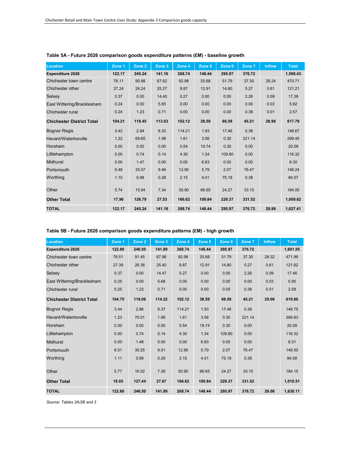| Location                         | Zone 1 | Zone 2 | Zone 3 | Zone 4 | Zone 5 | Zone 6 | Zone 7 | <b>Inflow</b> | <b>Total</b> |
|----------------------------------|--------|--------|--------|--------|--------|--------|--------|---------------|--------------|
| <b>Expenditure 2026</b>          | 122.17 | 245.24 | 141.16 | 268.74 | 148.44 | 295.97 | 376.72 |               | 1,598.43     |
| Chichester town centre           | 76.11  | 90.98  | 67.62  | 92.98  | 25.68  | 51.79  | 37.30  | 28.24         | 470.71       |
| Chichester other                 | 27.24  | 26.24  | 25.27  | 8.87   | 12.91  | 14.80  | 5.27   | 0.61          | 121.21       |
| Selsey                           | 0.37   | 0.00   | 14.40  | 0.27   | 0.00   | 0.00   | 2.26   | 0.09          | 17.38        |
| East Wittering/Bracklesham       | 0.24   | 0.00   | 5.65   | 0.00   | 0.00   | 0.00   | 0.00   | 0.03          | 5.92         |
| Chichester rural                 | 0.24   | 1.23   | 0.71   | 0.00   | 0.00   | 0.00   | 0.38   | 0.01          | 2.57         |
| <b>Chichester District Total</b> | 104.21 | 118.45 | 113.63 | 102.12 | 38.59  | 66.59  | 45.21  | 28.98         | 617.79       |
| <b>Bognor Regis</b>              | 3.42   | 2.94   | 8.33   | 114.21 | 1.93   | 17.46  | 0.38   |               | 148.67       |
| Havant/Waterlooville             | 1.22   | 69.65  | 1.98   | 1.61   | 3.56   | 0.30   | 221.14 |               | 299.45       |
| Horsham                          | 0.00   | 0.00   | 0.00   | 0.54   | 19.74  | 0.30   | 0.00   |               | 20.58        |
| Littlehampton                    | 0.00   | 0.74   | 0.14   | 4.30   | 1.34   | 109.80 | 0.00   |               | 116.32       |
| Midhurst                         | 0.00   | 1.47   | 0.00   | 0.00   | 6.83   | 0.00   | 0.00   |               | 8.30         |
| Portsmouth                       | 6.48   | 35.07  | 9.46   | 12.90  | 5.79   | 2.07   | 76.47  |               | 148.24       |
| Worthing                         | 1.10   | 0.98   | 0.28   | 2.15   | 4.01   | 75.18  | 0.38   |               | 84.07        |
| Other                            | 5.74   | 15.94  | 7.34   | 30.90  | 66.65  | 24.27  | 33.15  |               | 184.00       |
| <b>Other Total</b>               | 17.96  | 126.79 | 27.53  | 166.62 | 109.84 | 229.37 | 331.52 |               | 1,009.62     |
| <b>TOTAL</b>                     | 122.17 | 245.24 | 141.16 | 268.74 | 148.44 | 295.97 | 376.72 | 28.98         | 1,627.41     |

## **Table 5A - Future 2026 comparison goods expenditure patterns (£M) - baseline growth**

## **Table 5B - Future 2026 comparison goods expenditure patterns (£M) - high growth**

| <b>Location</b>                  | Zone 1 | Zone 2 | Zone 3 | Zone 4 | Zone 5 | Zone 6 | Zone 7 | <b>Inflow</b> | <b>Total</b> |
|----------------------------------|--------|--------|--------|--------|--------|--------|--------|---------------|--------------|
| <b>Expenditure 2026</b>          | 122.80 | 246.50 | 141.89 | 268.74 | 148.44 | 295.97 | 376.72 |               | 1,601.05     |
| Chichester town centre           | 76.51  | 91.45  | 67.96  | 92.98  | 25.68  | 51.79  | 37.30  | 28.32         | 471.99       |
| Chichester other                 | 27.39  | 26.38  | 25.40  | 8.87   | 12.91  | 14.80  | 5.27   | 0.61          | 121.62       |
| Selsey                           | 0.37   | 0.00   | 14.47  | 0.27   | 0.00   | 0.00   | 2.26   | 0.09          | 17.46        |
| East Wittering/Bracklesham       | 0.25   | 0.00   | 5.68   | 0.00   | 0.00   | 0.00   | 0.00   | 0.03          | 5.95         |
| Chichester rural                 | 0.25   | 1.23   | 0.71   | 0.00   | 0.00   | 0.00   | 0.38   | 0.01          | 2.58         |
| <b>Chichester District Total</b> | 104.75 | 119.06 | 114.22 | 102.12 | 38.59  | 66.59  | 45.21  | 29.06         | 619.60       |
| <b>Bognor Regis</b>              | 3.44   | 2.96   | 8.37   | 114.21 | 1.93   | 17.46  | 0.38   |               | 148.75       |
| Havant/Waterlooville             | 1.23   | 70.01  | 1.99   | 1.61   | 3.56   | 0.30   | 221.14 |               | 299.83       |
| Horsham                          | 0.00   | 0.00   | 0.00   | 0.54   | 19.74  | 0.30   | 0.00   |               | 20.58        |
| Littlehampton                    | 0.00   | 0.74   | 0.14   | 4.30   | 1.34   | 109.80 | 0.00   |               | 116.32       |
| <b>Midhurst</b>                  | 0.00   | 1.48   | 0.00   | 0.00   | 6.83   | 0.00   | 0.00   |               | 8.31         |
| Portsmouth                       | 6.51   | 35.25  | 9.51   | 12.90  | 5.79   | 2.07   | 76.47  |               | 148.50       |
| Worthing                         | 1.11   | 0.99   | 0.28   | 2.15   | 4.01   | 75.18  | 0.38   |               | 84.08        |
| Other                            | 5.77   | 16.02  | 7.38   | 30.90  | 66.65  | 24.27  | 33.15  |               | 184.15       |
| <b>Other Total</b>               | 18.05  | 127.44 | 27.67  | 166.62 | 109.84 | 229.37 | 331.52 |               | 1,010.51     |
| <b>TOTAL</b>                     | 122.80 | 246.50 | 141.89 | 268.74 | 148.44 | 295.97 | 376.72 | 29.06         | 1,630.11     |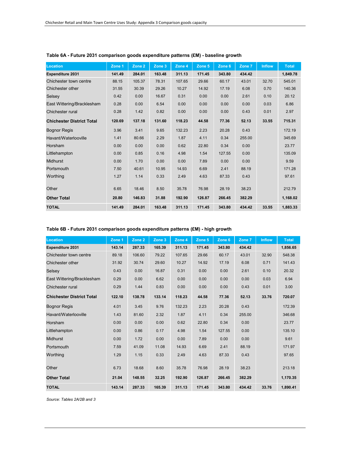| <b>Location</b>                  | Zone 1 | Zone 2 | Zone 3 | Zone 4 | Zone 5 | Zone 6 | Zone 7 | <b>Inflow</b> | <b>Total</b> |
|----------------------------------|--------|--------|--------|--------|--------|--------|--------|---------------|--------------|
| <b>Expenditure 2031</b>          | 141.49 | 284.01 | 163.48 | 311.13 | 171.45 | 343.80 | 434.42 |               | 1,849.78     |
| Chichester town centre           | 88.15  | 105.37 | 78.31  | 107.65 | 29.66  | 60.17  | 43.01  | 32.70         | 545.01       |
| Chichester other                 | 31.55  | 30.39  | 29.26  | 10.27  | 14.92  | 17.19  | 6.08   | 0.70          | 140.36       |
| Selsey                           | 0.42   | 0.00   | 16.67  | 0.31   | 0.00   | 0.00   | 2.61   | 0.10          | 20.12        |
| East Wittering/Bracklesham       | 0.28   | 0.00   | 6.54   | 0.00   | 0.00   | 0.00   | 0.00   | 0.03          | 6.86         |
| Chichester rural                 | 0.28   | 1.42   | 0.82   | 0.00   | 0.00   | 0.00   | 0.43   | 0.01          | 2.97         |
| <b>Chichester District Total</b> | 120.69 | 137.18 | 131.60 | 118.23 | 44.58  | 77.36  | 52.13  | 33.55         | 715.31       |
| <b>Bognor Regis</b>              | 3.96   | 3.41   | 9.65   | 132.23 | 2.23   | 20.28  | 0.43   |               | 172.19       |
| Havant/Waterlooville             | 1.41   | 80.66  | 2.29   | 1.87   | 4.11   | 0.34   | 255.00 |               | 345.69       |
| Horsham                          | 0.00   | 0.00   | 0.00   | 0.62   | 22.80  | 0.34   | 0.00   |               | 23.77        |
| Littlehampton                    | 0.00   | 0.85   | 0.16   | 4.98   | 1.54   | 127.55 | 0.00   |               | 135.09       |
| <b>Midhurst</b>                  | 0.00   | 1.70   | 0.00   | 0.00   | 7.89   | 0.00   | 0.00   |               | 9.59         |
| Portsmouth                       | 7.50   | 40.61  | 10.95  | 14.93  | 6.69   | 2.41   | 88.19  |               | 171.28       |
| Worthing                         | 1.27   | 1.14   | 0.33   | 2.49   | 4.63   | 87.33  | 0.43   |               | 97.61        |
| Other                            | 6.65   | 18.46  | 8.50   | 35.78  | 76.98  | 28.19  | 38.23  |               | 212.79       |
| <b>Other Total</b>               | 20.80  | 146.83 | 31.88  | 192.90 | 126.87 | 266.45 | 382.29 |               | 1,168.02     |
| <b>TOTAL</b>                     | 141.49 | 284.01 | 163.48 | 311.13 | 171.45 | 343.80 | 434.42 | 33.55         | 1,883.33     |

## **Table 6A - Future 2031 comparison goods expenditure patterns (£M) - baseline growth**

## **Table 6B - Future 2031 comparison goods expenditure patterns (£M) - high growth**

| <b>Location</b>                  | Zone 1 | Zone 2 | Zone 3 | Zone 4 | Zone 5 | Zone 6 | Zone 7 | <b>Inflow</b> | <b>Total</b> |
|----------------------------------|--------|--------|--------|--------|--------|--------|--------|---------------|--------------|
| <b>Expenditure 2031</b>          | 143.14 | 287.33 | 165.39 | 311.13 | 171.45 | 343.80 | 434.42 |               | 1,856.65     |
| Chichester town centre           | 89.18  | 106.60 | 79.22  | 107.65 | 29.66  | 60.17  | 43.01  | 32.90         | 548.38       |
| Chichester other                 | 31.92  | 30.74  | 29.60  | 10.27  | 14.92  | 17.19  | 6.08   | 0.71          | 141.43       |
| Selsey                           | 0.43   | 0.00   | 16.87  | 0.31   | 0.00   | 0.00   | 2.61   | 0.10          | 20.32        |
| East Wittering/Bracklesham       | 0.29   | 0.00   | 6.62   | 0.00   | 0.00   | 0.00   | 0.00   | 0.03          | 6.94         |
| Chichester rural                 | 0.29   | 1.44   | 0.83   | 0.00   | 0.00   | 0.00   | 0.43   | 0.01          | 3.00         |
| <b>Chichester District Total</b> | 122.10 | 138.78 | 133.14 | 118.23 | 44.58  | 77.36  | 52.13  | 33.76         | 720.07       |
| <b>Bognor Regis</b>              | 4.01   | 3.45   | 9.76   | 132.23 | 2.23   | 20.28  | 0.43   |               | 172.39       |
| Havant/Waterlooville             | 1.43   | 81.60  | 2.32   | 1.87   | 4.11   | 0.34   | 255.00 |               | 346.68       |
| Horsham                          | 0.00   | 0.00   | 0.00   | 0.62   | 22.80  | 0.34   | 0.00   |               | 23.77        |
| Littlehampton                    | 0.00   | 0.86   | 0.17   | 4.98   | 1.54   | 127.55 | 0.00   |               | 135.10       |
| <b>Midhurst</b>                  | 0.00   | 1.72   | 0.00   | 0.00   | 7.89   | 0.00   | 0.00   |               | 9.61         |
| Portsmouth                       | 7.59   | 41.09  | 11.08  | 14.93  | 6.69   | 2.41   | 88.19  |               | 171.97       |
| Worthing                         | 1.29   | 1.15   | 0.33   | 2.49   | 4.63   | 87.33  | 0.43   |               | 97.65        |
| Other                            | 6.73   | 18.68  | 8.60   | 35.78  | 76.98  | 28.19  | 38.23  |               | 213.18       |
| <b>Other Total</b>               | 21.04  | 148.55 | 32.25  | 192.90 | 126.87 | 266.45 | 382.29 |               | 1,170.35     |
| <b>TOTAL</b>                     | 143.14 | 287.33 | 165.39 | 311.13 | 171.45 | 343.80 | 434.42 | 33.76         | 1.890.41     |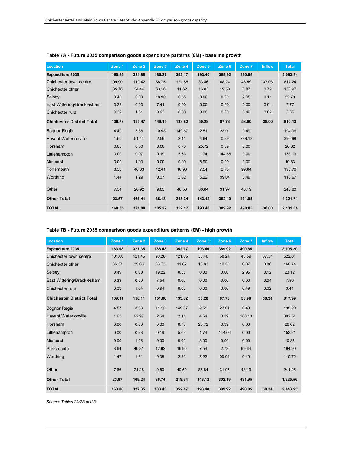| Location                         | Zone 1 | Zone 2 | Zone 3 | Zone 4 | Zone 5 | Zone 6 | Zone 7 | <b>Inflow</b> | <b>Total</b> |
|----------------------------------|--------|--------|--------|--------|--------|--------|--------|---------------|--------------|
| <b>Expenditure 2035</b>          | 160.35 | 321.88 | 185.27 | 352.17 | 193.40 | 389.92 | 490.85 |               | 2,093.84     |
| Chichester town centre           | 99.90  | 119.42 | 88.75  | 121.85 | 33.46  | 68.24  | 48.59  | 37.03         | 617.24       |
| Chichester other                 | 35.76  | 34.44  | 33.16  | 11.62  | 16.83  | 19.50  | 6.87   | 0.79          | 158.97       |
| Selsey                           | 0.48   | 0.00   | 18.90  | 0.35   | 0.00   | 0.00   | 2.95   | 0.11          | 22.79        |
| East Wittering/Bracklesham       | 0.32   | 0.00   | 7.41   | 0.00   | 0.00   | 0.00   | 0.00   | 0.04          | 7.77         |
| Chichester rural                 | 0.32   | 1.61   | 0.93   | 0.00   | 0.00   | 0.00   | 0.49   | 0.02          | 3.36         |
| <b>Chichester District Total</b> | 136.78 | 155.47 | 149.15 | 133.82 | 50.28  | 87.73  | 58.90  | 38.00         | 810.13       |
| <b>Bognor Regis</b>              | 4.49   | 3.86   | 10.93  | 149.67 | 2.51   | 23.01  | 0.49   |               | 194.96       |
| Havant/Waterlooville             | 1.60   | 91.41  | 2.59   | 2.11   | 4.64   | 0.39   | 288.13 |               | 390.88       |
| Horsham                          | 0.00   | 0.00   | 0.00   | 0.70   | 25.72  | 0.39   | 0.00   |               | 26.82        |
| Littlehampton                    | 0.00   | 0.97   | 0.19   | 5.63   | 1.74   | 144.66 | 0.00   |               | 153.19       |
| Midhurst                         | 0.00   | 1.93   | 0.00   | 0.00   | 8.90   | 0.00   | 0.00   |               | 10.83        |
| Portsmouth                       | 8.50   | 46.03  | 12.41  | 16.90  | 7.54   | 2.73   | 99.64  |               | 193.76       |
| Worthing                         | 1.44   | 1.29   | 0.37   | 2.82   | 5.22   | 99.04  | 0.49   |               | 110.67       |
| Other                            | 7.54   | 20.92  | 9.63   | 40.50  | 86.84  | 31.97  | 43.19  |               | 240.60       |
| <b>Other Total</b>               | 23.57  | 166.41 | 36.13  | 218.34 | 143.12 | 302.19 | 431.95 |               | 1,321.71     |
| <b>TOTAL</b>                     | 160.35 | 321.88 | 185.27 | 352.17 | 193.40 | 389.92 | 490.85 | 38.00         | 2,131.84     |

## **Table 7A - Future 2035 comparison goods expenditure patterns (£M) - baseline growth**

## **Table 7B - Future 2035 comparison goods expenditure patterns (£M) - high growth**

| Location                         | Zone 1 | Zone 2 | Zone 3 | Zone 4 | Zone 5 | Zone 6 | Zone 7 | <b>Inflow</b> | <b>Total</b> |
|----------------------------------|--------|--------|--------|--------|--------|--------|--------|---------------|--------------|
| <b>Expenditure 2035</b>          | 163.08 | 327.35 | 188.43 | 352.17 | 193.40 | 389.92 | 490.85 |               | 2,105.20     |
| Chichester town centre           | 101.60 | 121.45 | 90.26  | 121.85 | 33.46  | 68.24  | 48.59  | 37.37         | 622.81       |
| Chichester other                 | 36.37  | 35.03  | 33.73  | 11.62  | 16.83  | 19.50  | 6.87   | 0.80          | 160.74       |
| Selsey                           | 0.49   | 0.00   | 19.22  | 0.35   | 0.00   | 0.00   | 2.95   | 0.12          | 23.12        |
| East Wittering/Bracklesham       | 0.33   | 0.00   | 7.54   | 0.00   | 0.00   | 0.00   | 0.00   | 0.04          | 7.90         |
| Chichester rural                 | 0.33   | 1.64   | 0.94   | 0.00   | 0.00   | 0.00   | 0.49   | 0.02          | 3.41         |
| <b>Chichester District Total</b> | 139.11 | 158.11 | 151.68 | 133.82 | 50.28  | 87.73  | 58.90  | 38.34         | 817.99       |
| <b>Bognor Regis</b>              | 4.57   | 3.93   | 11.12  | 149.67 | 2.51   | 23.01  | 0.49   |               | 195.29       |
| Havant/Waterlooville             | 1.63   | 92.97  | 2.64   | 2.11   | 4.64   | 0.39   | 288.13 |               | 392.51       |
| Horsham                          | 0.00   | 0.00   | 0.00   | 0.70   | 25.72  | 0.39   | 0.00   |               | 26.82        |
| Littlehampton                    | 0.00   | 0.98   | 0.19   | 5.63   | 1.74   | 144.66 | 0.00   |               | 153.21       |
| <b>Midhurst</b>                  | 0.00   | 1.96   | 0.00   | 0.00   | 8.90   | 0.00   | 0.00   |               | 10.86        |
| Portsmouth                       | 8.64   | 46.81  | 12.62  | 16.90  | 7.54   | 2.73   | 99.64  |               | 194.90       |
| Worthing                         | 1.47   | 1.31   | 0.38   | 2.82   | 5.22   | 99.04  | 0.49   |               | 110.72       |
| Other                            | 7.66   | 21.28  | 9.80   | 40.50  | 86.84  | 31.97  | 43.19  |               | 241.25       |
| <b>Other Total</b>               | 23.97  | 169.24 | 36.74  | 218.34 | 143.12 | 302.19 | 431.95 |               | 1,325.56     |
| <b>TOTAL</b>                     | 163.08 | 327.35 | 188.43 | 352.17 | 193.40 | 389.92 | 490.85 | 38.34         | 2,143.55     |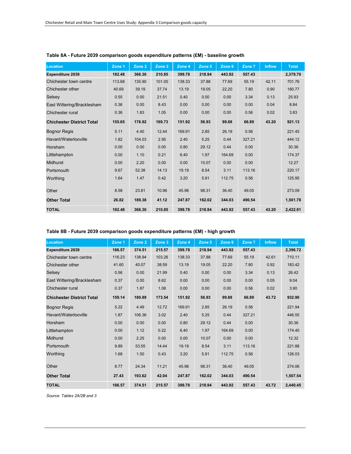| Location                         | Zone 1 | Zone 2 | Zone 3 | Zone 4 | Zone 5 | Zone 6 | Zone 7 | <b>Inflow</b> | <b>Total</b> |
|----------------------------------|--------|--------|--------|--------|--------|--------|--------|---------------|--------------|
| <b>Expenditure 2039</b>          | 182.48 | 366.30 | 210.85 | 399.78 | 218.94 | 443.92 | 557.43 |               | 2,379.70     |
| Chichester town centre           | 113.68 | 135.90 | 101.00 | 138.33 | 37.88  | 77.69  | 55.19  | 42.11         | 701.76       |
| Chichester other                 | 40.69  | 39.19  | 37.74  | 13.19  | 19.05  | 22.20  | 7.80   | 0.90          | 180.77       |
| Selsey                           | 0.55   | 0.00   | 21.51  | 0.40   | 0.00   | 0.00   | 3.34   | 0.13          | 25.93        |
| East Wittering/Bracklesham       | 0.36   | 0.00   | 8.43   | 0.00   | 0.00   | 0.00   | 0.00   | 0.04          | 8.84         |
| Chichester rural                 | 0.36   | 1.83   | 1.05   | 0.00   | 0.00   | 0.00   | 0.56   | 0.02          | 3.83         |
| <b>Chichester District Total</b> | 155.65 | 176.92 | 169.73 | 151.92 | 56.93  | 99.88  | 66.89  | 43.20         | 921.13       |
| <b>Bognor Regis</b>              | 5.11   | 4.40   | 12.44  | 169.91 | 2.85   | 26.19  | 0.56   |               | 221.45       |
| Havant/Waterlooville             | 1.82   | 104.03 | 2.95   | 2.40   | 5.25   | 0.44   | 327.21 |               | 444.12       |
| Horsham                          | 0.00   | 0.00   | 0.00   | 0.80   | 29.12  | 0.44   | 0.00   |               | 30.36        |
| Littlehampton                    | 0.00   | 1.10   | 0.21   | 6.40   | 1.97   | 164.69 | 0.00   |               | 174.37       |
| Midhurst                         | 0.00   | 2.20   | 0.00   | 0.00   | 10.07  | 0.00   | 0.00   |               | 12.27        |
| Portsmouth                       | 9.67   | 52.38  | 14.13  | 19.19  | 8.54   | 3.11   | 113.16 |               | 220.17       |
| Worthing                         | 1.64   | 1.47   | 0.42   | 3.20   | 5.91   | 112.75 | 0.56   |               | 125.95       |
| Other                            | 8.58   | 23.81  | 10.96  | 45.98  | 98.31  | 36.40  | 49.05  |               | 273.09       |
| <b>Other Total</b>               | 26.82  | 189.38 | 41.12  | 247.87 | 162.02 | 344.03 | 490.54 |               | 1,501.78     |
| <b>TOTAL</b>                     | 182.48 | 366.30 | 210.85 | 399.78 | 218.94 | 443.92 | 557.43 | 43.20         | 2,422.91     |

## **Table 8A - Future 2039 comparison goods expenditure patterns (£M) - baseline growth**

## **Table 8B - Future 2039 comparison goods expenditure patterns (£M) - high growth**

| Location                         | Zone 1 | Zone 2 | Zone 3 | Zone 4 | Zone 5 | Zone 6 | Zone 7 | <b>Inflow</b> | <b>Total</b> |
|----------------------------------|--------|--------|--------|--------|--------|--------|--------|---------------|--------------|
| <b>Expenditure 2039</b>          | 186.57 | 374.51 | 215.57 | 399.78 | 218.94 | 443.92 | 557.43 |               | 2,396.72     |
| Chichester town centre           | 116.23 | 138.94 | 103.26 | 138.33 | 37.88  | 77.69  | 55.19  | 42.61         | 710.11       |
| Chichester other                 | 41.60  | 40.07  | 38.59  | 13.19  | 19.05  | 22.20  | 7.80   | 0.92          | 183.42       |
| Selsey                           | 0.56   | 0.00   | 21.99  | 0.40   | 0.00   | 0.00   | 3.34   | 0.13          | 26.42        |
| East Wittering/Bracklesham       | 0.37   | 0.00   | 8.62   | 0.00   | 0.00   | 0.00   | 0.00   | 0.05          | 9.04         |
| Chichester rural                 | 0.37   | 1.87   | 1.08   | 0.00   | 0.00   | 0.00   | 0.56   | 0.02          | 3.90         |
| <b>Chichester District Total</b> | 159.14 | 180.89 | 173.54 | 151.92 | 56.93  | 99.88  | 66.89  | 43.72         | 932.90       |
| <b>Bognor Regis</b>              | 5.22   | 4.49   | 12.72  | 169.91 | 2.85   | 26.19  | 0.56   |               | 221.94       |
| Havant/Waterlooville             | 1.87   | 106.36 | 3.02   | 2.40   | 5.25   | 0.44   | 327.21 |               | 446.55       |
| Horsham                          | 0.00   | 0.00   | 0.00   | 0.80   | 29.12  | 0.44   | 0.00   |               | 30.36        |
| Littlehampton                    | 0.00   | 1.12   | 0.22   | 6.40   | 1.97   | 164.69 | 0.00   |               | 174.40       |
| Midhurst                         | 0.00   | 2.25   | 0.00   | 0.00   | 10.07  | 0.00   | 0.00   |               | 12.32        |
| Portsmouth                       | 9.89   | 53.55  | 14.44  | 19.19  | 8.54   | 3.11   | 113.16 |               | 221.88       |
| Worthing                         | 1.68   | 1.50   | 0.43   | 3.20   | 5.91   | 112.75 | 0.56   |               | 126.03       |
| Other                            | 8.77   | 24.34  | 11.21  | 45.98  | 98.31  | 36.40  | 49.05  |               | 274.06       |
| <b>Other Total</b>               | 27.43  | 193.62 | 42.04  | 247.87 | 162.02 | 344.03 | 490.54 |               | 1,507.54     |
| <b>TOTAL</b>                     | 186.57 | 374.51 | 215.57 | 399.78 | 218.94 | 443.92 | 557.43 | 43.72         | 2.440.45     |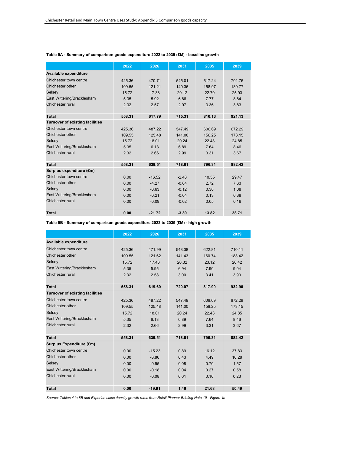|                                        | 2022   | 2026     | 2031    | 2035   | 2039   |
|----------------------------------------|--------|----------|---------|--------|--------|
| Available expenditure                  |        |          |         |        |        |
| Chichester town centre                 | 425.36 | 470.71   | 545.01  | 617.24 | 701.76 |
| Chichester other                       | 109.55 | 121.21   | 140.36  | 158.97 | 180.77 |
| Selsey                                 | 15.72  | 17.38    | 20.12   | 22.79  | 25.93  |
| East Wittering/Bracklesham             | 5.35   | 5.92     | 6.86    | 7.77   | 8.84   |
| Chichester rural                       | 2.32   | 2.57     | 2.97    | 3.36   | 3.83   |
| <b>Total</b>                           | 558.31 | 617.79   | 715.31  | 810.13 | 921.13 |
| <b>Turnover of existing facilities</b> |        |          |         |        |        |
| Chichester town centre                 | 425.36 | 487.22   | 547.49  | 606.69 | 672.29 |
| Chichester other                       | 109.55 | 125.48   | 141.00  | 156.25 | 173.15 |
| Selsey                                 | 15.72  | 18.01    | 20.24   | 22.43  | 24.85  |
| East Wittering/Bracklesham             | 5.35   | 6.13     | 6.89    | 7.64   | 8.46   |
| Chichester rural                       | 2.32   | 2.66     | 2.99    | 3.31   | 3.67   |
|                                        |        |          |         |        |        |
| <b>Total</b>                           | 558.31 | 639.51   | 718.61  | 796.31 | 882.42 |
| Surplus expenditure (£m)               |        |          |         |        |        |
| Chichester town centre                 | 0.00   | $-16.52$ | $-2.48$ | 10.55  | 29.47  |
| Chichester other                       | 0.00   | $-4.27$  | $-0.64$ | 2.72   | 7.63   |
| Selsey                                 | 0.00   | $-0.63$  | $-0.12$ | 0.36   | 1.08   |
| East Wittering/Bracklesham             | 0.00   | $-0.21$  | $-0.04$ | 0.13   | 0.38   |
| Chichester rural                       | 0.00   | $-0.09$  | $-0.02$ | 0.05   | 0.16   |
|                                        |        |          |         |        |        |
| <b>Total</b>                           | 0.00   | $-21.72$ | $-3.30$ | 13.82  | 38.71  |

#### **Table 9A - Summary of comparison goods expenditure 2022 to 2039 (£M) - baseline growth**

**Table 9B - Summary of comparison goods expenditure 2022 to 2039 (£M) - high growth**

|                                        | 2022   | 2026     | 2031   | 2035   | 2039   |
|----------------------------------------|--------|----------|--------|--------|--------|
| Available expenditure                  |        |          |        |        |        |
| Chichester town centre                 | 425.36 | 471.99   | 548.38 | 622.81 | 710.11 |
| Chichester other                       | 109.55 | 121.62   | 141.43 | 160.74 | 183.42 |
| Selsey                                 | 15.72  | 17.46    | 20.32  | 23.12  | 26.42  |
| East Wittering/Bracklesham             | 5.35   | 5.95     | 6.94   | 7.90   | 9.04   |
| Chichester rural                       | 2.32   | 2.58     | 3.00   | 3.41   | 3.90   |
| <b>Total</b>                           | 558.31 | 619.60   | 720.07 | 817.99 | 932.90 |
| <b>Turnover of existing facilities</b> |        |          |        |        |        |
| Chichester town centre                 | 425.36 | 487.22   | 547.49 | 606.69 | 672.29 |
| Chichester other                       | 109.55 | 125.48   | 141.00 | 156.25 | 173.15 |
| Selsey                                 | 15.72  | 18.01    | 20.24  | 22.43  | 24.85  |
| East Wittering/Bracklesham             | 5.35   | 6.13     | 6.89   | 7.64   | 8.46   |
| Chichester rural                       | 2.32   | 2.66     | 2.99   | 3.31   | 3.67   |
| <b>Total</b>                           | 558.31 | 639.51   | 718.61 | 796.31 | 882.42 |
| <b>Surplus Expenditure (£m)</b>        |        |          |        |        |        |
| Chichester town centre                 | 0.00   | $-15.23$ | 0.89   | 16 12  | 37.83  |
| Chichester other                       | 0.00   | $-3.86$  | 0.43   | 4.49   | 10.28  |
| Selsey                                 | 0.00   | $-0.55$  | 0.08   | 0.70   | 1.57   |
| East Wittering/Bracklesham             | 0.00   | $-0.18$  | 0.04   | 0.27   | 0.58   |
| Chichester rural                       | 0.00   | $-0.08$  | 0.01   | 0.10   | 0.23   |
| <b>Total</b>                           | 0.00   | $-19.91$ | 1.46   | 21.68  | 50.49  |

*Source: Tables 4 to 8B and Experian sales density growth rates from Retail Planner Briefing Note 19 - Figure 4b*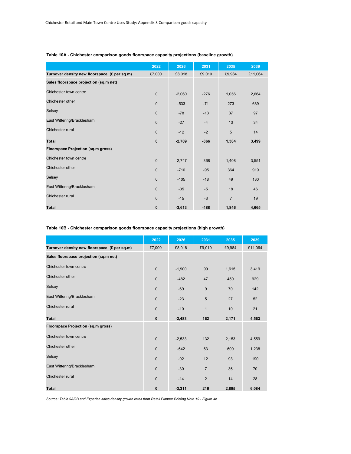|                                              | 2022         | 2026     | 2031   | 2035           | 2039    |
|----------------------------------------------|--------------|----------|--------|----------------|---------|
| Turnover density new floorspace (£ per sq.m) | £7,000       | £8,018   | £9,010 | £9,984         | £11,064 |
| Sales floorspace projection (sq.m net)       |              |          |        |                |         |
| Chichester town centre                       | $\mathbf{0}$ | $-2,060$ | $-276$ | 1,056          | 2,664   |
| Chichester other                             | $\mathbf{0}$ | $-533$   | $-71$  | 273            | 689     |
| Selsey                                       | $\mathbf{0}$ | $-78$    | $-13$  | 37             | 97      |
| East Wittering/Bracklesham                   | $\Omega$     | $-27$    | $-4$   | 13             | 34      |
| Chichester rural                             | $\Omega$     | $-12$    | $-2$   | 5              | 14      |
| <b>Total</b>                                 | $\mathbf{0}$ | $-2,709$ | $-366$ | 1,384          | 3,499   |
| Floorspace Projection (sq.m gross)           |              |          |        |                |         |
| Chichester town centre                       | $\mathbf{0}$ | $-2,747$ | $-368$ | 1,408          | 3,551   |
| Chichester other                             | $\mathbf{0}$ | $-710$   | $-95$  | 364            | 919     |
| Selsey                                       | $\Omega$     | $-105$   | $-18$  | 49             | 130     |
| East Wittering/Bracklesham                   | $\mathbf{0}$ | $-35$    | $-5$   | 18             | 46      |
| Chichester rural                             | $\mathbf{0}$ | $-15$    | $-3$   | $\overline{7}$ | 19      |
| <b>Total</b>                                 | $\bf{0}$     | $-3,613$ | $-488$ | 1,846          | 4,665   |

#### **Table 10A - Chichester comparison goods floorspace capacity projections (baseline growth)**

#### **Table 10B - Chichester comparison goods floorspace capacity projections (high growth)**

|                                              | 2022         | 2026     | 2031           | 2035   | 2039    |
|----------------------------------------------|--------------|----------|----------------|--------|---------|
| Turnover density new floorspace (£ per sq.m) | £7,000       | £8,018   | £9,010         | £9,984 | £11,064 |
| Sales floorspace projection (sq.m net)       |              |          |                |        |         |
| Chichester town centre                       | $\mathbf{0}$ | $-1,900$ | 99             | 1,615  | 3,419   |
| Chichester other                             | $\mathbf{0}$ | $-482$   | 47             | 450    | 929     |
| Selsey                                       | $\mathbf{0}$ | $-69$    | 9              | 70     | 142     |
| East Wittering/Bracklesham                   | $\mathbf{0}$ | $-23$    | 5              | 27     | 52      |
| Chichester rural                             | $\mathbf{0}$ | $-10$    | $\mathbf{1}$   | 10     | 21      |
| <b>Total</b>                                 | $\bf{0}$     | $-2,483$ | 162            | 2,171  | 4,563   |
| Floorspace Projection (sq.m gross)           |              |          |                |        |         |
| Chichester town centre                       | $\mathbf 0$  | $-2,533$ | 132            | 2,153  | 4,559   |
| Chichester other                             | $\mathbf{0}$ | $-642$   | 63             | 600    | 1,238   |
| Selsey                                       | $\mathbf{0}$ | $-92$    | 12             | 93     | 190     |
| East Wittering/Bracklesham                   | $\mathbf{0}$ | $-30$    | $\overline{7}$ | 36     | 70      |
| Chichester rural                             | $\mathbf{0}$ | $-14$    | $\overline{2}$ | 14     | 28      |
| <b>Total</b>                                 | 0            | $-3,311$ | 216            | 2,895  | 6,084   |

*Source: Table 9A/9B and Experian sales density growth rates from Retail Planner Briefing Note 19 - Figure 4b*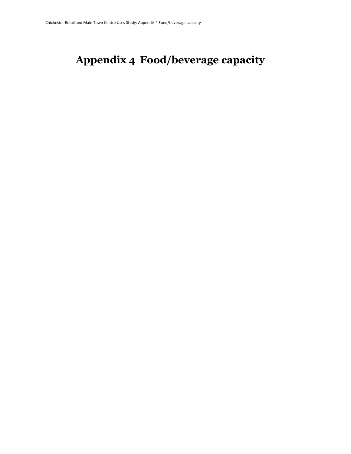# **Appendix 4 Food/beverage capacity**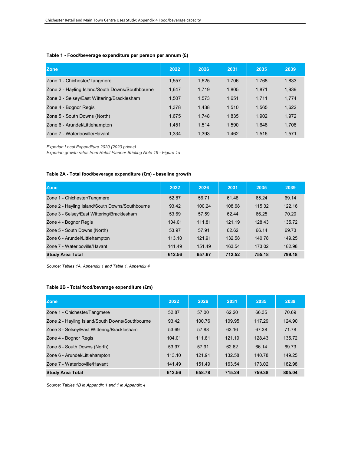## **Table 1 - Food/beverage expenditure per person per annum (£)**

| <b>Zone</b>                                     | 2022  | 2026  | 2031  | 2035  | 2039  |
|-------------------------------------------------|-------|-------|-------|-------|-------|
| Zone 1 - Chichester/Tangmere                    | 1.557 | 1,625 | 1.706 | 1.768 | 1,833 |
| Zone 2 - Hayling Island/South Downs/Southbourne | 1,647 | 1,719 | 1,805 | 1,871 | 1,939 |
| Zone 3 - Selsey/East Wittering/Bracklesham      | 1,507 | 1,573 | 1.651 | 1.711 | 1,774 |
| Zone 4 - Bognor Regis                           | 1,378 | 1,438 | 1.510 | 1.565 | 1,622 |
| Zone 5 - South Downs (North)                    | 1,675 | 1,748 | 1.835 | 1.902 | 1,972 |
| Zone 6 - Arundel/Littlehampton                  | 1.451 | 1.514 | 1.590 | 1.648 | 1,708 |
| Zone 7 - Waterlooville/Havant                   | 1.334 | 1,393 | 1.462 | 1.516 | 1.571 |

*Experian Local Expenditure 2020 (2020 prices)*

*Experian growth rates from Retail Planner Briefing Note 19 - Figure 1a*

## **Table 2A - Total food/beverage expenditure (£m) - baseline growth**

| <b>Zone</b>                                     | 2022   | 2026   | 2031   | 2035   | 2039   |
|-------------------------------------------------|--------|--------|--------|--------|--------|
| Zone 1 - Chichester/Tangmere                    | 52.87  | 56.71  | 61.48  | 65.24  | 69.14  |
| Zone 2 - Hayling Island/South Downs/Southbourne | 93.42  | 100.24 | 108.68 | 115.32 | 122.16 |
| Zone 3 - Selsey/East Wittering/Bracklesham      | 53.69  | 57.59  | 62.44  | 66.25  | 70.20  |
| Zone 4 - Bognor Regis                           | 104.01 | 111.81 | 121.19 | 128.43 | 135.72 |
| Zone 5 - South Downs (North)                    | 53.97  | 57.91  | 62.62  | 66.14  | 69.73  |
| Zone 6 - Arundel/Littlehampton                  | 113.10 | 121.91 | 132.58 | 140.78 | 149.25 |
| Zone 7 - Waterlooville/Havant                   | 141.49 | 151.49 | 163.54 | 173.02 | 182.98 |
| <b>Study Area Total</b>                         | 612.56 | 657.67 | 712.52 | 755.18 | 799.18 |

*Source: Tables 1A, Appendix 1 and Table 1, Appendix 4*

## **Table 2B - Total food/beverage expenditure (£m)**

| <b>Zone</b>                                     | 2022   | 2026   | 2031   | 2035   | 2039   |
|-------------------------------------------------|--------|--------|--------|--------|--------|
| Zone 1 - Chichester/Tangmere                    | 52.87  | 57.00  | 62.20  | 66.35  | 70.69  |
| Zone 2 - Hayling Island/South Downs/Southbourne | 93.42  | 100.76 | 109.95 | 117.29 | 124.90 |
| Zone 3 - Selsey/East Wittering/Bracklesham      | 53.69  | 57.88  | 63.16  | 67.38  | 71.78  |
| Zone 4 - Bognor Regis                           | 104.01 | 111.81 | 121.19 | 128.43 | 135.72 |
| Zone 5 - South Downs (North)                    | 53.97  | 57.91  | 62.62  | 66.14  | 69.73  |
| Zone 6 - Arundel/Littlehampton                  | 113.10 | 121.91 | 132.58 | 140.78 | 149.25 |
| Zone 7 - Waterlooville/Havant                   | 141.49 | 151.49 | 163.54 | 173.02 | 182.98 |
| <b>Study Area Total</b>                         | 612.56 | 658.78 | 715.24 | 759.38 | 805.04 |

*Source: Tables 1B in Appendix 1 and 1 in Appendix 4*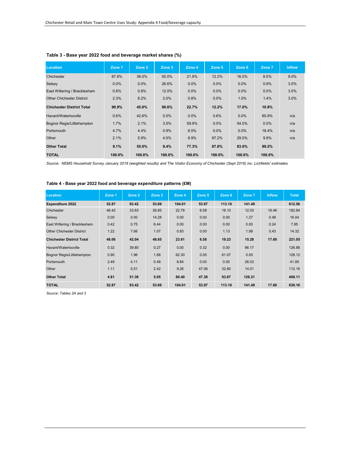| Location                         | Zone 1  | Zone 2  | Zone 3 | Zone 4  | Zone 5  | Zone 6  | Zone 7  | <b>Inflow</b> |
|----------------------------------|---------|---------|--------|---------|---------|---------|---------|---------------|
| Chichester                       | 87.8%   | 36.0%   | 50.0%  | 21.9%   | 12.2%   | 16.0%   | 8.5%    | 9.0%          |
| Selsey                           | $0.0\%$ | $0.0\%$ | 26.6%  | 0.0%    | $0.0\%$ | $0.0\%$ | 0.9%    | 3.0%          |
| East Wittering / Bracklesham     | 0.8%    | 0.8%    | 12.0%  | $0.0\%$ | $0.0\%$ | $0.0\%$ | $0.0\%$ | 3.0%          |
| <b>Other Chichester District</b> | 2.3%    | 8.2%    | 2.0%   | 0.8%    | $0.0\%$ | 1.0%    | 1.4%    | 3.0%          |
| <b>Chichester District Total</b> | 90.9%   | 45.0%   | 90.6%  | 22.7%   | 12.2%   | 17.0%   | 10.8%   |               |
| Havant/Waterlooville             | 0.6%    | 42.6%   | 0.5%   | $0.0\%$ | 0.6%    | $0.0\%$ | 60.9%   | n/a           |
| Bognor Regis/Littlehampton       | 1.7%    | 2.1%    | 3.5%   | 59.9%   | $0.0\%$ | 54.0%   | 0.0%    | n/a           |
| Portsmouth                       | 4.7%    | 4.4%    | 0.9%   | 8.5%    | $0.0\%$ | $0.0\%$ | 18.4%   | n/a           |
| Other                            | 2.1%    | 5.9%    | 4.5%   | 8.9%    | 87.2%   | 29.0%   | 9.9%    | n/a           |
| <b>Other Total</b>               | 9.1%    | 55.0%   | 9.4%   | 77.3%   | 87.8%   | 83.0%   | 89.2%   |               |
| <b>TOTAL</b>                     | 100.0%  | 100.0%  | 100.0% | 100.0%  | 100.0%  | 100.0%  | 100.0%  |               |

## **Table 3 - Base year 2022 food and beverage market shares (%)**

*Source: NEMS Household Survey January 2018 (weighted results) and The Visitor Economy of Chichester (Sept 2016) inc. Lichfields' estimates*

| Location                         | Zone 1 | Zone 2 | Zone 3 | Zone 4 | Zone 5 | Zone 6 | Zone 7 | <b>Inflow</b> | <b>Total</b> |
|----------------------------------|--------|--------|--------|--------|--------|--------|--------|---------------|--------------|
| <b>Expenditure 2022</b>          | 52.87  | 93.42  | 53.69  | 104.01 | 53.97  | 113.10 | 141.49 |               | 612.56       |
| Chichester                       | 46.42  | 33.63  | 26.85  | 22.78  | 6.58   | 18.10  | 12.03  | 16.46         | 182.84       |
| Selsey                           | 0.00   | 0.00   | 14.28  | 0.00   | 0.00   | 0.00   | 1.27   | 0.48          | 16.04        |
| East Wittering / Bracklesham     | 0.42   | 0.75   | 6.44   | 0.00   | 0.00   | 0.00   | 0.00   | 0.24          | 7.85         |
| <b>Other Chichester District</b> | 1.22   | 7.66   | 1.07   | 0.83   | 0.00   | 1.13   | 1.98   | 0.43          | 14.32        |
| <b>Chichester District Total</b> | 48.06  | 42.04  | 48.65  | 23.61  | 6.58   | 19.23  | 15.28  | 17.60         | 221.05       |
| Havant/Waterlooville             | 0.32   | 39.80  | 0.27   | 0.00   | 0.32   | 0.00   | 86.17  |               | 126.88       |
| Bognor Regis/Littlehampton       | 0.90   | 1.96   | 1.88   | 62.30  | 0.00   | 61.07  | 0.00   |               | 128.12       |
| Portsmouth                       | 2.49   | 4.11   | 0.48   | 8.84   | 0.00   | 0.00   | 26.03  |               | 41.95        |
| Other                            | 1.11   | 5.51   | 2.42   | 9.26   | 47.06  | 32.80  | 14.01  |               | 112.16       |
| <b>Other Total</b>               | 4.81   | 51.38  | 5.05   | 80.40  | 47.38  | 93.87  | 126.21 |               | 409.11       |
| <b>TOTAL</b>                     | 52.87  | 93.42  | 53.69  | 104.01 | 53.97  | 113.10 | 141.49 | 17.60         | 630.16       |

#### **Table 4 - Base year 2022 food and beverage expenditure patterns (£M)**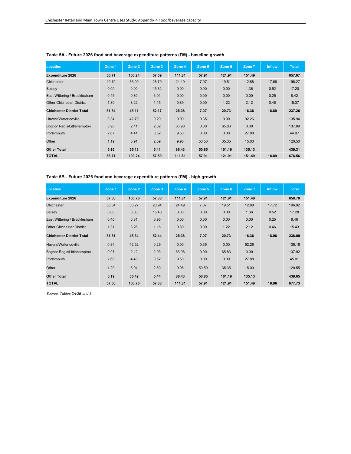| Location                         | Zone 1 | Zone 2 | Zone 3 | Zone 4 | Zone 5 | Zone 6 | Zone 7 | <b>Inflow</b> | <b>Total</b> |
|----------------------------------|--------|--------|--------|--------|--------|--------|--------|---------------|--------------|
| <b>Expenditure 2026</b>          | 56.71  | 100.24 | 57.59  | 111.81 | 57.91  | 121.91 | 151.49 |               | 657.67       |
| Chichester                       | 49.79  | 36.09  | 28.79  | 24.49  | 7.07   | 19.51  | 12.88  | 17.66         | 196.27       |
| Selsey                           | 0.00   | 0.00   | 15.32  | 0.00   | 0.00   | 0.00   | 1.36   | 0.52          | 17.20        |
| East Wittering / Bracklesham     | 0.45   | 0.80   | 6.91   | 0.00   | 0.00   | 0.00   | 0.00   | 0.25          | 8.42         |
| <b>Other Chichester District</b> | 1.30   | 8.22   | 1.15   | 0.89   | 0.00   | 1.22   | 2.12   | 0.46          | 15.37        |
| <b>Chichester District Total</b> | 51.54  | 45.11  | 52.17  | 25.38  | 7.07   | 20.73  | 16.36  | 18.89         | 237.26       |
| Havant/Waterlooville             | 0.34   | 42.70  | 0.29   | 0.00   | 0.35   | 0.00   | 92.26  |               | 135.94       |
| Bognor Regis/Littlehampton       | 0.96   | 2.11   | 2.02   | 66.98  | 0.00   | 65.83  | 0.00   |               | 137.89       |
| Portsmouth                       | 2.67   | 4.41   | 0.52   | 9.50   | 0.00   | 0.00   | 27.88  |               | 44.97        |
| Other                            | 1.19   | 5.91   | 2.59   | 9.95   | 50.50  | 35.35  | 15.00  |               | 120.50       |
| <b>Other Total</b>               | 5.16   | 55.13  | 5.41   | 86.43  | 50.85  | 101.19 | 135.13 |               | 439.31       |
| <b>TOTAL</b>                     | 56.71  | 100.24 | 57.59  | 111.81 | 57.91  | 121.91 | 151.49 | 18.89         | 676.56       |

## **Table 5A - Future 2026 food and beverage expenditure patterns (£M) - baseline growth**

**Table 5B - Future 2026 food and beverage expenditure patterns (£M) - high growth**

| Location                         | Zone 1 | Zone 2 | Zone 3 | Zone 4 | Zone 5 | Zone 6 | Zone 7 | <b>Inflow</b> | Total  |
|----------------------------------|--------|--------|--------|--------|--------|--------|--------|---------------|--------|
| <b>Expenditure 2026</b>          | 57.00  | 100.76 | 57.88  | 111.81 | 57.91  | 121.91 | 151.49 |               | 658.78 |
| Chichester                       | 50.04  | 36.27  | 28.94  | 24.49  | 7.07   | 19.51  | 12.88  | 17.72         | 196.92 |
| Selsey                           | 0.00   | 0.00   | 15.40  | 0.00   | 0.00   | 0.00   | 1.36   | 0.52          | 17.28  |
| East Wittering / Bracklesham     | 0.46   | 0.81   | 6.95   | 0.00   | 0.00   | 0.00   | 0.00   | 0.25          | 8.46   |
| <b>Other Chichester District</b> | 1.31   | 8.26   | 1.16   | 0.89   | 0.00   | 1.22   | 2.12   | 0.46          | 15.43  |
| <b>Chichester District Total</b> | 51.81  | 45.34  | 52.44  | 25.38  | 7.07   | 20.73  | 16.36  | 18.96         | 238.09 |
| Havant/Waterlooville             | 0.34   | 42.92  | 0.29   | 0.00   | 0.35   | 0.00   | 92.26  |               | 136.16 |
| Bognor Regis/Littlehampton       | 0.97   | 2.12   | 2.03   | 66.98  | 0.00   | 65.83  | 0.00   |               | 137.92 |
| Portsmouth                       | 2.68   | 4.43   | 0.52   | 9.50   | 0.00   | 0.00   | 27.88  |               | 45.01  |
| Other                            | 1.20   | 5.94   | 2.60   | 9.95   | 50.50  | 35.35  | 15.00  |               | 120.55 |
| <b>Other Total</b>               | 5.19   | 55.42  | 5.44   | 86.43  | 50.85  | 101.19 | 135.13 |               | 439.65 |
| <b>TOTAL</b>                     | 57.00  | 100.76 | 57.88  | 111.81 | 57.91  | 121.91 | 151.49 | 18.96         | 677.73 |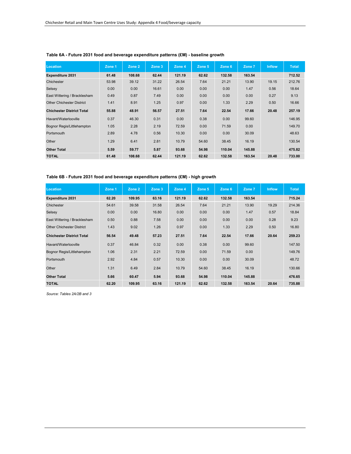| Location                         | Zone 1 | Zone 2 | Zone 3 | Zone 4 | Zone 5 | Zone 6 | Zone 7 | <b>Inflow</b> | <b>Total</b> |
|----------------------------------|--------|--------|--------|--------|--------|--------|--------|---------------|--------------|
| <b>Expenditure 2031</b>          | 61.48  | 108.68 | 62.44  | 121.19 | 62.62  | 132.58 | 163.54 |               | 712.52       |
| Chichester                       | 53.98  | 39.12  | 31.22  | 26.54  | 7.64   | 21.21  | 13.90  | 19.15         | 212.76       |
| Selsey                           | 0.00   | 0.00   | 16.61  | 0.00   | 0.00   | 0.00   | 1.47   | 0.56          | 18.64        |
| East Wittering / Bracklesham     | 0.49   | 0.87   | 7.49   | 0.00   | 0.00   | 0.00   | 0.00   | 0.27          | 9.13         |
| <b>Other Chichester District</b> | 1.41   | 8.91   | 1.25   | 0.97   | 0.00   | 1.33   | 2.29   | 0.50          | 16.66        |
| <b>Chichester District Total</b> | 55.88  | 48.91  | 56.57  | 27.51  | 7.64   | 22.54  | 17.66  | 20.48         | 257.19       |
| Havant/Waterlooville             | 0.37   | 46.30  | 0.31   | 0.00   | 0.38   | 0.00   | 99.60  |               | 146.95       |
| Bognor Regis/Littlehampton       | 1.05   | 2.28   | 2.19   | 72.59  | 0.00   | 71.59  | 0.00   |               | 149.70       |
| Portsmouth                       | 2.89   | 4.78   | 0.56   | 10.30  | 0.00   | 0.00   | 30.09  |               | 48.63        |
| Other                            | 1.29   | 6.41   | 2.81   | 10.79  | 54.60  | 38.45  | 16.19  |               | 130.54       |
| <b>Other Total</b>               | 5.59   | 59.77  | 5.87   | 93.68  | 54.98  | 110.04 | 145.88 |               | 475.82       |
| <b>TOTAL</b>                     | 61.48  | 108.68 | 62.44  | 121.19 | 62.62  | 132.58 | 163.54 | 20.48         | 733.00       |

## **Table 6A - Future 2031 food and beverage expenditure patterns (£M) - baseline growth**

**Table 6B - Future 2031 food and beverage expenditure patterns (£M) - high growth**

| Location                         | Zone 1 | Zone 2 | Zone 3 | Zone 4 | Zone 5 | Zone 6 | Zone 7 | <b>Inflow</b> | <b>Total</b> |
|----------------------------------|--------|--------|--------|--------|--------|--------|--------|---------------|--------------|
| <b>Expenditure 2031</b>          | 62.20  | 109.95 | 63.16  | 121.19 | 62.62  | 132.58 | 163.54 |               | 715.24       |
| Chichester                       | 54.61  | 39.58  | 31.58  | 26.54  | 7.64   | 21.21  | 13.90  | 19.29         | 214.36       |
| Selsey                           | 0.00   | 0.00   | 16.80  | 0.00   | 0.00   | 0.00   | 1.47   | 0.57          | 18.84        |
| East Wittering / Bracklesham     | 0.50   | 0.88   | 7.58   | 0.00   | 0.00   | 0.00   | 0.00   | 0.28          | 9.23         |
| <b>Other Chichester District</b> | 1.43   | 9.02   | 1.26   | 0.97   | 0.00   | 1.33   | 2.29   | 0.50          | 16.80        |
| <b>Chichester District Total</b> | 56.54  | 49.48  | 57.23  | 27.51  | 7.64   | 22.54  | 17.66  | 20.64         | 259.23       |
| Havant/Waterlooville             | 0.37   | 46.84  | 0.32   | 0.00   | 0.38   | 0.00   | 99.60  |               | 147.50       |
| Bognor Regis/Littlehampton       | 1.06   | 2.31   | 2.21   | 72.59  | 0.00   | 71.59  | 0.00   |               | 149.76       |
| Portsmouth                       | 2.92   | 4.84   | 0.57   | 10.30  | 0.00   | 0.00   | 30.09  |               | 48.72        |
| Other                            | 1.31   | 6.49   | 2.84   | 10.79  | 54.60  | 38.45  | 16.19  |               | 130.66       |
| <b>Other Total</b>               | 5.66   | 60.47  | 5.94   | 93.68  | 54.98  | 110.04 | 145.88 |               | 476.65       |
| <b>TOTAL</b>                     | 62.20  | 109.95 | 63.16  | 121.19 | 62.62  | 132.58 | 163.54 | 20.64         | 735.88       |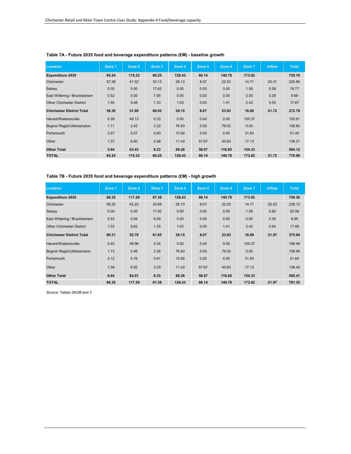| Location                         | Zone 1 | Zone 2 | Zone 3 | Zone 4 | Zone 5 | Zone 6 | Zone 7 | Inflow | <b>Total</b> |
|----------------------------------|--------|--------|--------|--------|--------|--------|--------|--------|--------------|
| <b>Expenditure 2035</b>          | 65.24  | 115.32 | 66.25  | 128.43 | 66.14  | 140.78 | 173.02 |        | 755.18       |
| Chichester                       | 57.28  | 41.52  | 33.13  | 28.13  | 8.07   | 22.53  | 14.71  | 20.31  | 225.66       |
| Selsey                           | 0.00   | 0.00   | 17.62  | 0.00   | 0.00   | 0.00   | 1.56   | 0.59   | 19.77        |
| East Wittering / Bracklesham     | 0.52   | 0.92   | 7.95   | 0.00   | 0.00   | 0.00   | 0.00   | 0.29   | 9.69         |
| <b>Other Chichester District</b> | 1.50   | 9.46   | 1.33   | 1.03   | 0.00   | 1.41   | 2.42   | 0.53   | 17.67        |
| <b>Chichester District Total</b> | 59.30  | 51.90  | 60.02  | 29.15  | 8.07   | 23.93  | 18.69  | 21.72  | 272.78       |
| Havant/Waterlooville             | 0.39   | 49.13  | 0.33   | 0.00   | 0.40   | 0.00   | 105.37 |        | 155.61       |
| Bognor Regis/Littlehampton       | 1.11   | 2.42   | 2.32   | 76.93  | 0.00   | 76.02  | 0.00   |        | 158.80       |
| Portsmouth                       | 3.07   | 5.07   | 0.60   | 10.92  | 0.00   | 0.00   | 31.83  |        | 51.49        |
| Other                            | 1.37   | 6.80   | 2.98   | 11.43  | 57.67  | 40.83  | 17.13  |        | 138.21       |
| <b>Other Total</b>               | 5.94   | 63.43  | 6.23   | 99.28  | 58.07  | 116.85 | 154.33 |        | 504.12       |
| <b>TOTAL</b>                     | 65.24  | 115.32 | 66.25  | 128.43 | 66.14  | 140.78 | 173.02 | 21.72  | 776.90       |

## **Table 7A - Future 2035 food and beverage expenditure patterns (£M) - baseline growth**

**Table 7B - Future 2035 food and beverage expenditure patterns (£M) - high growth**

| Location                         | Zone 1 | Zone 2 | Zone 3 | Zone 4 | Zone 5 | Zone 6 | Zone 7 | <b>Inflow</b> | <b>Total</b> |
|----------------------------------|--------|--------|--------|--------|--------|--------|--------|---------------|--------------|
| <b>Expenditure 2035</b>          | 66.35  | 117.29 | 67.38  | 128.43 | 66.14  | 140.78 | 173.02 |               | 759.38       |
| Chichester                       | 58.25  | 42.22  | 33.69  | 28.13  | 8.07   | 22.53  | 14.71  | 20.53         | 228.12       |
| Selsey                           | 0.00   | 0.00   | 17.92  | 0.00   | 0.00   | 0.00   | 1.56   | 0.60          | 20.08        |
| East Wittering / Bracklesham     | 0.53   | 0.94   | 8.09   | 0.00   | 0.00   | 0.00   | 0.00   | 0.30          | 9.85         |
| <b>Other Chichester District</b> | 1.53   | 9.62   | 1.35   | 1.03   | 0.00   | 1.41   | 2.42   | 0.54          | 17.89        |
| <b>Chichester District Total</b> | 60.31  | 52.78  | 61.05  | 29.15  | 8.07   | 23.93  | 18.69  | 21.97         | 275.94       |
| Havant/Waterlooville             | 0.40   | 49.96  | 0.34   | 0.00   | 0.40   | 0.00   | 105.37 |               | 156.46       |
| Bognor Regis/Littlehampton       | 1.13   | 2.46   | 2.36   | 76.93  | 0.00   | 76.02  | 0.00   |               | 158.90       |
| Portsmouth                       | 3.12   | 5.16   | 0.61   | 10.92  | 0.00   | 0.00   | 31.83  |               | 51.64        |
| Other                            | 1.39   | 6.92   | 3.03   | 11.43  | 57.67  | 40.83  | 17.13  |               | 138.40       |
| <b>Other Total</b>               | 6.04   | 64.51  | 6.33   | 99.28  | 58.07  | 116.85 | 154.33 |               | 505.41       |
| <b>TOTAL</b>                     | 66.35  | 117.29 | 67.38  | 128.43 | 66.14  | 140.78 | 173.02 | 21.97         | 781.35       |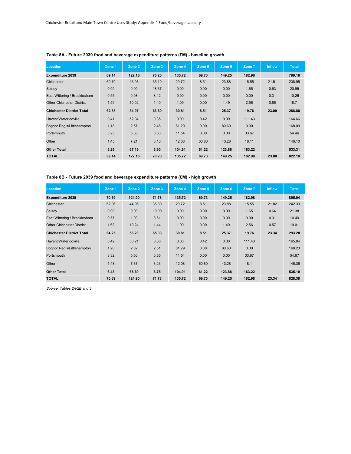| Location                         | Zone 1 | Zone 2 | Zone 3 | Zone 4 | Zone 5 | Zone 6 | Zone 7 | <b>Inflow</b> | <b>Total</b> |
|----------------------------------|--------|--------|--------|--------|--------|--------|--------|---------------|--------------|
| <b>Expenditure 2039</b>          | 69.14  | 122.16 | 70.20  | 135.72 | 69.73  | 149.25 | 182.98 |               | 799.18       |
| Chichester                       | 60.70  | 43.98  | 35.10  | 29.72  | 8.51   | 23.88  | 15.55  | 21.51         | 238.95       |
| Selsey                           | 0.00   | 0.00   | 18.67  | 0.00   | 0.00   | 0.00   | 1.65   | 0.63          | 20.95        |
| East Wittering / Bracklesham     | 0.55   | 0.98   | 8.42   | 0.00   | 0.00   | 0.00   | 0.00   | 0.31          | 10.26        |
| <b>Other Chichester District</b> | 1.59   | 10.02  | 1.40   | 1.09   | 0.00   | 1.49   | 2.56   | 0.56          | 18.71        |
| <b>Chichester District Total</b> | 62.85  | 54.97  | 63.60  | 30.81  | 8.51   | 25.37  | 19.76  | 23.00         | 288.88       |
| Havant/Waterlooville             | 0.41   | 52.04  | 0.35   | 0.00   | 0.42   | 0.00   | 111.43 |               | 164.66       |
| Bognor Regis/Littlehampton       | 1.18   | 2.57   | 2.46   | 81.29  | 0.00   | 80.60  | 0.00   |               | 168.09       |
| Portsmouth                       | 3.25   | 5.38   | 0.63   | 11.54  | 0.00   | 0.00   | 33.67  |               | 54.46        |
| Other                            | 1.45   | 7.21   | 3.16   | 12.08  | 60.80  | 43.28  | 18.11  |               | 146.10       |
| <b>Other Total</b>               | 6.29   | 67.19  | 6.60   | 104.91 | 61.22  | 123.88 | 163.22 |               | 533.31       |
| <b>TOTAL</b>                     | 69.14  | 122.16 | 70.20  | 135.72 | 69.73  | 149.25 | 182.98 | 23.00         | 822.18       |

## **Table 8A - Future 2039 food and beverage expenditure patterns (£M) - baseline growth**

**Table 8B - Future 2039 food and beverage expenditure patterns (£M) - high growth**

| Location                         | Zone 1 | Zone 2 | Zone 3 | Zone 4 | Zone 5 | Zone 6 | Zone 7 | <b>Inflow</b> | <b>Total</b> |
|----------------------------------|--------|--------|--------|--------|--------|--------|--------|---------------|--------------|
| <b>Expenditure 2039</b>          | 70.69  | 124.90 | 71.78  | 135.72 | 69.73  | 149.25 | 182.98 |               | 805.04       |
| Chichester                       | 62.06  | 44.96  | 35.89  | 29.72  | 8.51   | 23.88  | 15.55  | 21.82         | 242.39       |
| Selsey                           | 0.00   | 0.00   | 19.09  | 0.00   | 0.00   | 0.00   | 1.65   | 0.64          | 21.38        |
| East Wittering / Bracklesham     | 0.57   | 1.00   | 8.61   | 0.00   | 0.00   | 0.00   | 0.00   | 0.31          | 10.49        |
| <b>Other Chichester District</b> | 1.63   | 10.24  | 1.44   | 1.09   | 0.00   | 1.49   | 2.56   | 0.57          | 19.01        |
| <b>Chichester District Total</b> | 64.25  | 56.20  | 65.03  | 30.81  | 8.51   | 25.37  | 19.76  | 23.34         | 293.28       |
| Havant/Waterlooville             | 0.42   | 53.21  | 0.36   | 0.00   | 0.42   | 0.00   | 111.43 |               | 165.84       |
| Bognor Regis/Littlehampton       | 1.20   | 2.62   | 2.51   | 81.29  | 0.00   | 80.60  | 0.00   |               | 168.23       |
| Portsmouth                       | 3.32   | 5.50   | 0.65   | 11.54  | 0.00   | 0.00   | 33.67  |               | 54.67        |
| Other                            | 1.48   | 7.37   | 3.23   | 12.08  | 60.80  | 43.28  | 18.11  |               | 146.36       |
| <b>Other Total</b>               | 6.43   | 68.69  | 6.75   | 104.91 | 61.22  | 123.88 | 163.22 |               | 535.10       |
| <b>TOTAL</b>                     | 70.69  | 124.90 | 71.78  | 135.72 | 69.73  | 149.25 | 182.98 | 23.34         | 828.38       |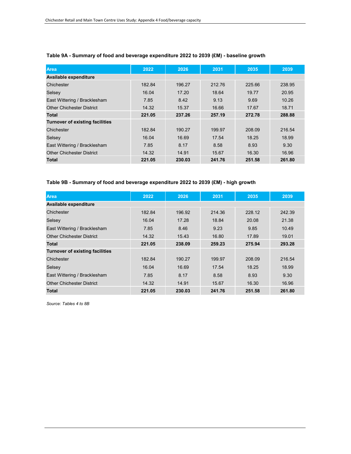| Area                                   | 2022   | 2026   | 2031   | 2035   | 2039   |
|----------------------------------------|--------|--------|--------|--------|--------|
| Available expenditure                  |        |        |        |        |        |
| Chichester                             | 182.84 | 196.27 | 212.76 | 225.66 | 238.95 |
| Selsey                                 | 16.04  | 17.20  | 18.64  | 19.77  | 20.95  |
| East Wittering / Bracklesham           | 7.85   | 8.42   | 9.13   | 9.69   | 10.26  |
| <b>Other Chichester District</b>       | 14.32  | 15.37  | 16.66  | 17.67  | 18.71  |
| <b>Total</b>                           | 221.05 | 237.26 | 257.19 | 272.78 | 288.88 |
| <b>Turnover of existing facilities</b> |        |        |        |        |        |
| Chichester                             | 182.84 | 190.27 | 199.97 | 208.09 | 216.54 |
| Selsey                                 | 16.04  | 16.69  | 17.54  | 18.25  | 18.99  |
| East Wittering / Bracklesham           | 7.85   | 8.17   | 8.58   | 8.93   | 9.30   |
| <b>Other Chichester District</b>       | 14.32  | 14.91  | 15.67  | 16.30  | 16.96  |
| <b>Total</b>                           | 221.05 | 230.03 | 241.76 | 251.58 | 261.80 |

## **Table 9A - Summary of food and beverage expenditure 2022 to 2039 (£M) - baseline growth**

## **Table 9B - Summary of food and beverage expenditure 2022 to 2039 (£M) - high growth**

| <b>Area</b>                            | 2022   | 2026   | 2031   | 2035   | 2039   |
|----------------------------------------|--------|--------|--------|--------|--------|
| <b>Available expenditure</b>           |        |        |        |        |        |
| Chichester                             | 182.84 | 196.92 | 214.36 | 228.12 | 242.39 |
| Selsey                                 | 16.04  | 17.28  | 18.84  | 20.08  | 21.38  |
| East Wittering / Bracklesham           | 7.85   | 8.46   | 9.23   | 9.85   | 10.49  |
| <b>Other Chichester District</b>       | 14.32  | 15.43  | 16.80  | 17.89  | 19.01  |
| <b>Total</b>                           | 221.05 | 238.09 | 259.23 | 275.94 | 293.28 |
| <b>Turnover of existing facilities</b> |        |        |        |        |        |
| Chichester                             | 182.84 | 190.27 | 199.97 | 208.09 | 216.54 |
| Selsey                                 | 16.04  | 16.69  | 17.54  | 18.25  | 18.99  |
| East Wittering / Bracklesham           | 7.85   | 8.17   | 8.58   | 8.93   | 9.30   |
| <b>Other Chichester District</b>       | 14.32  | 14.91  | 15.67  | 16.30  | 16.96  |
| <b>Total</b>                           | 221.05 | 230.03 | 241.76 | 251.58 | 261.80 |

*Source: Tables 4 to 8B*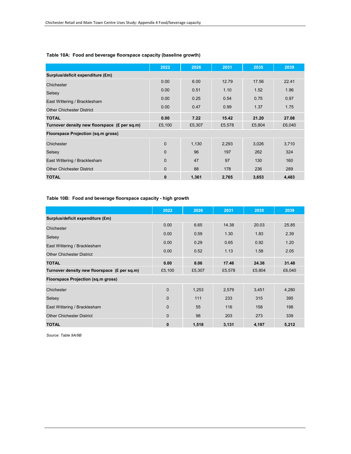|                                              | 2022     | 2026   | 2031   | 2035   | 2039   |  |  |  |
|----------------------------------------------|----------|--------|--------|--------|--------|--|--|--|
| Surplus/deficit expenditure (£m)             |          |        |        |        |        |  |  |  |
| Chichester                                   | 0.00     | 6.00   | 12.79  | 17.56  | 22.41  |  |  |  |
| Selsey                                       | 0.00     | 0.51   | 1.10   | 1.52   | 1.96   |  |  |  |
| East Wittering / Bracklesham                 | 0.00     | 0.25   | 0.54   | 0.75   | 0.97   |  |  |  |
| <b>Other Chichester District</b>             | 0.00     | 0.47   | 0.99   | 1.37   | 1.75   |  |  |  |
|                                              |          |        |        |        |        |  |  |  |
| <b>TOTAL</b>                                 | 0.00     | 7.22   | 15.42  | 21.20  | 27.08  |  |  |  |
| Turnover density new floorspace (£ per sq.m) | £5,100   | £5,307 | £5,578 | £5,804 | £6,040 |  |  |  |
| <b>Floorspace Projection (sq.m gross)</b>    |          |        |        |        |        |  |  |  |
| Chichester                                   | 0        | 1,130  | 2,293  | 3,026  | 3,710  |  |  |  |
| Selsey                                       | $\Omega$ | 96     | 197    | 262    | 324    |  |  |  |
| East Wittering / Bracklesham                 | 0        | 47     | 97     | 130    | 160    |  |  |  |
| <b>Other Chichester District</b>             | 0        | 88     | 178    | 236    | 289    |  |  |  |
| <b>TOTAL</b>                                 | 0        | 1,361  | 2,765  | 3,653  | 4,483  |  |  |  |

## **Table 10A: Food and beverage floorspace capacity (baseline growth)**

**Table 10B: Food and beverage floorspace capacity - high growth**

|                                              | 2022           | 2026   | 2031   | 2035   | 2039   |  |  |  |
|----------------------------------------------|----------------|--------|--------|--------|--------|--|--|--|
| Surplus/deficit expenditure (£m)             |                |        |        |        |        |  |  |  |
| Chichester                                   | 0.00           | 6.65   | 14.38  | 20.03  | 25.85  |  |  |  |
| Selsey                                       | 0.00           | 0.59   | 1.30   | 1.83   | 2.39   |  |  |  |
| East Wittering / Bracklesham                 | 0.00           | 0.29   | 0.65   | 0.92   | 1.20   |  |  |  |
|                                              | 0.00           | 0.52   | 1.13   | 1.58   | 2.05   |  |  |  |
| <b>Other Chichester District</b>             |                |        |        |        |        |  |  |  |
| <b>TOTAL</b>                                 | 0.00           | 8.06   | 17.46  | 24.36  | 31.48  |  |  |  |
| Turnover density new floorspace (£ per sq.m) | £5,100         | £5,307 | £5,578 | £5,804 | £6,040 |  |  |  |
| Floorspace Projection (sq.m gross)           |                |        |        |        |        |  |  |  |
| Chichester                                   | $\overline{0}$ | 1,253  | 2,579  | 3,451  | 4,280  |  |  |  |
| Selsey                                       | $\mathbf{0}$   | 111    | 233    | 315    | 395    |  |  |  |
| East Wittering / Bracklesham                 | $\Omega$       | 55     | 116    | 158    | 198    |  |  |  |
| <b>Other Chichester District</b>             | $\mathbf{0}$   | 98     | 203    | 273    | 339    |  |  |  |
| <b>TOTAL</b>                                 | $\bf{0}$       | 1,518  | 3,131  | 4,197  | 5,212  |  |  |  |

*Source: Table 9A/9B*